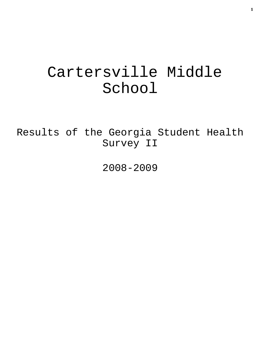# Cartersville Middle School

Results of the Georgia Student Health Survey II

2008-2009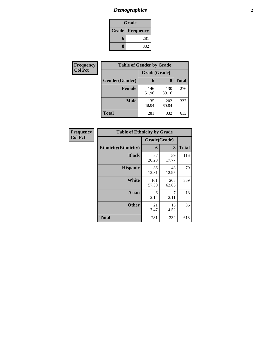## *Demographics* **2**

| Grade                    |     |  |  |
|--------------------------|-----|--|--|
| <b>Grade   Frequency</b> |     |  |  |
| 6                        | 281 |  |  |
| 8                        | 332 |  |  |

| Frequency      | <b>Table of Gender by Grade</b> |              |              |              |  |  |
|----------------|---------------------------------|--------------|--------------|--------------|--|--|
| <b>Col Pct</b> |                                 | Grade(Grade) |              |              |  |  |
|                | Gender(Gender)                  | 6            | 8            | <b>Total</b> |  |  |
|                | <b>Female</b>                   | 146<br>51.96 | 130<br>39.16 | 276          |  |  |
|                | <b>Male</b>                     | 135<br>48.04 | 202<br>60.84 | 337          |  |  |
|                | <b>Total</b>                    | 281          | 332          | 613          |  |  |

| Frequency<br>Col Pct |
|----------------------|

| <b>Table of Ethnicity by Grade</b> |              |              |              |  |  |  |
|------------------------------------|--------------|--------------|--------------|--|--|--|
|                                    | Grade(Grade) |              |              |  |  |  |
| <b>Ethnicity</b> (Ethnicity)       | 6            | 8            | <b>Total</b> |  |  |  |
| <b>Black</b>                       | 57<br>20.28  | 59<br>17.77  | 116          |  |  |  |
| <b>Hispanic</b>                    | 36<br>12.81  | 43<br>12.95  | 79           |  |  |  |
| White                              | 161<br>57.30 | 208<br>62.65 | 369          |  |  |  |
| <b>Asian</b>                       | 6<br>2.14    | 7<br>2.11    | 13           |  |  |  |
| <b>Other</b>                       | 21<br>7.47   | 15<br>4.52   | 36           |  |  |  |
| <b>Total</b>                       | 281          | 332          | 613          |  |  |  |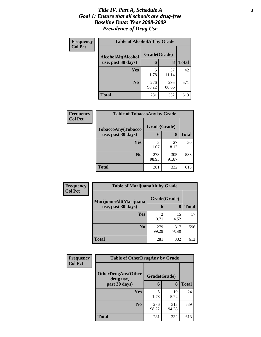### *Title IV, Part A, Schedule A* **3** *Goal 1: Ensure that all schools are drug-free Baseline Data: Year 2008-2009 Prevalence of Drug Use*

| Frequency      | <b>Table of AlcoholAlt by Grade</b>      |              |              |              |  |  |
|----------------|------------------------------------------|--------------|--------------|--------------|--|--|
| <b>Col Pct</b> | AlcoholAlt(Alcohol<br>use, past 30 days) | Grade(Grade) |              |              |  |  |
|                |                                          | 6            | 8            | <b>Total</b> |  |  |
|                | Yes                                      | 5<br>1.78    | 37<br>11.14  | 42           |  |  |
|                | N <sub>0</sub>                           | 276<br>98.22 | 295<br>88.86 | 571          |  |  |
|                | <b>Total</b>                             | 281          | 332          | 613          |  |  |

| Frequency<br><b>Col Pct</b> | <b>Table of TobaccoAny by Grade</b> |              |              |              |  |  |
|-----------------------------|-------------------------------------|--------------|--------------|--------------|--|--|
|                             | TobaccoAny(Tobacco                  | Grade(Grade) |              |              |  |  |
|                             | use, past 30 days)                  | 6            | 8            | <b>Total</b> |  |  |
|                             | Yes                                 | 3<br>1.07    | 27<br>8.13   | 30           |  |  |
|                             | N <sub>0</sub>                      | 278<br>98.93 | 305<br>91.87 | 583          |  |  |
|                             | <b>Total</b>                        | 281          | 332          | 613          |  |  |

| Frequency<br><b>Col Pct</b> | <b>Table of MarijuanaAlt by Grade</b> |                        |              |              |  |
|-----------------------------|---------------------------------------|------------------------|--------------|--------------|--|
|                             | MarijuanaAlt(Marijuana                | Grade(Grade)           |              |              |  |
|                             | use, past 30 days)                    | 6                      | 8            | <b>Total</b> |  |
|                             | Yes                                   | $\mathfrak{D}$<br>0.71 | 15<br>4.52   | 17           |  |
|                             | N <sub>0</sub>                        | 279<br>99.29           | 317<br>95.48 | 596          |  |
|                             | <b>Total</b>                          | 281                    | 332          | 613          |  |

| Frequency<br><b>Col Pct</b> | <b>Table of OtherDrugAny by Grade</b>  |              |              |              |  |
|-----------------------------|----------------------------------------|--------------|--------------|--------------|--|
|                             | <b>OtherDrugAny(Other</b><br>drug use, | Grade(Grade) |              |              |  |
|                             | past 30 days)                          | 6            | 8            | <b>Total</b> |  |
|                             | <b>Yes</b>                             | 1.78         | 19<br>5.72   | 24           |  |
|                             | N <sub>0</sub>                         | 276<br>98.22 | 313<br>94.28 | 589          |  |
|                             | <b>Total</b>                           | 281          | 332          | 613          |  |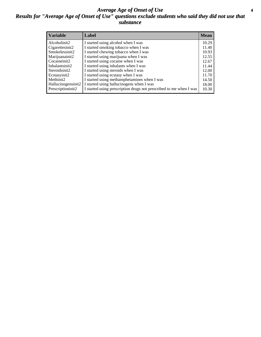### *Average Age of Onset of Use* **4** *Results for "Average Age of Onset of Use" questions exclude students who said they did not use that substance*

| <b>Variable</b>    | Label                                                              | <b>Mean</b> |
|--------------------|--------------------------------------------------------------------|-------------|
| Alcoholinit2       | I started using alcohol when I was                                 | 10.29       |
| Cigarettesinit2    | I started smoking tobacco when I was                               | 11.40       |
| Smokelessinit2     | I started chewing tobacco when I was                               | 10.93       |
| Marijuanainit2     | I started using marijuana when I was                               | 12.55       |
| Cocaineinit2       | I started using cocaine when I was                                 | 12.67       |
| Inhalantsinit2     | I started using inhalants when I was                               | 11.44       |
| Steroidsinit2      | I started using steroids when I was                                | 12.00       |
| Ecstasyinit2       | I started using ecstasy when I was                                 | 11.70       |
| Methinit2          | I started using methamphetamines when I was                        | 14.50       |
| Hallucinogensinit2 | I started using hallucinogens when I was                           | 18.00       |
| Prescriptioninit2  | I started using prescription drugs not prescribed to me when I was | 10.30       |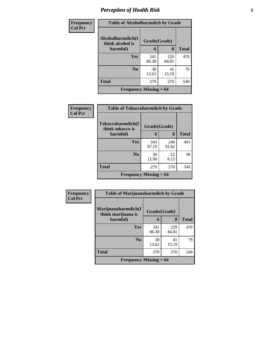## *Perception of Health Risk* **5**

| Frequency      | <b>Table of Alcoholharmdich by Grade</b> |              |              |              |  |
|----------------|------------------------------------------|--------------|--------------|--------------|--|
| <b>Col Pct</b> | Alcoholharmdich(I<br>think alcohol is    | Grade(Grade) |              |              |  |
|                | harmful)                                 | 6            | 8            | <b>Total</b> |  |
|                | Yes                                      | 241<br>86.38 | 229<br>84.81 | 470          |  |
|                | N <sub>0</sub>                           | 38<br>13.62  | 41<br>15.19  | 79           |  |
|                | <b>Total</b>                             | 279          | 270          | 549          |  |
|                | Frequency Missing $= 64$                 |              |              |              |  |

| <b>Frequency</b> | <b>Table of Tobaccoharmdich by Grade</b>   |              |              |              |  |
|------------------|--------------------------------------------|--------------|--------------|--------------|--|
| <b>Col Pct</b>   | Tobaccoharmdich(I<br>think tobacco is      | Grade(Grade) |              |              |  |
|                  | harmful)                                   | 6            | 8            | <b>Total</b> |  |
|                  | <b>Yes</b>                                 | 243<br>87.10 | 248<br>91.85 | 491          |  |
|                  | N <sub>0</sub>                             | 36<br>12.90  | 22<br>8.15   | 58           |  |
|                  | <b>Total</b>                               | 279          | 270          | 549          |  |
|                  | <b>Frequency Missing <math>= 64</math></b> |              |              |              |  |

| <b>Frequency</b> | <b>Table of Marijuanaharmdich by Grade</b>            |                   |              |              |  |
|------------------|-------------------------------------------------------|-------------------|--------------|--------------|--|
| <b>Col Pct</b>   | Marijuanaharmdich(I<br>think marijuana is<br>harmful) | Grade(Grade)<br>6 | 8            | <b>Total</b> |  |
|                  |                                                       |                   |              |              |  |
|                  | Yes                                                   | 241<br>86.38      | 229<br>84.81 | 470          |  |
|                  | N <sub>0</sub>                                        | 38<br>13.62       | 41<br>15.19  | 79           |  |
|                  | <b>Total</b>                                          | 279               | 270          | 549          |  |
|                  | Frequency Missing $= 64$                              |                   |              |              |  |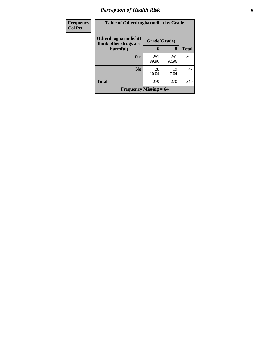## *Perception of Health Risk* **6**

| <b>Frequency</b> | <b>Table of Otherdrugharmdich by Grade</b>   |              |              |              |  |  |
|------------------|----------------------------------------------|--------------|--------------|--------------|--|--|
| <b>Col Pct</b>   | Otherdrugharmdich(I<br>think other drugs are | Grade(Grade) |              |              |  |  |
|                  | harmful)                                     | 6            | 8            | <b>Total</b> |  |  |
|                  | <b>Yes</b>                                   | 251<br>89.96 | 251<br>92.96 | 502          |  |  |
|                  | N <sub>0</sub>                               | 28<br>10.04  | 19<br>7.04   | 47           |  |  |
|                  | <b>Total</b>                                 | 279          | 270          | 549          |  |  |
|                  | Frequency Missing $= 64$                     |              |              |              |  |  |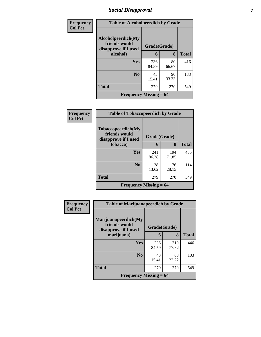## *Social Disapproval* **7**

| Frequency      | <b>Table of Alcoholpeerdich by Grade</b>                    |              |              |              |  |
|----------------|-------------------------------------------------------------|--------------|--------------|--------------|--|
| <b>Col Pct</b> | Alcoholpeerdich(My<br>friends would<br>disapprove if I used | Grade(Grade) |              |              |  |
|                | alcohol)                                                    | 6            | 8            | <b>Total</b> |  |
|                | Yes                                                         | 236<br>84.59 | 180<br>66.67 | 416          |  |
|                | N <sub>0</sub>                                              | 43<br>15.41  | 90<br>33.33  | 133          |  |
|                | <b>Total</b>                                                | 279          | 270          | 549          |  |
|                | <b>Frequency Missing <math>= 64</math></b>                  |              |              |              |  |

| Frequency      | <b>Table of Tobaccopeerdich by Grade</b>                            |              |              |              |  |
|----------------|---------------------------------------------------------------------|--------------|--------------|--------------|--|
| <b>Col Pct</b> | <b>Tobaccopeerdich</b> (My<br>friends would<br>disapprove if I used | Grade(Grade) |              |              |  |
|                | tobacco)                                                            | 6            | 8            | <b>Total</b> |  |
|                | Yes                                                                 | 241<br>86.38 | 194<br>71.85 | 435          |  |
|                | $\bf No$                                                            | 38<br>13.62  | 76<br>28.15  | 114          |  |
|                | <b>Total</b>                                                        | 279          | 270          | 549          |  |
|                | Frequency Missing $= 64$                                            |              |              |              |  |

| <b>Frequency</b> | <b>Table of Marijuanapeerdich by Grade</b>                    |              |              |              |  |  |
|------------------|---------------------------------------------------------------|--------------|--------------|--------------|--|--|
| <b>Col Pct</b>   | Marijuanapeerdich(My<br>friends would<br>disapprove if I used | Grade(Grade) |              |              |  |  |
|                  | marijuana)                                                    | 6            | 8            | <b>Total</b> |  |  |
|                  | Yes                                                           | 236<br>84.59 | 210<br>77.78 | 446          |  |  |
|                  | N <sub>0</sub>                                                | 43<br>15.41  | 60<br>22.22  | 103          |  |  |
|                  | <b>Total</b>                                                  | 279          | 270          | 549          |  |  |
|                  | <b>Frequency Missing <math>= 64</math></b>                    |              |              |              |  |  |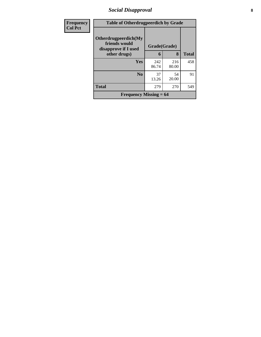## *Social Disapproval* **8**

| <b>Frequency</b> | <b>Table of Otherdrugpeerdich by Grade</b>                    |              |              |              |  |  |
|------------------|---------------------------------------------------------------|--------------|--------------|--------------|--|--|
| <b>Col Pct</b>   | Otherdrugpeerdich(My<br>friends would<br>disapprove if I used | Grade(Grade) |              |              |  |  |
|                  | other drugs)                                                  | 6            | 8            | <b>Total</b> |  |  |
|                  | <b>Yes</b>                                                    | 242<br>86.74 | 216<br>80.00 | 458          |  |  |
|                  | N <sub>0</sub>                                                | 37<br>13.26  | 54<br>20.00  | 91           |  |  |
|                  | <b>Total</b>                                                  | 279          | 270          | 549          |  |  |
|                  | Frequency Missing $= 64$                                      |              |              |              |  |  |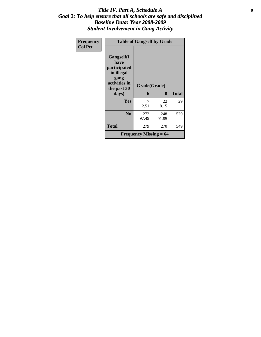### *Title IV, Part A, Schedule A* **9** *Goal 2: To help ensure that all schools are safe and disciplined Baseline Data: Year 2008-2009 Student Involvement in Gang Activity*

| Frequency      | <b>Table of Gangself by Grade</b>                                                                 |                                            |              |              |  |
|----------------|---------------------------------------------------------------------------------------------------|--------------------------------------------|--------------|--------------|--|
| <b>Col Pct</b> | Gangself(I<br>have<br>participated<br>in illegal<br>gang<br>activities in<br>the past 30<br>days) | Grade(Grade)<br>6                          | 8            | <b>Total</b> |  |
|                | Yes                                                                                               | 7<br>2.51                                  | 22<br>8.15   | 29           |  |
|                | N <sub>0</sub>                                                                                    | 272<br>97.49                               | 248<br>91.85 | 520          |  |
|                | <b>Total</b>                                                                                      | 279                                        | 270          | 549          |  |
|                |                                                                                                   | <b>Frequency Missing <math>= 64</math></b> |              |              |  |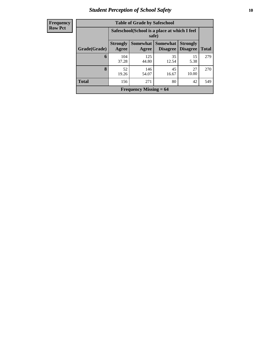## *Student Perception of School Safety* **10**

| <b>Frequency</b> |
|------------------|
| <b>Row Pct</b>   |

| <b>Table of Grade by Safeschool</b> |                                                                                                                                                  |              |             |             |     |  |  |  |
|-------------------------------------|--------------------------------------------------------------------------------------------------------------------------------------------------|--------------|-------------|-------------|-----|--|--|--|
|                                     | Safeschool (School is a place at which I feel<br>safe)                                                                                           |              |             |             |     |  |  |  |
| Grade(Grade)                        | <b>Somewhat</b><br><b>Strongly</b><br><b>Somewhat</b><br><b>Strongly</b><br><b>Disagree</b><br><b>Total</b><br>Agree<br><b>Disagree</b><br>Agree |              |             |             |     |  |  |  |
| 6                                   | 104<br>37.28                                                                                                                                     | 125<br>44.80 | 35<br>12.54 | 15<br>5.38  | 279 |  |  |  |
| 8                                   | 52<br>19.26                                                                                                                                      | 146<br>54.07 | 45<br>16.67 | 27<br>10.00 | 270 |  |  |  |
| <b>Total</b>                        | 156                                                                                                                                              | 271          | 80          | 42          | 549 |  |  |  |
|                                     | Frequency Missing $= 64$                                                                                                                         |              |             |             |     |  |  |  |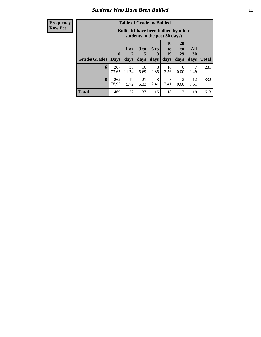## *Students Who Have Been Bullied* **11**

### **Frequency Row Pct**

| <b>Table of Grade by Bullied</b> |                         |                                                                               |                              |                   |                               |                               |                   |              |
|----------------------------------|-------------------------|-------------------------------------------------------------------------------|------------------------------|-------------------|-------------------------------|-------------------------------|-------------------|--------------|
|                                  |                         | <b>Bullied</b> (I have been bullied by other<br>students in the past 30 days) |                              |                   |                               |                               |                   |              |
| Grade(Grade)                     | $\bf{0}$<br><b>Days</b> | 1 or<br>$\mathbf{2}$<br>days                                                  | 3 <sub>to</sub><br>5<br>days | 6 to<br>9<br>days | <b>10</b><br>to<br>19<br>days | <b>20</b><br>to<br>29<br>days | All<br>30<br>days | <b>Total</b> |
| 6                                | 207<br>73.67            | 33<br>11.74                                                                   | 16<br>5.69                   | 8<br>2.85         | 10<br>3.56                    | $\Omega$<br>0.00              | 2.49              | 281          |
| 8                                | 262<br>78.92            | 19<br>5.72                                                                    | 21<br>6.33                   | 8<br>2.41         | 8<br>2.41                     | 2<br>0.60                     | 12<br>3.61        | 332          |
| <b>Total</b>                     | 469                     | 52                                                                            | 37                           | 16                | 18                            | $\overline{2}$                | 19                | 613          |

h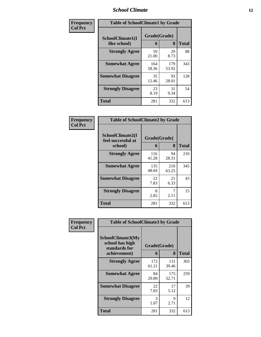### *School Climate* **12**

| <b>Frequency</b> | <b>Table of SchoolClimate1 by Grade</b> |                   |              |              |  |  |
|------------------|-----------------------------------------|-------------------|--------------|--------------|--|--|
| <b>Col Pct</b>   | SchoolClimate1(I<br>like school)        | Grade(Grade)<br>6 | 8            | <b>Total</b> |  |  |
|                  | <b>Strongly Agree</b>                   | 59<br>21.00       | 29<br>8.73   | 88           |  |  |
|                  | <b>Somewhat Agree</b>                   | 164<br>58.36      | 179<br>53.92 | 343          |  |  |
|                  | <b>Somewhat Disagree</b>                | 35<br>12.46       | 93<br>28.01  | 128          |  |  |
|                  | <b>Strongly Disagree</b>                | 23<br>8.19        | 31<br>9.34   | 54           |  |  |
|                  | <b>Total</b>                            | 281               | 332          | 613          |  |  |

### **Frequency Col Pct**

| <b>Table of SchoolClimate2 by Grade</b>           |                   |              |              |  |  |
|---------------------------------------------------|-------------------|--------------|--------------|--|--|
| SchoolClimate2(I<br>feel successful at<br>school) | Grade(Grade)<br>6 | 8            | <b>Total</b> |  |  |
| <b>Strongly Agree</b>                             | 116<br>41.28      | 94<br>28.31  | 210          |  |  |
| <b>Somewhat Agree</b>                             | 135<br>48.04      | 210<br>63.25 | 345          |  |  |
| <b>Somewhat Disagree</b>                          | 22<br>7.83        | 21<br>6.33   | 43           |  |  |
| <b>Strongly Disagree</b>                          | 8<br>2.85         | 7<br>2.11    | 15           |  |  |
| Total                                             | 281               | 332          | 613          |  |  |

| Frequency      | <b>Table of SchoolClimate3 by Grade</b>                                      |                       |              |              |  |  |
|----------------|------------------------------------------------------------------------------|-----------------------|--------------|--------------|--|--|
| <b>Col Pct</b> | <b>SchoolClimate3(My</b><br>school has high<br>standards for<br>achievement) | Grade(Grade)<br>6     | 8            | <b>Total</b> |  |  |
|                |                                                                              |                       |              |              |  |  |
|                | <b>Strongly Agree</b>                                                        | 172<br>61.21          | 131<br>39.46 | 303          |  |  |
|                | <b>Somewhat Agree</b>                                                        | 84<br>29.89           | 175<br>52.71 | 259          |  |  |
|                | <b>Somewhat Disagree</b>                                                     | 22<br>7.83            | 17<br>5.12   | 39           |  |  |
|                | <b>Strongly Disagree</b>                                                     | $\mathcal{R}$<br>1.07 | 9<br>2.71    | 12           |  |  |
|                | Total                                                                        | 281                   | 332          | 613          |  |  |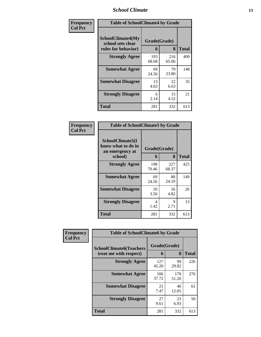### *School Climate* **13**

| Frequency      |                                                                      | <b>Table of SchoolClimate4 by Grade</b> |              |              |
|----------------|----------------------------------------------------------------------|-----------------------------------------|--------------|--------------|
| <b>Col Pct</b> | <b>SchoolClimate4(My</b><br>school sets clear<br>rules for behavior) | Grade(Grade)<br>6                       | 8            | <b>Total</b> |
|                | <b>Strongly Agree</b>                                                | 193<br>68.68                            | 216<br>65.06 | 409          |
|                | <b>Somewhat Agree</b>                                                | 69<br>24.56                             | 79<br>23.80  | 148          |
|                | <b>Somewhat Disagree</b>                                             | 13<br>4.63                              | 22<br>6.63   | 35           |
|                | <b>Strongly Disagree</b>                                             | 6<br>2.14                               | 15<br>4.52   | 21           |
|                | <b>Total</b>                                                         | 281                                     | 332          | 613          |

### **Frequency Col Pct**

| <b>Table of SchoolClimate5 by Grade</b>                   |              |              |              |
|-----------------------------------------------------------|--------------|--------------|--------------|
| SchoolClimate5(I<br>know what to do in<br>an emergency at | Grade(Grade) |              |              |
| school)                                                   | 6            | 8            | <b>Total</b> |
| <b>Strongly Agree</b>                                     | 198<br>70.46 | 227<br>68.37 | 425          |
| <b>Somewhat Agree</b>                                     | 69<br>24.56  | 80<br>24.10  | 149          |
| <b>Somewhat Disagree</b>                                  | 10<br>3.56   | 16<br>4.82   | 26           |
| <b>Strongly Disagree</b>                                  | 4<br>1.42    | 9<br>2.71    | 13           |
| Total                                                     | 281          | 332          | 613          |

| Frequency      | <b>Table of SchoolClimate6 by Grade</b>                  |                   |              |              |
|----------------|----------------------------------------------------------|-------------------|--------------|--------------|
| <b>Col Pct</b> | <b>SchoolClimate6(Teachers</b><br>treat me with respect) | Grade(Grade)<br>6 | 8            | <b>Total</b> |
|                | <b>Strongly Agree</b>                                    | 127<br>45.20      | 99<br>29.82  | 226          |
|                | <b>Somewhat Agree</b>                                    | 106<br>37.72      | 170<br>51.20 | 276          |
|                | <b>Somewhat Disagree</b>                                 | 21<br>7.47        | 40<br>12.05  | 61           |
|                | <b>Strongly Disagree</b>                                 | 27<br>9.61        | 23<br>6.93   | 50           |
|                | <b>Total</b>                                             | 281               | 332          | 613          |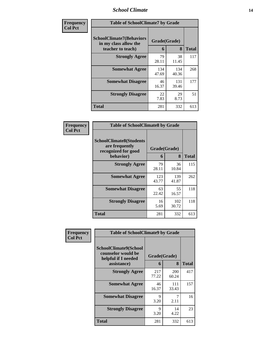### *School Climate* **14**

| Frequency      | <b>Table of SchoolClimate7 by Grade</b>                                       |                   |              |              |
|----------------|-------------------------------------------------------------------------------|-------------------|--------------|--------------|
| <b>Col Pct</b> | <b>SchoolClimate7(Behaviors</b><br>in my class allow the<br>teacher to teach) | Grade(Grade)<br>6 | 8            | <b>Total</b> |
|                | <b>Strongly Agree</b>                                                         | 79<br>28.11       | 38<br>11.45  | 117          |
|                | <b>Somewhat Agree</b>                                                         | 134<br>47.69      | 134<br>40.36 | 268          |
|                | <b>Somewhat Disagree</b>                                                      | 46<br>16.37       | 131<br>39.46 | 177          |
|                | <b>Strongly Disagree</b>                                                      | 22<br>7.83        | 29<br>8.73   | 51           |
|                | <b>Total</b>                                                                  | 281               | 332          | 613          |

| Frequency      | <b>Table of SchoolClimate8 by Grade</b>                                              |                   |              |       |
|----------------|--------------------------------------------------------------------------------------|-------------------|--------------|-------|
| <b>Col Pct</b> | <b>SchoolClimate8(Students</b><br>are frequently<br>recognized for good<br>behavior) | Grade(Grade)<br>6 | 8            | Total |
|                | <b>Strongly Agree</b>                                                                | 79<br>28.11       | 36<br>10.84  | 115   |
|                | <b>Somewhat Agree</b>                                                                | 123<br>43.77      | 139<br>41.87 | 262   |
|                | <b>Somewhat Disagree</b>                                                             | 63<br>22.42       | 55<br>16.57  | 118   |
|                | <b>Strongly Disagree</b>                                                             | 16<br>5.69        | 102<br>30.72 | 118   |
|                | <b>Total</b>                                                                         | 281               | 332          | 613   |

| <b>Frequency</b> | <b>Table of SchoolClimate9 by Grade</b>                                           |                   |                     |              |
|------------------|-----------------------------------------------------------------------------------|-------------------|---------------------|--------------|
| <b>Col Pct</b>   | SchoolClimate9(School<br>counselor would be<br>helpful if I needed<br>assistance) | Grade(Grade)<br>6 | 8                   | <b>Total</b> |
|                  | <b>Strongly Agree</b>                                                             | 217<br>77.22      | <b>200</b><br>60.24 | 417          |
|                  | <b>Somewhat Agree</b>                                                             | 46<br>16.37       | 111<br>33.43        | 157          |
|                  | <b>Somewhat Disagree</b>                                                          | 9<br>3.20         | 7<br>2.11           | 16           |
|                  | <b>Strongly Disagree</b>                                                          | 9<br>3.20         | 14<br>4.22          | 23           |
|                  | <b>Total</b>                                                                      | 281               | 332                 | 613          |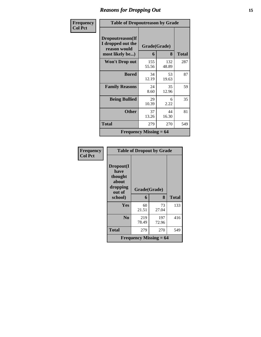## *Reasons for Dropping Out* **15**

| Frequency      | <b>Table of Dropoutreason by Grade</b>                |              |              |       |
|----------------|-------------------------------------------------------|--------------|--------------|-------|
| <b>Col Pct</b> | Dropoutreason(If<br>I dropped out the<br>reason would | Grade(Grade) |              |       |
|                | most likely be)                                       | 6            | 8            | Total |
|                | <b>Won't Drop out</b>                                 | 155<br>55.56 | 132<br>48.89 | 287   |
|                | <b>Bored</b>                                          | 34<br>12.19  | 53<br>19.63  | 87    |
|                | <b>Family Reasons</b>                                 | 24<br>8.60   | 35<br>12.96  | 59    |
|                | <b>Being Bullied</b>                                  | 29<br>10.39  | 6<br>2.22    | 35    |
|                | <b>Other</b>                                          | 37<br>13.26  | 44<br>16.30  | 81    |
|                | Total                                                 | 279          | 270          | 549   |
|                | Frequency Missing $= 64$                              |              |              |       |

| Frequency<br><b>Col Pct</b> | <b>Table of Dropout by Grade</b>                            |                          |              |              |
|-----------------------------|-------------------------------------------------------------|--------------------------|--------------|--------------|
|                             | Dropout(I<br>have<br>thought<br>about<br>dropping<br>out of | Grade(Grade)             |              |              |
|                             | school)                                                     | 6                        | 8            | <b>Total</b> |
|                             | <b>Yes</b>                                                  | 60<br>21.51              | 73<br>27.04  | 133          |
|                             | N <sub>0</sub>                                              | 219<br>78.49             | 197<br>72.96 | 416          |
|                             | <b>Total</b>                                                | 279                      | 270          | 549          |
|                             |                                                             | Frequency Missing $= 64$ |              |              |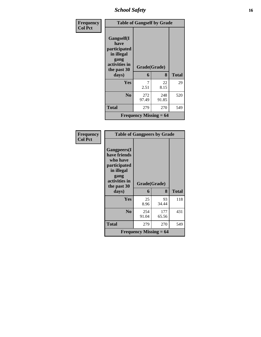*School Safety* **16**

| Frequency      | <b>Table of Gangself by Grade</b>                                                        |                          |              |              |
|----------------|------------------------------------------------------------------------------------------|--------------------------|--------------|--------------|
| <b>Col Pct</b> | Gangself(I<br>have<br>participated<br>in illegal<br>gang<br>activities in<br>the past 30 | Grade(Grade)             |              |              |
|                | days)                                                                                    | 6                        | 8            | <b>Total</b> |
|                | <b>Yes</b>                                                                               | 2.51                     | 22<br>8.15   | 29           |
|                | N <sub>0</sub>                                                                           | 272<br>97.49             | 248<br>91.85 | 520          |
|                | <b>Total</b>                                                                             | 279                      | 270          | 549          |
|                |                                                                                          | Frequency Missing $= 64$ |              |              |

| Frequency<br><b>Col Pct</b> | <b>Table of Gangpeers by Grade</b>                                                                                    |                          |              |              |
|-----------------------------|-----------------------------------------------------------------------------------------------------------------------|--------------------------|--------------|--------------|
|                             | <b>Gangpeers</b> (I<br>have friends<br>who have<br>participated<br>in illegal<br>gang<br>activities in<br>the past 30 | Grade(Grade)             |              |              |
|                             | days)                                                                                                                 | 6                        | 8            | <b>Total</b> |
|                             | <b>Yes</b>                                                                                                            | 25<br>8.96               | 93<br>34.44  | 118          |
|                             | N <sub>0</sub>                                                                                                        | 254<br>91.04             | 177<br>65.56 | 431          |
|                             | <b>Total</b>                                                                                                          | 279                      | 270          | 549          |
|                             |                                                                                                                       | Frequency Missing $= 64$ |              |              |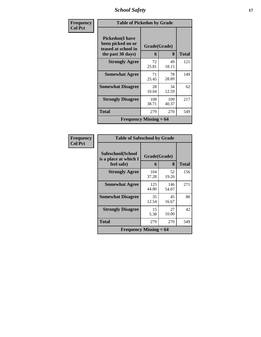*School Safety* **17**

| Frequency      |                                                                                          | <b>Table of Pickedon by Grade</b> |              |              |
|----------------|------------------------------------------------------------------------------------------|-----------------------------------|--------------|--------------|
| <b>Col Pct</b> | <b>Pickedon</b> (I have<br>been picked on or<br>teased at school in<br>the past 30 days) | Grade(Grade)<br>6                 | 8            | <b>Total</b> |
|                | <b>Strongly Agree</b>                                                                    | 72<br>25.81                       | 49<br>18.15  | 121          |
|                | <b>Somewhat Agree</b>                                                                    | 71<br>25.45                       | 78<br>28.89  | 149          |
|                | <b>Somewhat Disagree</b>                                                                 | 28<br>10.04                       | 34<br>12.59  | 62           |
|                | <b>Strongly Disagree</b>                                                                 | 108<br>38.71                      | 109<br>40.37 | 217          |
|                | Total                                                                                    | 279                               | 270          | 549          |
|                | Frequency Missing $= 64$                                                                 |                                   |              |              |

| Frequency<br>Col Pct |
|----------------------|
|                      |

| <b>Table of Safeschool by Grade</b>                      |                   |              |              |
|----------------------------------------------------------|-------------------|--------------|--------------|
| Safeschool(School<br>is a place at which I<br>feel safe) | Grade(Grade)<br>6 | 8            | <b>Total</b> |
| <b>Strongly Agree</b>                                    | 104<br>37.28      | 52<br>19.26  | 156          |
| <b>Somewhat Agree</b>                                    | 125<br>44.80      | 146<br>54.07 | 271          |
| <b>Somewhat Disagree</b>                                 | 35<br>12.54       | 45<br>16.67  | 80           |
| <b>Strongly Disagree</b>                                 | 15<br>5.38        | 27<br>10.00  | 42           |
| <b>Total</b>                                             | 279               | 270          | 549          |
| <b>Frequency Missing <math>= 64</math></b>               |                   |              |              |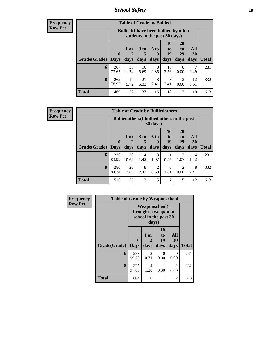*School Safety* **18**

**Frequency Row Pct**

| <b>Table of Grade by Bullied</b> |                             |                                                                               |                   |                   |                        |                        |                          |              |  |  |
|----------------------------------|-----------------------------|-------------------------------------------------------------------------------|-------------------|-------------------|------------------------|------------------------|--------------------------|--------------|--|--|
|                                  |                             | <b>Bullied</b> (I have been bullied by other<br>students in the past 30 days) |                   |                   |                        |                        |                          |              |  |  |
| Grade(Grade)                     | $\mathbf{0}$<br><b>Days</b> | $1$ or $ $<br>2<br>days                                                       | 3 to<br>5<br>days | 6 to<br>9<br>days | 10<br>to<br>19<br>days | 20<br>to<br>29<br>days | All<br><b>30</b><br>days | <b>Total</b> |  |  |
| 6                                | 207<br>73.67                | 33<br>11.74                                                                   | 16<br>5.69        | 8<br>2.85         | 10<br>3.56             | 0<br>0.00              | 2.49                     | 281          |  |  |
| 8                                | 262<br>78.92                | 19<br>5.72                                                                    | 21<br>6.33        | 8<br>2.41         | 8<br>2.41              | 2<br>0.60              | 12<br>3.61               | 332          |  |  |
| <b>Total</b>                     | 469                         | 52                                                                            | 37                | 16                | 18                     | 2                      | 19                       | 613          |  |  |

**Frequency Row Pct**

| <b>Table of Grade by Bulliedothers</b> |              |                                                                |                              |                   |                                                                            |                        |                   |              |  |
|----------------------------------------|--------------|----------------------------------------------------------------|------------------------------|-------------------|----------------------------------------------------------------------------|------------------------|-------------------|--------------|--|
|                                        |              | <b>Bulliedothers</b> (I bullied others in the past<br>30 days) |                              |                   |                                                                            |                        |                   |              |  |
| <b>Grade</b> (Grade) Days              | $\mathbf{0}$ | 1 or<br>2<br>days                                              | 3 <sub>to</sub><br>5<br>days | 6 to<br>9<br>days | <b>10</b><br>$\mathbf{t}$ <sup><math>\mathbf{0}</math></sup><br>19<br>days | 20<br>to<br>29<br>days | All<br>30<br>days | <b>Total</b> |  |
| 6                                      | 236<br>83.99 | 30<br>10.68                                                    | 4<br>1.42                    | 3<br>1.07         | 0.36                                                                       | 3<br>1.07              | 4<br>1.42         | 281          |  |
| 8                                      | 280<br>84.34 | 26<br>7.83                                                     | 8<br>2.41                    | 2<br>0.60         | 6<br>1.81                                                                  | $\overline{2}$<br>0.60 | 8<br>2.41         | 332          |  |
| <b>Total</b>                           | 516          | 56                                                             | 12                           | 5                 | 7                                                                          | 5                      | 12                | 613          |  |

| <b>Frequency</b> | <b>Table of Grade by Weaponschool</b> |                         |                                                                                 |                               |                   |              |  |  |
|------------------|---------------------------------------|-------------------------|---------------------------------------------------------------------------------|-------------------------------|-------------------|--------------|--|--|
| <b>Row Pct</b>   |                                       |                         | <b>Weaponschool</b> (I<br>brought a weapon to<br>school in the past 30<br>days) |                               |                   |              |  |  |
|                  | Grade(Grade)                          | $\bf{0}$<br><b>Days</b> | 1 or<br>2<br>days                                                               | <b>10</b><br>to<br>19<br>days | All<br>30<br>days | <b>Total</b> |  |  |
|                  | 6                                     | 279<br>99.29            | $\mathfrak{D}$<br>0.71                                                          | 0<br>0.00                     | $\Omega$<br>0.00  | 281          |  |  |
|                  | 8                                     | 325<br>97.89            | 4<br>1.20                                                                       | 0.30                          | 2<br>0.60         | 332          |  |  |
|                  | <b>Total</b>                          | 604                     | 6                                                                               | 1                             | 2                 | 613          |  |  |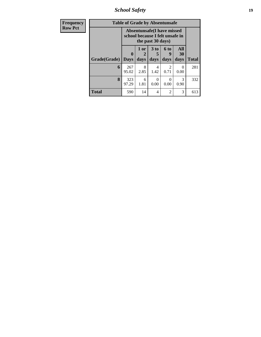*School Safety* **19**

| <b>Frequency</b> | <b>Table of Grade by Absentunsafe</b> |                                                                      |                   |                         |                              |                   |              |  |
|------------------|---------------------------------------|----------------------------------------------------------------------|-------------------|-------------------------|------------------------------|-------------------|--------------|--|
| <b>Row Pct</b>   |                                       | <b>Absentunsafe(I have missed</b><br>school because I felt unsafe in |                   |                         |                              |                   |              |  |
|                  | Grade(Grade)                          | 0<br><b>Days</b>                                                     | 1 or<br>2<br>days | 3 <sub>to</sub><br>days | 6 <sub>to</sub><br>g<br>days | All<br>30<br>days | <b>Total</b> |  |
|                  | 6                                     | 267<br>95.02                                                         | 8<br>2.85         | 4<br>1.42               | $\mathfrak{D}$<br>0.71       | 0<br>0.00         | 281          |  |
|                  | 8                                     | 323<br>97.29                                                         | 6<br>1.81         | 0<br>0.00               | $\mathcal{L}$<br>0.00        | 3<br>0.90         | 332          |  |
|                  | <b>Total</b>                          | 590                                                                  | 14                | $\overline{4}$          | $\overline{c}$               | 3                 | 613          |  |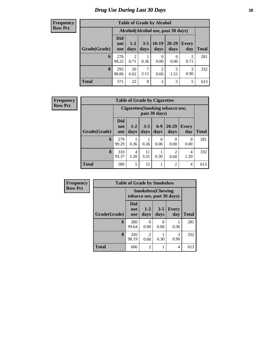## *Drug Use During Last 30 Days* 20

### **Frequency Row Pct**

| <b>Table of Grade by Alcohol</b> |                                 |                                     |                 |                        |                      |                        |              |  |  |  |
|----------------------------------|---------------------------------|-------------------------------------|-----------------|------------------------|----------------------|------------------------|--------------|--|--|--|
|                                  |                                 | Alcohol (Alcohol use, past 30 days) |                 |                        |                      |                        |              |  |  |  |
| Grade(Grade)                     | <b>Did</b><br>not<br><b>use</b> | $1-2$<br>days                       | $3 - 5$<br>days | $10-19$<br>days        | $20 - 29$<br>days    | Every<br>day           | <b>Total</b> |  |  |  |
| 6                                | 276<br>98.22                    | $\overline{c}$<br>0.71              | 0.36            | $\mathbf{0}$<br>0.00   | $\mathbf{0}$<br>0.00 | $\mathfrak{D}$<br>0.71 | 281          |  |  |  |
| 8                                | 295<br>88.86                    | 20<br>6.02                          | 2.11            | $\mathfrak{D}$<br>0.60 | 5<br>1.51            | 3<br>0.90              | 332          |  |  |  |
| <b>Total</b>                     | 571                             | 22                                  | 8               | 2                      | 5                    | 5                      | 613          |  |  |  |

| <b>Frequency</b> |              |                                                   |                 | <b>Table of Grade by Cigarettes</b> |                  |                        |                     |              |
|------------------|--------------|---------------------------------------------------|-----------------|-------------------------------------|------------------|------------------------|---------------------|--------------|
| <b>Row Pct</b>   |              | Cigarettes (Smoking tobacco use,<br>past 30 days) |                 |                                     |                  |                        |                     |              |
|                  | Grade(Grade) | <b>Did</b><br>not<br><b>use</b>                   | $1 - 2$<br>days | $3 - 5$<br>days                     | $6-9$<br>days    | $20 - 29$<br>days      | <b>Every</b><br>day | <b>Total</b> |
|                  | 6            | 279<br>99.29                                      | 0.36            | 0.36                                | $\Omega$<br>0.00 | $\Omega$<br>0.00       | $\Omega$<br>0.00    | 281          |
|                  | 8            | 310<br>93.37                                      | 4<br>1.20       | 11<br>3.31                          | 0.30             | $\overline{2}$<br>0.60 | 4<br>1.20           | 332          |
|                  | <b>Total</b> | 589                                               | 5               | 12                                  |                  | $\overline{2}$         | 4                   | 613          |

| Frequency      | <b>Table of Grade by Smokeless</b> |                                                         |                        |                           |              |              |  |  |  |
|----------------|------------------------------------|---------------------------------------------------------|------------------------|---------------------------|--------------|--------------|--|--|--|
| <b>Row Pct</b> |                                    | <b>Smokeless</b> (Chewing<br>tobacco use, past 30 days) |                        |                           |              |              |  |  |  |
|                | Grade(Grade)                       | Did<br>not<br><b>use</b>                                | $1-2$<br>days          | $3 - 5$<br>days           | Every<br>day | <b>Total</b> |  |  |  |
|                | 6                                  | 280<br>99.64                                            | $\mathbf{0}$<br>0.00   | $\mathbf{\Omega}$<br>0.00 | 0.36         | 281          |  |  |  |
|                | 8                                  | 326<br>98.19                                            | $\mathfrak{D}$<br>0.60 | 0.30                      | 3<br>0.90    | 332          |  |  |  |
|                | <b>Total</b>                       | 606                                                     | $\overline{2}$         |                           | 4            | 613          |  |  |  |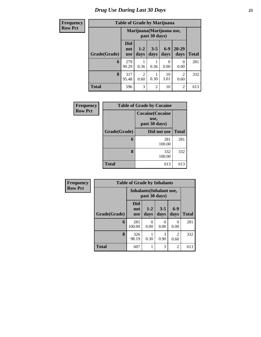## *Drug Use During Last 30 Days* **21**

## $Row$

|  |  | <b>Table of Grade by Marijuana</b> |
|--|--|------------------------------------|

| <b>Frequency</b> | <b>Table of Grade by Marijuana</b> |                                 |                        |                 |                  |                   |              |  |  |
|------------------|------------------------------------|---------------------------------|------------------------|-----------------|------------------|-------------------|--------------|--|--|
| <b>Row Pct</b>   |                                    | Marijuana (Marijuana use,       |                        |                 |                  |                   |              |  |  |
|                  | Grade(Grade)                       | <b>Did</b><br>not<br><b>use</b> | $1 - 2$<br>days        | $3 - 5$<br>days | $6-9$<br>days    | $20 - 29$<br>days | <b>Total</b> |  |  |
|                  | 6                                  | 279<br>99.29                    | 0.36                   | 0.36            | $\Omega$<br>0.00 | 0<br>0.00         | 281          |  |  |
|                  | 8                                  | 317<br>95.48                    | $\overline{2}$<br>0.60 | 0.30            | 10<br>3.01       | 2<br>0.60         | 332          |  |  |
|                  | <b>Total</b>                       | 596                             | 3                      | $\overline{c}$  | 10               | $\overline{2}$    | 613          |  |  |

| Frequency      |              | <b>Table of Grade by Cocaine</b>                 |              |
|----------------|--------------|--------------------------------------------------|--------------|
| <b>Row Pct</b> |              | <b>Cocaine</b> (Cocaine<br>use,<br>past 30 days) |              |
|                | Grade(Grade) | Did not use                                      | <b>Total</b> |
|                | 6            | 281<br>100.00                                    | 281          |
|                | 8            | 332<br>100.00                                    | 332          |
|                | <b>Total</b> | 613                                              | 613          |

| Frequency      |              | <b>Table of Grade by Inhalants</b>        |                 |                  |                        |              |
|----------------|--------------|-------------------------------------------|-----------------|------------------|------------------------|--------------|
| <b>Row Pct</b> |              | Inhalants (Inhalant use,<br>past 30 days) |                 |                  |                        |              |
|                | Grade(Grade) | Did<br>not<br><b>use</b>                  | $1 - 2$<br>days | $3 - 5$<br>days  | $6-9$<br>days          | <b>Total</b> |
|                | 6            | 281<br>100.00                             | 0.00            | $\Omega$<br>0.00 | 0<br>0.00              | 281          |
|                | 8            | 326<br>98.19                              | 0.30            | 3<br>0.90        | $\overline{2}$<br>0.60 | 332          |
|                | Total        | 607                                       |                 | 3                | 2                      | 613          |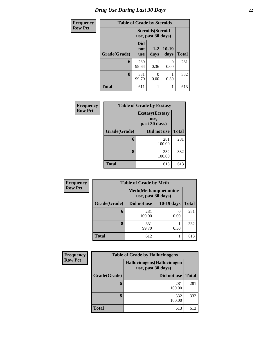| <b>Frequency</b> | <b>Table of Grade by Steroids</b> |                                                |                 |                 |              |
|------------------|-----------------------------------|------------------------------------------------|-----------------|-----------------|--------------|
| <b>Row Pct</b>   |                                   | <b>Steroids</b> (Steroid<br>use, past 30 days) |                 |                 |              |
|                  | Grade(Grade)                      | Did<br>not<br><b>use</b>                       | $1 - 2$<br>days | $10-19$<br>days | <b>Total</b> |
|                  | 6                                 | 280<br>99.64                                   | 0.36            | 0.00            | 281          |
|                  | 8                                 | 331<br>99.70                                   | 0<br>0.00       | 0.30            | 332          |
|                  | <b>Total</b>                      | 611                                            | 1               |                 | 613          |

| Frequency      | <b>Table of Grade by Ecstasy</b> |                                                  |              |  |
|----------------|----------------------------------|--------------------------------------------------|--------------|--|
| <b>Row Pct</b> |                                  | <b>Ecstasy</b> (Ecstasy<br>use,<br>past 30 days) |              |  |
|                | Grade(Grade)                     | Did not use                                      | <b>Total</b> |  |
|                | 6                                | 281<br>100.00                                    | 281          |  |
|                | 8                                | 332<br>100.00                                    | 332          |  |
|                | <b>Total</b>                     | 613                                              | 613          |  |

| <b>Frequency</b> | <b>Table of Grade by Meth</b> |                                                    |            |              |  |
|------------------|-------------------------------|----------------------------------------------------|------------|--------------|--|
| <b>Row Pct</b>   |                               | <b>Meth</b> (Methamphetamine<br>use, past 30 days) |            |              |  |
|                  | Grade(Grade)                  | Did not use                                        | 10-19 days | <b>Total</b> |  |
|                  | 6                             | 281<br>100.00                                      | 0.00       | 281          |  |
|                  | 8                             | 331<br>99.70                                       | 0.30       | 332          |  |
|                  | <b>Total</b>                  | 612                                                |            | 613          |  |

| Frequency      | <b>Table of Grade by Hallucinogens</b> |                                                   |              |  |  |
|----------------|----------------------------------------|---------------------------------------------------|--------------|--|--|
| <b>Row Pct</b> |                                        | Hallucinogens (Hallucinogen<br>use, past 30 days) |              |  |  |
|                | Grade(Grade)                           | Did not use                                       | <b>Total</b> |  |  |
|                | 6                                      | 281<br>100.00                                     | 281          |  |  |
|                | 8                                      | 332<br>100.00                                     | 332          |  |  |
|                | <b>Total</b>                           | 613                                               | 613          |  |  |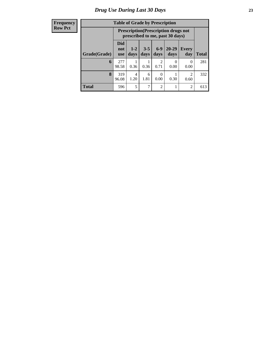### **Frequency Row Pct**

| <b>Table of Grade by Prescription</b> |                                 |                                                                                |                 |                 |                   |                        |              |
|---------------------------------------|---------------------------------|--------------------------------------------------------------------------------|-----------------|-----------------|-------------------|------------------------|--------------|
|                                       |                                 | <b>Prescription</b> (Prescription drugs not<br>prescribed to me, past 30 days) |                 |                 |                   |                        |              |
| Grade(Grade)                          | <b>Did</b><br>not<br><b>use</b> | $1 - 2$<br>days                                                                | $3 - 5$<br>days | $6 - 9$<br>days | $20 - 29$<br>days | <b>Every</b><br>day    | <b>Total</b> |
| 6                                     | 277<br>98.58                    | 0.36                                                                           | 0.36            | っ<br>0.71       | 0.00              | 0<br>0.00              | 281          |
| 8                                     | 319<br>96.08                    | 4<br>1.20                                                                      | 6<br>1.81       | 0.00            | 0.30              | $\mathfrak{D}$<br>0.60 | 332          |
| <b>Total</b>                          | 596                             | 5                                                                              | 7               | $\mathfrak{D}$  |                   | $\overline{2}$         | 613          |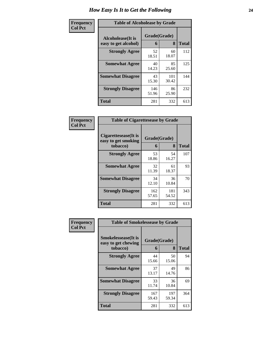| Frequency      | <b>Table of Alcoholease by Grade</b>              |                   |              |              |
|----------------|---------------------------------------------------|-------------------|--------------|--------------|
| <b>Col Pct</b> | <b>Alcoholease</b> (It is<br>easy to get alcohol) | Grade(Grade)<br>6 | 8            | <b>Total</b> |
|                | <b>Strongly Agree</b>                             | 52<br>18.51       | 60<br>18.07  | 112          |
|                | <b>Somewhat Agree</b>                             | 40<br>14.23       | 85<br>25.60  | 125          |
|                | <b>Somewhat Disagree</b>                          | 43<br>15.30       | 101<br>30.42 | 144          |
|                | <b>Strongly Disagree</b>                          | 146<br>51.96      | 86<br>25.90  | 232          |
|                | <b>Total</b>                                      | 281               | 332          | 613          |

| Frequency      | <b>Table of Cigarettesease by Grade</b>                  |                   |              |              |
|----------------|----------------------------------------------------------|-------------------|--------------|--------------|
| <b>Col Pct</b> | Cigarettesease (It is<br>easy to get smoking<br>tobacco) | Grade(Grade)<br>6 | 8            | <b>Total</b> |
|                | <b>Strongly Agree</b>                                    | 53<br>18.86       | 54<br>16.27  | 107          |
|                | <b>Somewhat Agree</b>                                    | 32<br>11.39       | 61<br>18.37  | 93           |
|                | <b>Somewhat Disagree</b>                                 | 34<br>12.10       | 36<br>10.84  | 70           |
|                | <b>Strongly Disagree</b>                                 | 162<br>57.65      | 181<br>54.52 | 343          |
|                | <b>Total</b>                                             | 281               | 332          | 613          |

| Frequency      | <b>Table of Smokelessease by Grade</b>             |              |              |              |  |
|----------------|----------------------------------------------------|--------------|--------------|--------------|--|
| <b>Col Pct</b> | <b>Smokelessease</b> (It is<br>easy to get chewing |              | Grade(Grade) |              |  |
|                | tobacco)                                           | 6            | 8            | <b>Total</b> |  |
|                | <b>Strongly Agree</b>                              | 44<br>15.66  | 50<br>15.06  | 94           |  |
|                | <b>Somewhat Agree</b>                              | 37<br>13.17  | 49<br>14.76  | 86           |  |
|                | <b>Somewhat Disagree</b>                           | 33<br>11.74  | 36<br>10.84  | 69           |  |
|                | <b>Strongly Disagree</b>                           | 167<br>59.43 | 197<br>59.34 | 364          |  |
|                | <b>Total</b>                                       | 281          | 332          | 613          |  |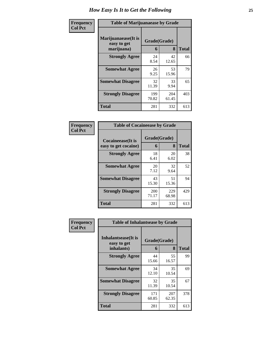| Frequency      | <b>Table of Marijuanaease by Grade</b>           |                   |              |              |
|----------------|--------------------------------------------------|-------------------|--------------|--------------|
| <b>Col Pct</b> | Marijuanaease(It is<br>easy to get<br>marijuana) | Grade(Grade)<br>6 | 8            | <b>Total</b> |
|                | <b>Strongly Agree</b>                            | 24<br>8.54        | 42<br>12.65  | 66           |
|                | <b>Somewhat Agree</b>                            | 26<br>9.25        | 53<br>15.96  | 79           |
|                | <b>Somewhat Disagree</b>                         | 32<br>11.39       | 33<br>9.94   | 65           |
|                | <b>Strongly Disagree</b>                         | 199<br>70.82      | 204<br>61.45 | 403          |
|                | <b>Total</b>                                     | 281               | 332          | 613          |

### **Frequency Col Pct**

| <b>Table of Cocaineease by Grade</b>              |                   |              |     |  |  |
|---------------------------------------------------|-------------------|--------------|-----|--|--|
| <b>Cocaineease</b> (It is<br>easy to get cocaine) | Grade(Grade)<br>6 | <b>Total</b> |     |  |  |
| <b>Strongly Agree</b>                             | 18<br>6.41        | 20<br>6.02   | 38  |  |  |
| <b>Somewhat Agree</b>                             | 20<br>7.12        | 32<br>9.64   | 52  |  |  |
| <b>Somewhat Disagree</b>                          | 43<br>15.30       | 51<br>15.36  | 94  |  |  |
| <b>Strongly Disagree</b>                          | 200<br>71.17      | 229<br>68.98 | 429 |  |  |
| <b>Total</b>                                      | 281               | 332          | 613 |  |  |

| Frequency      | <b>Table of Inhalantsease by Grade</b>                   |                   |              |              |
|----------------|----------------------------------------------------------|-------------------|--------------|--------------|
| <b>Col Pct</b> | <b>Inhalantsease</b> (It is<br>easy to get<br>inhalants) | Grade(Grade)<br>6 | 8            | <b>Total</b> |
|                | <b>Strongly Agree</b>                                    | 44<br>15.66       | 55<br>16.57  | 99           |
|                | <b>Somewhat Agree</b>                                    | 34<br>12.10       | 35<br>10.54  | 69           |
|                | <b>Somewhat Disagree</b>                                 | 32<br>11.39       | 35<br>10.54  | 67           |
|                | <b>Strongly Disagree</b>                                 | 171<br>60.85      | 207<br>62.35 | 378          |
|                | <b>Total</b>                                             | 281               | 332          | 613          |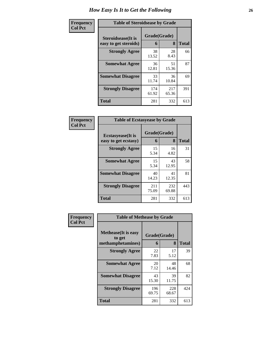| Frequency      | <b>Table of Steroidsease by Grade</b>               |                   |              |              |
|----------------|-----------------------------------------------------|-------------------|--------------|--------------|
| <b>Col Pct</b> | <b>Steroidsease</b> (It is<br>easy to get steroids) | Grade(Grade)<br>6 | 8            | <b>Total</b> |
|                | <b>Strongly Agree</b>                               | 38<br>13.52       | 28<br>8.43   | 66           |
|                | <b>Somewhat Agree</b>                               | 36<br>12.81       | 51<br>15.36  | 87           |
|                | <b>Somewhat Disagree</b>                            | 33<br>11.74       | 36<br>10.84  | 69           |
|                | <b>Strongly Disagree</b>                            | 174<br>61.92      | 217<br>65.36 | 391          |
|                | <b>Total</b>                                        | 281               | 332          | 613          |

| Frequency      | <b>Table of Ecstasyease by Grade</b>              |                   |              |              |
|----------------|---------------------------------------------------|-------------------|--------------|--------------|
| <b>Col Pct</b> | <b>Ecstasyease</b> (It is<br>easy to get ecstasy) | Grade(Grade)<br>6 | 8            | <b>Total</b> |
|                | <b>Strongly Agree</b>                             | 15<br>5.34        | 16<br>4.82   | 31           |
|                | <b>Somewhat Agree</b>                             | 15<br>5.34        | 43<br>12.95  | 58           |
|                | <b>Somewhat Disagree</b>                          | 40<br>14.23       | 41<br>12.35  | 81           |
|                | <b>Strongly Disagree</b>                          | 211<br>75.09      | 232<br>69.88 | 443          |
|                | Total                                             | 281               | 332          | 613          |

| Frequency      | <b>Table of Methease by Grade</b>     |                                        |                 |                    |  |  |
|----------------|---------------------------------------|----------------------------------------|-----------------|--------------------|--|--|
| <b>Col Pct</b> | <b>Methease</b> (It is easy<br>to get | Grade(Grade)<br>methamphetamines)<br>6 |                 |                    |  |  |
|                | <b>Strongly Agree</b>                 | 22<br>7.83                             | 8<br>17<br>5.12 | <b>Total</b><br>39 |  |  |
|                | <b>Somewhat Agree</b>                 | 20<br>7.12                             | 48<br>14.46     | 68                 |  |  |
|                | <b>Somewhat Disagree</b>              | 43<br>15.30                            | 39<br>11.75     | 82                 |  |  |
|                | <b>Strongly Disagree</b>              | 196<br>69.75                           | 228<br>68.67    | 424                |  |  |
|                | <b>Total</b>                          | 281                                    | 332             | 613                |  |  |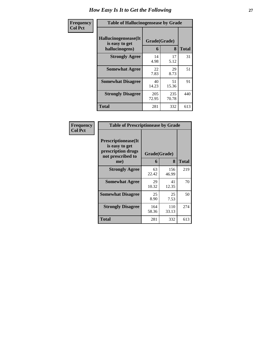| <b>Frequency</b> | <b>Table of Hallucinogensease by Grade</b>               |                   |              |              |
|------------------|----------------------------------------------------------|-------------------|--------------|--------------|
| <b>Col Pct</b>   | Hallucinogensease(It<br>is easy to get<br>hallucinogens) | Grade(Grade)<br>6 | 8            | <b>Total</b> |
|                  | <b>Strongly Agree</b>                                    | 14<br>4.98        | 17<br>5.12   | 31           |
|                  | <b>Somewhat Agree</b>                                    | 22<br>7.83        | 29<br>8.73   | 51           |
|                  | <b>Somewhat Disagree</b>                                 | 40<br>14.23       | 51<br>15.36  | 91           |
|                  | <b>Strongly Disagree</b>                                 | 205<br>72.95      | 235<br>70.78 | 440          |
|                  | <b>Total</b>                                             | 281               | 332          | 613          |

| Frequency<br>Col Pct |
|----------------------|
|                      |

| <b>Table of Prescriptionease by Grade</b>                                                |              |              |              |  |  |  |  |  |  |  |
|------------------------------------------------------------------------------------------|--------------|--------------|--------------|--|--|--|--|--|--|--|
| <b>Prescriptionease</b> (It<br>is easy to get<br>prescription drugs<br>not prescribed to | Grade(Grade) |              |              |  |  |  |  |  |  |  |
| me)                                                                                      | 6            | 8            | <b>Total</b> |  |  |  |  |  |  |  |
| <b>Strongly Agree</b>                                                                    | 63<br>22.42  | 156<br>46.99 | 219          |  |  |  |  |  |  |  |
| <b>Somewhat Agree</b>                                                                    | 29<br>10.32  | 41<br>12.35  | 70           |  |  |  |  |  |  |  |
| <b>Somewhat Disagree</b>                                                                 | 25<br>8.90   | 25<br>7.53   | 50           |  |  |  |  |  |  |  |
| <b>Strongly Disagree</b>                                                                 | 164<br>58.36 | 110<br>33.13 | 274          |  |  |  |  |  |  |  |
| <b>Total</b>                                                                             | 281          | 332          | 613          |  |  |  |  |  |  |  |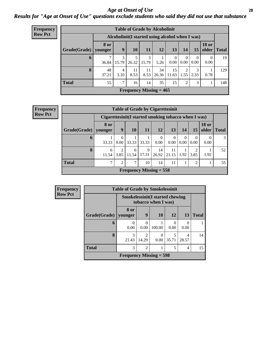### *Age at Onset of Use* **28** *Results for "Age at Onset of Use" questions exclude students who said they did not use that substance*

| <b>Frequency</b> |              |                 |            |            |            | <b>Table of Grade by Alcoholinit</b>             |                        |                  |                  |                             |     |
|------------------|--------------|-----------------|------------|------------|------------|--------------------------------------------------|------------------------|------------------|------------------|-----------------------------|-----|
| <b>Row Pct</b>   |              |                 |            |            |            | Alcoholinit (I started using alcohol when I was) |                        |                  |                  |                             |     |
|                  | Grade(Grade) | 8 or<br>younger | 9          | <b>10</b>  | <b>11</b>  | 12                                               | 13                     | 14               | 15               | <b>18 or</b><br>older Total |     |
|                  | 6            | 36.84           | 3<br>15.79 | 26.32      | 3<br>15.79 | 5.26                                             | $\overline{0}$<br>0.00 | $\theta$<br>0.00 | $\Omega$<br>0.00 | $\theta$<br>0.00            | 19  |
|                  | 8            | 48<br>37.21     | 4<br>3.10  | 11<br>8.53 | 11<br>8.53 | 34<br>26.36                                      | 15<br>11.63            | 2<br>1.55        | 3<br>2.33        | 0.78                        | 129 |
|                  | <b>Total</b> | 55              | 7          | 16         | 14         | 35                                               | 15                     | 2                | 3                |                             | 148 |
|                  |              |                 |            |            |            | Frequency Missing $= 465$                        |                        |                  |                  |                             |     |

| <b>Frequency</b> |                        |                                                       |           |            |            | <b>Table of Grade by Cigarettesinit</b> |                  |                  |                  |                               |    |
|------------------|------------------------|-------------------------------------------------------|-----------|------------|------------|-----------------------------------------|------------------|------------------|------------------|-------------------------------|----|
| <b>Row Pct</b>   |                        | Cigarettesinit (I started smoking tobacco when I was) |           |            |            |                                         |                  |                  |                  |                               |    |
|                  | Grade(Grade)   younger | <b>8 or</b>                                           | 9         | 10         | 11         | 12                                      | 13               | 14               | 15               | <b>18 or</b><br>older   Total |    |
|                  | $\mathbf 0$            | 33.33                                                 | 0<br>0.00 | 33.33      | 33.33      | $\theta$<br>0.00                        | $\Omega$<br>0.00 | $\theta$<br>0.00 | $\Omega$<br>0.00 | $\theta$<br>0.00              | 3  |
|                  | 8                      | 6<br>11.54                                            | 2<br>3.85 | 6<br>11.54 | 9<br>17.31 | 14<br>26.92                             | 11<br>21.15      | 1.92             | 3.85             | 1.92                          | 52 |
|                  | <b>Total</b>           | ⇁                                                     | 2         | 7          | 10         | 14                                      | 11               |                  | $\mathcal{D}$    |                               | 55 |
|                  |                        |                                                       |           |            |            | Frequency Missing $= 558$               |                  |                  |                  |                               |    |

| <b>Frequency</b> | <b>Table of Grade by Smokelessinit</b> |                           |                                                               |           |                  |            |              |  |  |  |  |
|------------------|----------------------------------------|---------------------------|---------------------------------------------------------------|-----------|------------------|------------|--------------|--|--|--|--|
| <b>Row Pct</b>   |                                        |                           | <b>Smokelessinit(I started chewing</b><br>tobacco when I was) |           |                  |            |              |  |  |  |  |
|                  | Grade(Grade)                           | 8 or<br>younger           | 9                                                             | <b>10</b> | 12               | 13         | <b>Total</b> |  |  |  |  |
|                  | 6                                      | 0.00                      | $\Omega$<br>0.00                                              | 100.00    | $\Omega$<br>0.00 | 0<br>0.00  |              |  |  |  |  |
|                  | 8                                      | 3<br>21.43                | $\mathfrak{D}$<br>14.29                                       | 0.00      | 35.71            | 4<br>28.57 | 14           |  |  |  |  |
|                  | <b>Total</b>                           | 3                         | $\overline{2}$                                                |           | 5                | 4          | 15           |  |  |  |  |
|                  |                                        | Frequency Missing $=$ 598 |                                                               |           |                  |            |              |  |  |  |  |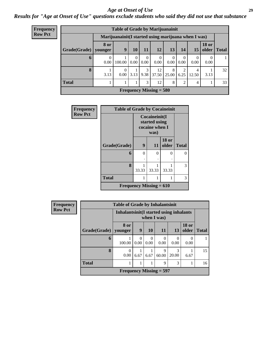### *Age at Onset of Use* **29**

*Results for "Age at Onset of Use" questions exclude students who said they did not use that substance*

| Frequency      |              |                        | <b>Table of Grade by Marijuanainit</b>               |                  |                  |                           |                  |                        |                  |                       |              |
|----------------|--------------|------------------------|------------------------------------------------------|------------------|------------------|---------------------------|------------------|------------------------|------------------|-----------------------|--------------|
| <b>Row Pct</b> |              |                        | Marijuanainit (I started using marijuana when I was) |                  |                  |                           |                  |                        |                  |                       |              |
|                | Grade(Grade) | <b>8 or</b><br>younger | $\boldsymbol{9}$                                     | 10               | 11               | 12                        | 13               | 14                     | 15               | <b>18 or</b><br>older | <b>Total</b> |
|                | $\mathbf b$  | $\theta$<br>0.00       | 100.00                                               | $\Omega$<br>0.00 | $\theta$<br>0.00 | $\Omega$<br>0.00          | $\Omega$<br>0.00 | $\Omega$<br>0.00       | $\theta$<br>0.00 | 0<br>0.00             |              |
|                | 8            | 3.13                   | 0.00                                                 | 3.13             | 3<br>9.38        | 12<br>37.50               | 8<br>  25.00     | $\overline{2}$<br>6.25 | 4<br>12.50       | 3.13                  | 32           |
|                | <b>Total</b> |                        |                                                      |                  | 3                | 12                        | 8                | $\overline{2}$         | 4                |                       | 33           |
|                |              |                        |                                                      |                  |                  | Frequency Missing $= 580$ |                  |                        |                  |                       |              |

| <b>Frequency</b> | <b>Table of Grade by Cocaineinit</b> |       |                                                          |                       |              |  |  |
|------------------|--------------------------------------|-------|----------------------------------------------------------|-----------------------|--------------|--|--|
| <b>Row Pct</b>   |                                      |       | Cocaineinit(I<br>started using<br>cocaine when I<br>was) |                       |              |  |  |
|                  | Grade(Grade)                         | 9     | 11                                                       | <b>18 or</b><br>older | <b>Total</b> |  |  |
|                  | 6                                    | 0     | 0                                                        | 0                     | 0            |  |  |
|                  | 8                                    | 33.33 | 33.33                                                    | 33.33                 | 3            |  |  |
|                  | <b>Total</b>                         | 1     | 1                                                        | 1                     | 3            |  |  |
|                  | Frequency Missing $= 610$            |       |                                                          |                       |              |  |  |

| Frequency      |              | <b>Table of Grade by Inhalantsinit</b>   |      |                  |                  |            |                       |              |
|----------------|--------------|------------------------------------------|------|------------------|------------------|------------|-----------------------|--------------|
| <b>Row Pct</b> |              | Inhalantsinit (I started using inhalants |      |                  | when I was)      |            |                       |              |
|                | Grade(Grade) | 8 or<br>younger                          | 9    | <b>10</b>        | 11               | <b>13</b>  | <b>18 or</b><br>older | <b>Total</b> |
|                | 6            | 100.00                                   | 0.00 | $\theta$<br>0.00 | $\Omega$<br>0.00 | 0.00       | $\theta$<br>0.00      |              |
|                | 8            | $\theta$<br>0.00                         | 6.67 | 6.67             | 9<br>60.00       | 3<br>20.00 | 6.67                  | 15           |
|                | <b>Total</b> | 1                                        |      |                  | $\mathbf Q$      | 3          |                       | 16           |
|                |              | Frequency Missing $=$ 597                |      |                  |                  |            |                       |              |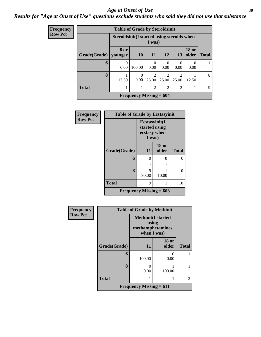### Age at Onset of Use **30**

## *Results for "Age at Onset of Use" questions exclude students who said they did not use that substance*

| Frequency      |              | <b>Table of Grade by Steroidsinit</b>       |                           |                         |                         |                         |                       |              |
|----------------|--------------|---------------------------------------------|---------------------------|-------------------------|-------------------------|-------------------------|-----------------------|--------------|
| <b>Row Pct</b> |              | Steroidsinit (I started using steroids when |                           | I was)                  |                         |                         |                       |              |
|                | Grade(Grade) | 8 or<br>younger                             | 10                        | <b>11</b>               | 12                      | 13                      | <b>18 or</b><br>older | <b>Total</b> |
|                | 6            | 0<br>0.00                                   | 100.00                    | 0<br>0.00               | 0<br>0.00               | $\Omega$<br>0.00        | 0.00                  |              |
|                | 8            | 12.50                                       | $\theta$<br>0.00          | $\mathfrak{D}$<br>25.00 | $\mathfrak{D}$<br>25.00 | $\overline{2}$<br>25.00 | 12.50                 | 8            |
|                | <b>Total</b> |                                             |                           | $\overline{2}$          | $\overline{2}$          | $\overline{2}$          |                       | 9            |
|                |              |                                             | Frequency Missing $= 604$ |                         |                         |                         |                       |              |

| Frequency      | <b>Table of Grade by Ecstasyinit</b> |                                                          |                       |              |
|----------------|--------------------------------------|----------------------------------------------------------|-----------------------|--------------|
| <b>Row Pct</b> |                                      | Ecstasyinit(I<br>started using<br>ecstasy when<br>I was) |                       |              |
|                | Grade(Grade)                         | 11                                                       | <b>18 or</b><br>older | <b>Total</b> |
|                | 6                                    | 0<br>٠                                                   | 0                     | 0            |
|                | 8                                    | 9<br>90.00                                               | 10.00                 | 10           |
|                | <b>Total</b>                         | 9                                                        |                       | 10           |
|                | Frequency Missing $= 603$            |                                                          |                       |              |

| <b>Frequency</b> | <b>Table of Grade by Methinit</b> |                                                                       |                       |                |
|------------------|-----------------------------------|-----------------------------------------------------------------------|-----------------------|----------------|
| <b>Row Pct</b>   |                                   | <b>Methinit(I started</b><br>using<br>methamphetamines<br>when I was) |                       |                |
|                  | Grade(Grade)                      | 11                                                                    | <b>18 or</b><br>older | <b>Total</b>   |
|                  | 6                                 | 100.00                                                                | ∩<br>0.00             |                |
|                  | 8                                 | $\Omega$<br>0.00                                                      | 100.00                |                |
|                  | <b>Total</b>                      |                                                                       |                       | $\mathfrak{D}$ |
|                  |                                   | Frequency Missing $= 611$                                             |                       |                |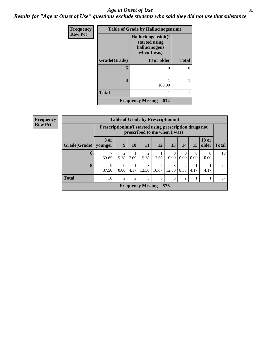### *Age at Onset of Use* **31**

*Results for "Age at Onset of Use" questions exclude students who said they did not use that substance*

| Frequency      | <b>Table of Grade by Hallucinogensinit</b> |                                                                      |              |  |
|----------------|--------------------------------------------|----------------------------------------------------------------------|--------------|--|
| <b>Row Pct</b> |                                            | Hallucinogensinit(I<br>started using<br>hallucinogens<br>when I was) |              |  |
|                | Grade(Grade)                               | 18 or older                                                          | <b>Total</b> |  |
|                | 6                                          |                                                                      |              |  |
|                | 8                                          | 100.00                                                               |              |  |
|                | <b>Total</b>                               |                                                                      |              |  |
|                | <b>Frequency Missing = 612</b>             |                                                                      |              |  |

| <b>Frequency</b> |                        | <b>Table of Grade by Prescriptioninit</b> |                                                                                            |      |                         |            |                  |                                     |                  |                       |              |
|------------------|------------------------|-------------------------------------------|--------------------------------------------------------------------------------------------|------|-------------------------|------------|------------------|-------------------------------------|------------------|-----------------------|--------------|
| <b>Row Pct</b>   |                        |                                           | Prescription in it (I started using prescription drugs not<br>prescribed to me when I was) |      |                         |            |                  |                                     |                  |                       |              |
|                  | Grade(Grade)   younger | <b>8 or</b>                               | 9                                                                                          | 10   | 11                      | 12         | 13               | 14                                  | 15               | <b>18 or</b><br>older | <b>Total</b> |
|                  | 6                      | 53.85                                     | 2<br>15.38                                                                                 | 7.69 | $\mathfrak{D}$<br>15.38 | 7.69       | $\Omega$<br>0.00 | $\theta$<br>0.00                    | $\Omega$<br>0.00 | $\theta$<br>0.00      | 13           |
|                  | 8                      | 9<br>37.50                                | $\Omega$<br>0.00                                                                           | 4.17 | 3<br>12.50              | 4<br>16.67 | 3<br>12.50       | $\mathcal{D}_{\mathcal{A}}$<br>8.33 | 4.17             | 4.17                  | 24           |
|                  | <b>Total</b>           | 16                                        | $\overline{2}$                                                                             | 2    | 5                       | 5          | 3                | $\overline{2}$                      |                  |                       | 37           |
|                  |                        | Frequency Missing $= 576$                 |                                                                                            |      |                         |            |                  |                                     |                  |                       |              |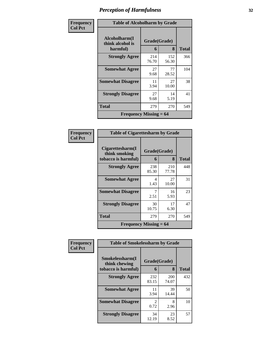| Frequency      | <b>Table of Alcoholharm by Grade</b> |                          |              |              |
|----------------|--------------------------------------|--------------------------|--------------|--------------|
| <b>Col Pct</b> | Alcoholharm(I<br>think alcohol is    | Grade(Grade)             |              |              |
|                | harmful)                             | 6                        | 8            | <b>Total</b> |
|                | <b>Strongly Agree</b>                | 214<br>76.70             | 152<br>56.30 | 366          |
|                | <b>Somewhat Agree</b>                | 27<br>9.68               | 77<br>28.52  | 104          |
|                | <b>Somewhat Disagree</b>             | 11<br>3.94               | 27<br>10.00  | 38           |
|                | <b>Strongly Disagree</b>             | 27<br>9.68               | 14<br>5.19   | 41           |
|                | Total                                | 279                      | 270          | 549          |
|                |                                      | Frequency Missing $= 64$ |              |              |

### **Frequency Col Pct**

|                                                          | <b>Table of Cigarettesharm by Grade</b> |                   |       |  |
|----------------------------------------------------------|-----------------------------------------|-------------------|-------|--|
| Cigarettesharm(I<br>think smoking<br>tobacco is harmful) | 6                                       | Grade(Grade)<br>8 | Total |  |
| <b>Strongly Agree</b>                                    | 238<br>85.30                            | 210<br>77.78      | 448   |  |
| <b>Somewhat Agree</b>                                    | 4<br>1.43                               | 27<br>10.00       | 31    |  |
| <b>Somewhat Disagree</b>                                 | 7<br>2.51                               | 16<br>5.93        | 23    |  |
| <b>Strongly Disagree</b>                                 | 30<br>10.75                             | 17<br>6.30        | 47    |  |
| <b>Total</b>                                             | 279                                     | 270               | 549   |  |
| <b>Frequency Missing = <math>64</math></b>               |                                         |                   |       |  |

| <b>Frequency</b> | <b>Table of Smokelessharm by Grade</b> |                        |              |              |
|------------------|----------------------------------------|------------------------|--------------|--------------|
| <b>Col Pct</b>   | Smokelessharm(I<br>think chewing       | Grade(Grade)           |              |              |
|                  | tobacco is harmful)                    | 6                      | 8            | <b>Total</b> |
|                  | <b>Strongly Agree</b>                  | 232<br>83.15           | 200<br>74.07 | 432          |
|                  | <b>Somewhat Agree</b>                  | 11<br>3.94             | 39<br>14.44  | 50           |
|                  | <b>Somewhat Disagree</b>               | $\mathfrak{D}$<br>0.72 | 8<br>2.96    | 10           |
|                  | <b>Strongly Disagree</b>               | 34<br>12.19            | 23<br>8.52   | 57           |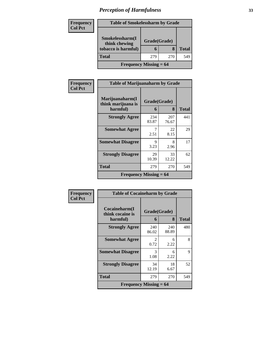### **Frequency Col Pct**

| <b>Table of Smokelessharm by Grade</b>                  |                   |     |              |
|---------------------------------------------------------|-------------------|-----|--------------|
| Smokelessharm(I<br>think chewing<br>tobacco is harmful) | Grade(Grade)<br>6 | 8   | <b>Total</b> |
| <b>Total</b>                                            | 279               | 270 | 549          |
| <b>Frequency Missing = 64</b>                           |                   |     |              |

| Frequency      | <b>Table of Marijuanaharm by Grade</b>            |                   |              |              |
|----------------|---------------------------------------------------|-------------------|--------------|--------------|
| <b>Col Pct</b> | Marijuanaharm(I<br>think marijuana is<br>harmful) | Grade(Grade)<br>6 | 8            | <b>Total</b> |
|                | <b>Strongly Agree</b>                             | 234<br>83.87      | 207<br>76.67 | 441          |
|                | <b>Somewhat Agree</b>                             | 7<br>2.51         | 22<br>8.15   | 29           |
|                | <b>Somewhat Disagree</b>                          | 9<br>3.23         | 8<br>2.96    | 17           |
|                | <b>Strongly Disagree</b>                          | 29<br>10.39       | 33<br>12.22  | 62           |
|                | Total                                             | 279               | 270          | 549          |
|                | Frequency Missing $= 64$                          |                   |              |              |

| Frequency      |                                   | <b>Table of Cocaineharm by Grade</b> |              |              |
|----------------|-----------------------------------|--------------------------------------|--------------|--------------|
| <b>Col Pct</b> | Cocaineharm(I<br>think cocaine is | Grade(Grade)                         |              |              |
|                | harmful)                          | 6                                    | 8            | <b>Total</b> |
|                | <b>Strongly Agree</b>             | 240<br>86.02                         | 240<br>88.89 | 480          |
|                | <b>Somewhat Agree</b>             | $\mathcal{L}$<br>0.72                | 6<br>2.22    | 8            |
|                | <b>Somewhat Disagree</b>          | 3<br>1.08                            | 6<br>2.22    | 9            |
|                | <b>Strongly Disagree</b>          | 34<br>12.19                          | 18<br>6.67   | 52           |
|                | Total                             | 279                                  | 270          | 549          |
|                | Frequency Missing $= 64$          |                                      |              |              |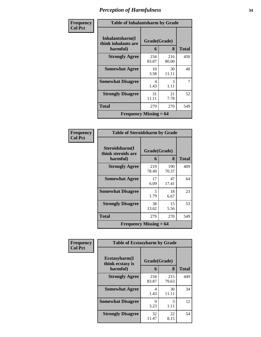| Frequency      | <b>Table of Inhalantsharm by Grade</b>             |                   |              |       |
|----------------|----------------------------------------------------|-------------------|--------------|-------|
| <b>Col Pct</b> | Inhalantsharm(I<br>think inhalants are<br>harmful) | Grade(Grade)<br>6 | 8            | Total |
|                | <b>Strongly Agree</b>                              | 234<br>83.87      | 216<br>80.00 | 450   |
|                | <b>Somewhat Agree</b>                              | 10<br>3.58        | 30<br>11.11  | 40    |
|                | <b>Somewhat Disagree</b>                           | 4<br>1.43         | 3<br>1.11    | 7     |
|                | <b>Strongly Disagree</b>                           | 31<br>11.11       | 21<br>7.78   | 52    |
|                | Total                                              | 279               | 270          | 549   |
|                | Frequency Missing $= 64$                           |                   |              |       |

| <b>Frequency</b><br>Col Pct |
|-----------------------------|

| <b>Table of Steroidsharm by Grade</b>            |                   |              |     |  |  |
|--------------------------------------------------|-------------------|--------------|-----|--|--|
| Steroidsharm(I<br>think steroids are<br>harmful) | Grade(Grade)<br>6 | <b>Total</b> |     |  |  |
| <b>Strongly Agree</b>                            | 219<br>78.49      | 190<br>70.37 | 409 |  |  |
| <b>Somewhat Agree</b>                            | 17<br>6.09        | 47<br>17.41  | 64  |  |  |
| <b>Somewhat Disagree</b>                         | 5<br>1.79         | 18<br>6.67   | 23  |  |  |
| <b>Strongly Disagree</b>                         | 38<br>13.62       | 15<br>5.56   | 53  |  |  |
| Total                                            | 279               | 270          | 549 |  |  |
| <b>Frequency Missing <math>= 64</math></b>       |                   |              |     |  |  |

| Frequency      | <b>Table of Ecstasyharm by Grade</b> |              |              |              |
|----------------|--------------------------------------|--------------|--------------|--------------|
| <b>Col Pct</b> | Ecstasyharm(I<br>think ecstasy is    | Grade(Grade) |              |              |
|                | harmful)                             | 6            | 8            | <b>Total</b> |
|                | <b>Strongly Agree</b>                | 234<br>83.87 | 215<br>79.63 | 449          |
|                | <b>Somewhat Agree</b>                | 4<br>1.43    | 30<br>11.11  | 34           |
|                | <b>Somewhat Disagree</b>             | 9<br>3.23    | 3<br>1.11    | 12           |
|                | <b>Strongly Disagree</b>             | 32<br>11.47  | 22<br>8.15   | 54           |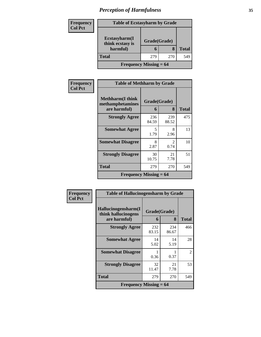| Frequency      | <b>Table of Ecstasyharm by Grade</b>          |              |     |              |
|----------------|-----------------------------------------------|--------------|-----|--------------|
| <b>Col Pct</b> | Ecstasyharm(I<br>think ecstasy is<br>harmful) | Grade(Grade) |     |              |
|                |                                               | 6            |     | <b>Total</b> |
|                | <b>Total</b>                                  | 279          | 270 | 549          |
|                | <b>Frequency Missing = 64</b>                 |              |     |              |

| Frequency      | <b>Table of Methharm by Grade</b>                            |                   |                       |              |
|----------------|--------------------------------------------------------------|-------------------|-----------------------|--------------|
| <b>Col Pct</b> | <b>Methharm</b> (I think<br>methamphetamines<br>are harmful) | Grade(Grade)<br>6 | 8                     | <b>Total</b> |
|                | <b>Strongly Agree</b>                                        | 236<br>84.59      | 239<br>88.52          | 475          |
|                | <b>Somewhat Agree</b>                                        | 5<br>1.79         | 8<br>2.96             | 13           |
|                | <b>Somewhat Disagree</b>                                     | 8<br>2.87         | $\mathcal{L}$<br>0.74 | 10           |
|                | <b>Strongly Disagree</b>                                     | 30<br>10.75       | 21<br>7.78            | 51           |
|                | Total                                                        | 279               | 270                   | 549          |
|                | <b>Frequency Missing = 64</b>                                |                   |                       |              |

| Frequency      | <b>Table of Hallucinogensharm by Grade</b>                 |              |              |                |
|----------------|------------------------------------------------------------|--------------|--------------|----------------|
| <b>Col Pct</b> | Hallucinogensharm(I<br>Grade(Grade)<br>think hallucinogens |              |              |                |
|                | are harmful)                                               | 6            | 8            | <b>Total</b>   |
|                | <b>Strongly Agree</b>                                      | 232<br>83.15 | 234<br>86.67 | 466            |
|                | <b>Somewhat Agree</b>                                      | 14<br>5.02   | 14<br>5.19   | 28             |
|                | <b>Somewhat Disagree</b>                                   | 0.36         | 0.37         | $\overline{2}$ |
|                | <b>Strongly Disagree</b>                                   | 32<br>11.47  | 21<br>7.78   | 53             |
|                | <b>Total</b>                                               | 279          | 270          | 549            |
|                | <b>Frequency Missing <math>= 64</math></b>                 |              |              |                |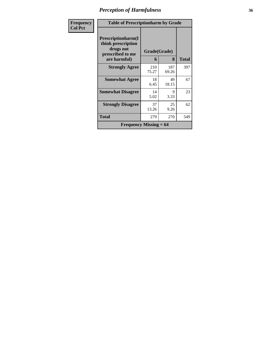| Frequency      | <b>Table of Prescriptionharm by Grade</b>                                         |              |              |              |
|----------------|-----------------------------------------------------------------------------------|--------------|--------------|--------------|
| <b>Col Pct</b> | <b>Prescriptionharm(I)</b><br>think prescription<br>drugs not<br>prescribed to me | Grade(Grade) |              |              |
|                | are harmful)                                                                      | 6            | 8            | <b>Total</b> |
|                | <b>Strongly Agree</b>                                                             | 210<br>75.27 | 187<br>69.26 | 397          |
|                | <b>Somewhat Agree</b>                                                             | 18<br>6.45   | 49<br>18.15  | 67           |
|                | <b>Somewhat Disagree</b>                                                          | 14<br>5.02   | 9<br>3.33    | 23           |
|                | <b>Strongly Disagree</b>                                                          | 37<br>13.26  | 25<br>9.26   | 62           |
|                | Total                                                                             | 279          | 270          | 549          |
|                | Frequency Missing $= 64$                                                          |              |              |              |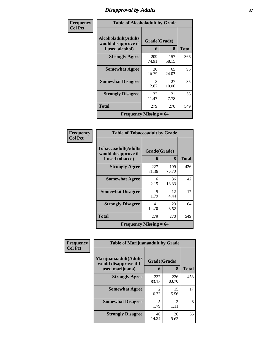## *Disapproval by Adults* **37**

| Frequency      |                                                                    | <b>Table of Alcoholadult by Grade</b> |              |              |  |
|----------------|--------------------------------------------------------------------|---------------------------------------|--------------|--------------|--|
| <b>Col Pct</b> | <b>Alcoholadult</b> (Adults<br>Grade(Grade)<br>would disapprove if |                                       |              |              |  |
|                | I used alcohol)                                                    | 6                                     | 8            | <b>Total</b> |  |
|                | <b>Strongly Agree</b>                                              | 209<br>74.91                          | 157<br>58.15 | 366          |  |
|                | <b>Somewhat Agree</b>                                              | 30<br>10.75                           | 65<br>24.07  | 95           |  |
|                | <b>Somewhat Disagree</b>                                           | 8<br>2.87                             | 27<br>10.00  | 35           |  |
|                | <b>Strongly Disagree</b>                                           | 32<br>11.47                           | 21<br>7.78   | 53           |  |
|                | <b>Total</b>                                                       | 279                                   | 270          | 549          |  |
|                | <b>Frequency Missing = 64</b>                                      |                                       |              |              |  |

| Frequency      | <b>Table of Tobaccoadult by Grade</b>                         |                   |              |              |
|----------------|---------------------------------------------------------------|-------------------|--------------|--------------|
| <b>Col Pct</b> | Tobaccoadult(Adults<br>would disapprove if<br>I used tobacco) | Grade(Grade)<br>6 | 8            | <b>Total</b> |
|                | <b>Strongly Agree</b>                                         | 227<br>81.36      | 199<br>73.70 | 426          |
|                | <b>Somewhat Agree</b>                                         | 6<br>2.15         | 36<br>13.33  | 42           |
|                | <b>Somewhat Disagree</b>                                      | 5<br>1.79         | 12<br>4.44   | 17           |
|                | <b>Strongly Disagree</b>                                      | 41<br>14.70       | 23<br>8.52   | 64           |
|                | Total                                                         | 279               | 270          | 549          |
|                | <b>Frequency Missing = 64</b>                                 |                   |              |              |

| Frequency      | <b>Table of Marijuanaadult by Grade</b>        |                                     |              |              |
|----------------|------------------------------------------------|-------------------------------------|--------------|--------------|
| <b>Col Pct</b> | Marijuanaadult(Adults<br>would disapprove if I | Grade(Grade)                        |              |              |
|                | used marijuana)                                | 6                                   | 8            | <b>Total</b> |
|                | <b>Strongly Agree</b>                          | 232<br>83.15                        | 226<br>83.70 | 458          |
|                | <b>Somewhat Agree</b>                          | $\mathcal{D}_{\mathcal{L}}$<br>0.72 | 15<br>5.56   | 17           |
|                | <b>Somewhat Disagree</b>                       | 5<br>1.79                           | 3<br>1.11    | 8            |
|                | <b>Strongly Disagree</b>                       | 40<br>14.34                         | 26<br>9.63   | 66           |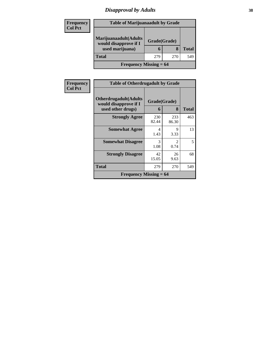## *Disapproval by Adults* **38**

| <b>Frequency</b> | <b>Table of Marijuanaadult by Grade</b>        |              |     |              |
|------------------|------------------------------------------------|--------------|-----|--------------|
| <b>Col Pct</b>   |                                                |              |     |              |
|                  | Marijuanaadult(Adults<br>would disapprove if I | Grade(Grade) |     |              |
|                  | used marijuana)                                | h            | 8   | <b>Total</b> |
|                  | <b>Total</b>                                   | 279          | 270 | 549          |
|                  | <b>Frequency Missing = 64</b>                  |              |     |              |

| <b>Frequency</b> | <b>Table of Otherdrugadult by Grade</b>                                     |                   |                        |              |
|------------------|-----------------------------------------------------------------------------|-------------------|------------------------|--------------|
| <b>Col Pct</b>   | <b>Otherdrugadult</b> (Adults<br>would disapprove if I<br>used other drugs) | Grade(Grade)<br>6 | 8                      | <b>Total</b> |
|                  | <b>Strongly Agree</b>                                                       | 230<br>82.44      | 233<br>86.30           | 463          |
|                  | <b>Somewhat Agree</b>                                                       | 4<br>1.43         | 9<br>3.33              | 13           |
|                  | <b>Somewhat Disagree</b>                                                    | 3<br>1.08         | $\mathfrak{D}$<br>0.74 | 5            |
|                  | <b>Strongly Disagree</b>                                                    | 42<br>15.05       | 26<br>9.63             | 68           |
|                  | <b>Total</b>                                                                | 279               | 270                    | 549          |
|                  | <b>Frequency Missing = 64</b>                                               |                   |                        |              |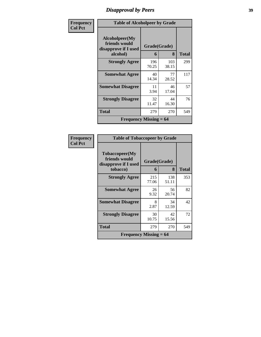## *Disapproval by Peers* **39**

| Frequency      |                                                                     | <b>Table of Alcoholpeer by Grade</b> |              |              |  |
|----------------|---------------------------------------------------------------------|--------------------------------------|--------------|--------------|--|
| <b>Col Pct</b> | Alcoholpeer(My<br>friends would<br>disapprove if I used<br>alcohol) | Grade(Grade)<br>6                    | 8            | <b>Total</b> |  |
|                | <b>Strongly Agree</b>                                               | 196<br>70.25                         | 103<br>38.15 | 299          |  |
|                | <b>Somewhat Agree</b>                                               | 40<br>14.34                          | 77<br>28.52  | 117          |  |
|                | <b>Somewhat Disagree</b>                                            | 11<br>3.94                           | 46<br>17.04  | 57           |  |
|                | <b>Strongly Disagree</b>                                            | 32<br>11.47                          | 44<br>16.30  | 76           |  |
|                | Total                                                               | 279                                  | 270          | 549          |  |
|                | <b>Frequency Missing = <math>64</math></b>                          |                                      |              |              |  |

| Frequency      |                                                                     | <b>Table of Tobaccopeer by Grade</b> |              |              |
|----------------|---------------------------------------------------------------------|--------------------------------------|--------------|--------------|
| <b>Col Pct</b> | Tobaccopeer(My<br>friends would<br>disapprove if I used<br>tobacco) | Grade(Grade)<br>6                    | 8            | <b>Total</b> |
|                | <b>Strongly Agree</b>                                               | 215<br>77.06                         | 138<br>51.11 | 353          |
|                | <b>Somewhat Agree</b>                                               | 26<br>9.32                           | 56<br>20.74  | 82           |
|                | <b>Somewhat Disagree</b>                                            | 8<br>2.87                            | 34<br>12.59  | 42           |
|                | <b>Strongly Disagree</b>                                            | 30<br>10.75                          | 42<br>15.56  | 72           |
|                | <b>Total</b>                                                        | 279                                  | 270          | 549          |
|                | Frequency Missing $= 64$                                            |                                      |              |              |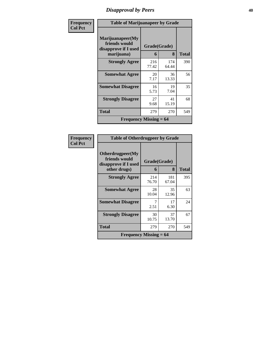## *Disapproval by Peers* **40**

| Frequency      |                                                                         | <b>Table of Marijuanapeer by Grade</b> |              |              |  |
|----------------|-------------------------------------------------------------------------|----------------------------------------|--------------|--------------|--|
| <b>Col Pct</b> | Marijuanapeer(My<br>friends would<br>disapprove if I used<br>marijuana) | Grade(Grade)<br>6                      | 8            | <b>Total</b> |  |
|                | <b>Strongly Agree</b>                                                   | 216<br>77.42                           | 174<br>64.44 | 390          |  |
|                | <b>Somewhat Agree</b>                                                   | 20<br>7.17                             | 36<br>13.33  | 56           |  |
|                | <b>Somewhat Disagree</b>                                                | 16<br>5.73                             | 19<br>7.04   | 35           |  |
|                | <b>Strongly Disagree</b>                                                | 27<br>9.68                             | 41<br>15.19  | 68           |  |
|                | <b>Total</b>                                                            | 279                                    | 270          | 549          |  |
|                | <b>Frequency Missing <math>= 64</math></b>                              |                                        |              |              |  |

| Frequency      | <b>Table of Otherdrugpeer by Grade</b>                                    |                   |              |              |
|----------------|---------------------------------------------------------------------------|-------------------|--------------|--------------|
| <b>Col Pct</b> | Otherdrugpeer(My<br>friends would<br>disapprove if I used<br>other drugs) | Grade(Grade)<br>6 | 8            | <b>Total</b> |
|                | <b>Strongly Agree</b>                                                     | 214<br>76.70      | 181<br>67.04 | 395          |
|                | <b>Somewhat Agree</b>                                                     | 28<br>10.04       | 35<br>12.96  | 63           |
|                | <b>Somewhat Disagree</b>                                                  | 7<br>2.51         | 17<br>6.30   | 24           |
|                | <b>Strongly Disagree</b>                                                  | 30<br>10.75       | 37<br>13.70  | 67           |
|                | <b>Total</b>                                                              | 279               | 270          | 549          |
|                | Frequency Missing $= 64$                                                  |                   |              |              |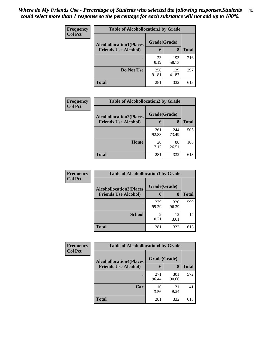| Frequency      | <b>Table of Alcohollocation1 by Grade</b> |              |              |              |
|----------------|-------------------------------------------|--------------|--------------|--------------|
| <b>Col Pct</b> | <b>Alcohollocation1(Places</b>            | Grade(Grade) |              |              |
|                | <b>Friends Use Alcohol)</b>               | 6            | 8            | <b>Total</b> |
|                |                                           | 23<br>8.19   | 193<br>58.13 | 216          |
|                | Do Not Use                                | 258<br>91.81 | 139<br>41.87 | 397          |
|                | <b>Total</b>                              | 281          | 332          | 613          |

| <b>Frequency</b> | <b>Table of Alcohollocation2 by Grade</b>                     |                   |              |              |
|------------------|---------------------------------------------------------------|-------------------|--------------|--------------|
| <b>Col Pct</b>   | <b>Alcohollocation2(Places</b><br><b>Friends Use Alcohol)</b> | Grade(Grade)<br>6 | 8            | <b>Total</b> |
|                  |                                                               |                   |              |              |
|                  |                                                               | 261<br>92.88      | 244<br>73.49 | 505          |
|                  | Home                                                          | 20<br>7.12        | 88<br>26.51  | 108          |
|                  | <b>Total</b>                                                  | 281               | 332          | 613          |

| Frequency<br><b>Col Pct</b> | <b>Table of Alcohollocation 3 by Grade</b> |              |              |              |
|-----------------------------|--------------------------------------------|--------------|--------------|--------------|
|                             | <b>Alcohollocation3(Places</b>             | Grade(Grade) |              |              |
|                             | <b>Friends Use Alcohol)</b>                | 6            | 8            | <b>Total</b> |
|                             |                                            | 279<br>99.29 | 320<br>96.39 | 599          |
|                             | <b>School</b>                              | 0.71         | 12<br>3.61   | 14           |
|                             | <b>Total</b>                               | 281          | 332          | 613          |

| Frequency      | <b>Table of Alcohollocation4 by Grade</b> |              |              |              |  |
|----------------|-------------------------------------------|--------------|--------------|--------------|--|
| <b>Col Pct</b> | <b>Alcohollocation4(Places</b>            | Grade(Grade) |              |              |  |
|                | <b>Friends Use Alcohol)</b>               | 6            | 8            | <b>Total</b> |  |
|                |                                           | 271<br>96.44 | 301<br>90.66 | 572          |  |
|                | Car                                       | 10<br>3.56   | 31<br>9.34   | 41           |  |
|                | <b>Total</b>                              | 281          | 332          | 613          |  |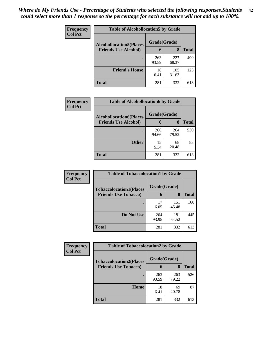| Frequency      | <b>Table of Alcohollocation5 by Grade</b> |              |              |              |  |
|----------------|-------------------------------------------|--------------|--------------|--------------|--|
| <b>Col Pct</b> | <b>Alcohollocation5(Places</b>            | Grade(Grade) |              |              |  |
|                | <b>Friends Use Alcohol)</b>               | 6            | 8            | <b>Total</b> |  |
|                |                                           | 263<br>93.59 | 227<br>68.37 | 490          |  |
|                | <b>Friend's House</b>                     | 18<br>6.41   | 105<br>31.63 | 123          |  |
|                | <b>Total</b>                              | 281          | 332          | 613          |  |

| Frequency      | <b>Table of Alcohollocation6 by Grade</b>                     |                   |              |              |
|----------------|---------------------------------------------------------------|-------------------|--------------|--------------|
| <b>Col Pct</b> | <b>Alcohollocation6(Places</b><br><b>Friends Use Alcohol)</b> | Grade(Grade)<br>6 | 8            | <b>Total</b> |
|                |                                                               | 266<br>94.66      | 264<br>79.52 | 530          |
|                | <b>Other</b>                                                  | 15<br>5.34        | 68<br>20.48  | 83           |
|                | <b>Total</b>                                                  | 281               | 332          | 613          |

| <b>Frequency</b> | <b>Table of Tobaccolocation1 by Grade</b> |              |              |              |
|------------------|-------------------------------------------|--------------|--------------|--------------|
| <b>Col Pct</b>   | <b>Tobaccolocation1(Places</b>            | Grade(Grade) |              |              |
|                  | <b>Friends Use Tobacco)</b>               | 6            | 8            | <b>Total</b> |
|                  |                                           | 17<br>6.05   | 151<br>45.48 | 168          |
|                  | Do Not Use                                | 264<br>93.95 | 181<br>54.52 | 445          |
|                  | <b>Total</b>                              | 281          | 332          | 613          |

| Frequency      | <b>Table of Tobaccolocation2 by Grade</b> |              |              |              |  |
|----------------|-------------------------------------------|--------------|--------------|--------------|--|
| <b>Col Pct</b> | <b>Tobaccolocation2(Places</b>            | Grade(Grade) |              |              |  |
|                | <b>Friends Use Tobacco)</b>               | 6            | 8            | <b>Total</b> |  |
|                |                                           | 263<br>93.59 | 263<br>79.22 | 526          |  |
|                | Home                                      | 18<br>6.41   | 69<br>20.78  | 87           |  |
|                | <b>Total</b>                              | 281          | 332          | 613          |  |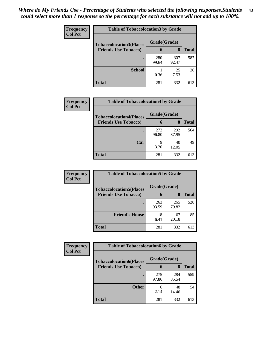| Frequency      | <b>Table of Tobaccolocation 3 by Grade</b> |              |              |              |  |
|----------------|--------------------------------------------|--------------|--------------|--------------|--|
| <b>Col Pct</b> | <b>Tobaccolocation3(Places</b>             | Grade(Grade) |              |              |  |
|                | <b>Friends Use Tobacco)</b>                | 6            | 8            | <b>Total</b> |  |
|                |                                            | 280<br>99.64 | 307<br>92.47 | 587          |  |
|                | <b>School</b>                              | 0.36         | 25<br>7.53   | 26           |  |
|                | <b>Total</b>                               | 281          | 332          | 613          |  |

| Frequency      | <b>Table of Tobaccolocation4 by Grade</b> |              |              |              |
|----------------|-------------------------------------------|--------------|--------------|--------------|
| <b>Col Pct</b> | <b>Tobaccolocation4(Places</b>            | Grade(Grade) |              |              |
|                | <b>Friends Use Tobacco)</b>               | 6            | 8            | <b>Total</b> |
|                |                                           | 272<br>96.80 | 292<br>87.95 | 564          |
|                | Car                                       | 9<br>3.20    | 40<br>12.05  | 49           |
|                | <b>Total</b>                              | 281          | 332          | 613          |

| Frequency<br><b>Col Pct</b> | <b>Table of Tobaccolocation5 by Grade</b>                     |                   |              |              |
|-----------------------------|---------------------------------------------------------------|-------------------|--------------|--------------|
|                             | <b>Tobaccolocation5(Places</b><br><b>Friends Use Tobacco)</b> | Grade(Grade)<br>6 | 8            | <b>Total</b> |
|                             |                                                               |                   |              |              |
|                             |                                                               | 263<br>93.59      | 265<br>79.82 | 528          |
|                             | <b>Friend's House</b>                                         | 18<br>6.41        | 67<br>20.18  | 85           |
|                             | <b>Total</b>                                                  | 281               | 332          | 613          |

| <b>Frequency</b> | <b>Table of Tobaccolocation6 by Grade</b> |              |              |              |  |
|------------------|-------------------------------------------|--------------|--------------|--------------|--|
| <b>Col Pct</b>   | <b>Tobaccolocation6(Places</b>            | Grade(Grade) |              |              |  |
|                  | <b>Friends Use Tobacco)</b>               | 6            | 8            | <b>Total</b> |  |
|                  |                                           | 275<br>97.86 | 284<br>85.54 | 559          |  |
|                  | <b>Other</b>                              | 6<br>2.14    | 48<br>14.46  | 54           |  |
|                  | <b>Total</b>                              | 281          | 332          | 613          |  |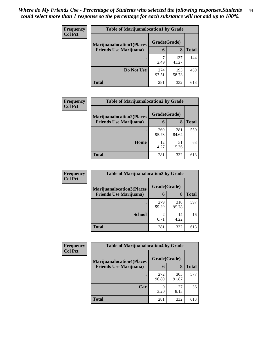| <b>Frequency</b> | <b>Table of Marijuanalocation1 by Grade</b> |              |              |              |
|------------------|---------------------------------------------|--------------|--------------|--------------|
| <b>Col Pct</b>   | <b>Marijuanalocation1(Places</b>            | Grade(Grade) |              |              |
|                  | <b>Friends Use Marijuana</b> )              | 6            | 8            | <b>Total</b> |
|                  |                                             | 2.49         | 137<br>41.27 | 144          |
|                  | Do Not Use                                  | 274<br>97.51 | 195<br>58.73 | 469          |
|                  | <b>Total</b>                                | 281          | 332          | 613          |

| <b>Frequency</b> | <b>Table of Marijuanalocation2 by Grade</b> |              |              |              |
|------------------|---------------------------------------------|--------------|--------------|--------------|
| <b>Col Pct</b>   | <b>Marijuanalocation2(Places</b>            | Grade(Grade) |              |              |
|                  | <b>Friends Use Marijuana</b> )              | 6            | 8            | <b>Total</b> |
|                  |                                             | 269<br>95.73 | 281<br>84.64 | 550          |
|                  | Home                                        | 12<br>4.27   | 51<br>15.36  | 63           |
|                  | <b>Total</b>                                | 281          | 332          | 613          |

| Frequency<br><b>Col Pct</b> | <b>Table of Marijuanalocation3 by Grade</b> |              |              |              |
|-----------------------------|---------------------------------------------|--------------|--------------|--------------|
|                             | <b>Marijuanalocation3</b> (Places           | Grade(Grade) |              |              |
|                             | <b>Friends Use Marijuana</b> )              | 6            | 8            | <b>Total</b> |
|                             |                                             | 279<br>99.29 | 318<br>95.78 | 597          |
|                             | <b>School</b>                               | 0.71         | 14<br>4.22   | 16           |
|                             | <b>Total</b>                                | 281          | 332          | 613          |

| Frequency      | <b>Table of Marijuanalocation4 by Grade</b> |              |              |              |
|----------------|---------------------------------------------|--------------|--------------|--------------|
| <b>Col Pct</b> | <b>Marijuanalocation4(Places</b>            | Grade(Grade) |              |              |
|                | <b>Friends Use Marijuana</b> )              | b            | 8            | <b>Total</b> |
|                |                                             | 272<br>96.80 | 305<br>91.87 | 577          |
|                | Car                                         | 9<br>3.20    | 27<br>8.13   | 36           |
|                | <b>Total</b>                                | 281          | 332          | 613          |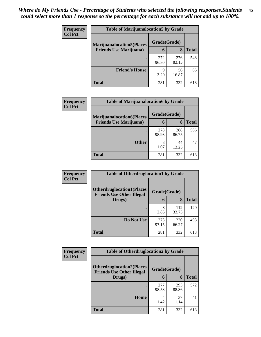| <b>Frequency</b> | <b>Table of Marijuanalocation5 by Grade</b> |              |              |              |
|------------------|---------------------------------------------|--------------|--------------|--------------|
| <b>Col Pct</b>   | <b>Marijuanalocation5</b> (Places           | Grade(Grade) |              |              |
|                  | <b>Friends Use Marijuana</b> )              | 6            | 8            | <b>Total</b> |
|                  |                                             | 272<br>96.80 | 276<br>83.13 | 548          |
|                  | <b>Friend's House</b>                       | 9<br>3.20    | 56<br>16.87  | 65           |
|                  | Total                                       | 281          | 332          | 613          |

| <b>Frequency</b> | <b>Table of Marijuanalocation6 by Grade</b>                        |                   |              |       |
|------------------|--------------------------------------------------------------------|-------------------|--------------|-------|
| <b>Col Pct</b>   | <b>Marijuanalocation6(Places</b><br><b>Friends Use Marijuana</b> ) | Grade(Grade)<br>6 | 8            | Total |
|                  |                                                                    | 278<br>98.93      | 288<br>86.75 | 566   |
|                  | <b>Other</b>                                                       | 3<br>1.07         | 44<br>13.25  | 47    |
|                  | <b>Total</b>                                                       | 281               | 332          | 613   |

| <b>Frequency</b> | <b>Table of Otherdruglocation1 by Grade</b>                          |              |              |              |
|------------------|----------------------------------------------------------------------|--------------|--------------|--------------|
| <b>Col Pct</b>   | <b>Otherdruglocation1(Places</b><br><b>Friends Use Other Illegal</b> | Grade(Grade) |              |              |
|                  | Drugs)                                                               | 6            | 8            | <b>Total</b> |
|                  |                                                                      | 8<br>2.85    | 112<br>33.73 | 120          |
|                  | Do Not Use                                                           | 273<br>97.15 | 220<br>66.27 | 493          |
|                  | <b>Total</b>                                                         | 281          | 332          | 613          |

| <b>Frequency</b> | <b>Table of Otherdruglocation2 by Grade</b>                           |              |              |              |
|------------------|-----------------------------------------------------------------------|--------------|--------------|--------------|
| <b>Col Pct</b>   | <b>Otherdruglocation2(Places)</b><br><b>Friends Use Other Illegal</b> | Grade(Grade) |              |              |
|                  | Drugs)                                                                | 6            | 8            | <b>Total</b> |
|                  |                                                                       | 277<br>98.58 | 295<br>88.86 | 572          |
|                  | <b>Home</b>                                                           | 4<br>1.42    | 37<br>11.14  | 41           |
|                  | Total                                                                 | 281          | 332          | 613          |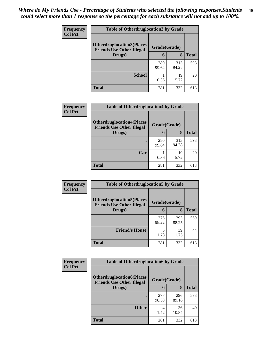| <b>Frequency</b> | <b>Table of Otherdruglocation 3 by Grade</b>                          |              |              |       |
|------------------|-----------------------------------------------------------------------|--------------|--------------|-------|
| <b>Col Pct</b>   | <b>Otherdruglocation3(Places)</b><br><b>Friends Use Other Illegal</b> | Grade(Grade) |              |       |
|                  | Drugs)                                                                | 6            | 8            | Total |
|                  |                                                                       | 280<br>99.64 | 313<br>94.28 | 593   |
|                  | <b>School</b>                                                         | 0.36         | 19<br>5.72   | 20    |
|                  | <b>Total</b>                                                          | 281          | 332          | 613   |

| Frequency      | <b>Table of Otherdruglocation4 by Grade</b>                          |              |              |              |
|----------------|----------------------------------------------------------------------|--------------|--------------|--------------|
| <b>Col Pct</b> | <b>Otherdruglocation4(Places</b><br><b>Friends Use Other Illegal</b> | Grade(Grade) |              |              |
|                | Drugs)                                                               | 6            | 8            | <b>Total</b> |
|                |                                                                      | 280<br>99.64 | 313<br>94.28 | 593          |
|                | Car                                                                  | 0.36         | 19<br>5.72   | 20           |
|                | <b>Total</b>                                                         | 281          | 332          | 613          |

| Frequency      | <b>Table of Otherdruglocation5 by Grade</b>                          |              |              |              |
|----------------|----------------------------------------------------------------------|--------------|--------------|--------------|
| <b>Col Pct</b> | <b>Otherdruglocation5(Places</b><br><b>Friends Use Other Illegal</b> | Grade(Grade) |              |              |
|                | Drugs)                                                               | h            | 8            | <b>Total</b> |
|                |                                                                      | 276<br>98.22 | 293<br>88.25 | 569          |
|                | <b>Friend's House</b>                                                | 5<br>1.78    | 39<br>11.75  | 44           |
|                | <b>Total</b>                                                         | 281          | 332          | 613          |

| <b>Frequency</b> | <b>Table of Otherdruglocation6 by Grade</b>                          |              |              |              |
|------------------|----------------------------------------------------------------------|--------------|--------------|--------------|
| <b>Col Pct</b>   | <b>Otherdruglocation6(Places</b><br><b>Friends Use Other Illegal</b> | Grade(Grade) |              |              |
|                  | Drugs)                                                               | 6            | 8            | <b>Total</b> |
|                  |                                                                      | 277<br>98.58 | 296<br>89.16 | 573          |
|                  | <b>Other</b>                                                         | 4<br>1.42    | 36<br>10.84  | 40           |
|                  | <b>Total</b>                                                         | 281          | 332          | 613          |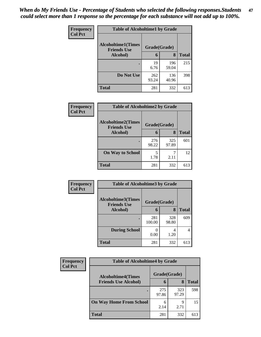| Frequency      | <b>Table of Alcoholtime1 by Grade</b> |              |              |              |
|----------------|---------------------------------------|--------------|--------------|--------------|
| <b>Col Pct</b> | <b>Alcoholtime1(Times</b>             | Grade(Grade) |              |              |
|                | <b>Friends Use</b><br>Alcohol)        | 6            | 8            | <b>Total</b> |
|                |                                       | 19<br>6.76   | 196<br>59.04 | 215          |
|                | Do Not Use                            | 262<br>93.24 | 136<br>40.96 | 398          |
|                | <b>Total</b>                          | 281          | 332          | 613          |

| Frequency      | <b>Table of Alcoholtime2 by Grade</b>           |              |              |              |
|----------------|-------------------------------------------------|--------------|--------------|--------------|
| <b>Col Pct</b> | <b>Alcoholtime2(Times</b><br><b>Friends Use</b> | Grade(Grade) |              |              |
|                | Alcohol)                                        | 6            | 8            | <b>Total</b> |
|                |                                                 | 276<br>98.22 | 325<br>97.89 | 601          |
|                | <b>On Way to School</b>                         | 5<br>1.78    | 7<br>2.11    | 12           |
|                | <b>Total</b>                                    | 281          | 332          | 613          |

| Frequency<br><b>Col Pct</b> | <b>Table of Alcoholtime3 by Grade</b>           |               |              |              |
|-----------------------------|-------------------------------------------------|---------------|--------------|--------------|
|                             | <b>Alcoholtime3(Times</b><br><b>Friends Use</b> | Grade(Grade)  |              |              |
|                             | Alcohol)                                        | 6             | 8            | <b>Total</b> |
|                             |                                                 | 281<br>100.00 | 328<br>98.80 | 609          |
|                             | <b>During School</b>                            | 0.00          | 4<br>1.20    | 4            |
|                             | Total                                           | 281           | 332          | 613          |

| <b>Frequency</b> | <b>Table of Alcoholtime4 by Grade</b>     |              |              |              |
|------------------|-------------------------------------------|--------------|--------------|--------------|
| <b>Col Pct</b>   | Grade(Grade)<br><b>Alcoholtime4(Times</b> |              |              |              |
|                  | <b>Friends Use Alcohol)</b>               | 6            | 8            | <b>Total</b> |
|                  | ٠                                         | 275<br>97.86 | 323<br>97.29 | 598          |
|                  | <b>On Way Home From School</b>            | 6<br>2.14    | q<br>2.71    | 15           |
|                  | <b>Total</b>                              | 281          | 332          | 613          |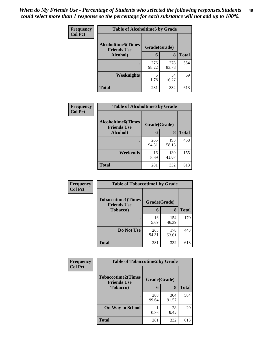*When do My Friends Use - Percentage of Students who selected the following responses.Students could select more than 1 response so the percentage for each substance will not add up to 100%.* **48**

| Frequency      | <b>Table of Alcoholtime5 by Grade</b>            |              |              |              |  |
|----------------|--------------------------------------------------|--------------|--------------|--------------|--|
| <b>Col Pct</b> | <b>Alcoholtime5</b> (Times<br><b>Friends Use</b> | Grade(Grade) |              |              |  |
|                | Alcohol)                                         | 6            | 8            | <b>Total</b> |  |
|                |                                                  | 276<br>98.22 | 278<br>83.73 | 554          |  |
|                | Weeknights                                       | 5<br>1.78    | 54<br>16.27  | 59           |  |
|                | <b>Total</b>                                     | 281          | 332          | 613          |  |

| Frequency      | <b>Table of Alcoholtime6 by Grade</b>           |              |              |              |
|----------------|-------------------------------------------------|--------------|--------------|--------------|
| <b>Col Pct</b> | <b>Alcoholtime6(Times</b><br><b>Friends Use</b> | Grade(Grade) |              |              |
|                | Alcohol)                                        | 6            | 8            | <b>Total</b> |
|                |                                                 | 265<br>94.31 | 193<br>58.13 | 458          |
|                | Weekends                                        | 16<br>5.69   | 139<br>41.87 | 155          |
|                | <b>Total</b>                                    | 281          | 332          | 613          |

| Frequency      | <b>Table of Tobaccotime1 by Grade</b>           |              |              |              |
|----------------|-------------------------------------------------|--------------|--------------|--------------|
| <b>Col Pct</b> | <b>Tobaccotime1(Times</b><br><b>Friends Use</b> | Grade(Grade) |              |              |
|                | <b>Tobacco</b> )                                | 6            | 8            | <b>Total</b> |
|                |                                                 | 16<br>5.69   | 154<br>46.39 | 170          |
|                | Do Not Use                                      | 265<br>94.31 | 178<br>53.61 | 443          |
|                | <b>Total</b>                                    | 281          | 332          | 613          |

| Frequency      | <b>Table of Tobaccotime2 by Grade</b>                           |              |              |              |
|----------------|-----------------------------------------------------------------|--------------|--------------|--------------|
| <b>Col Pct</b> | <b>Tobaccotime2(Times</b><br>Grade(Grade)<br><b>Friends Use</b> |              |              |              |
|                | <b>Tobacco</b> )                                                | 6            | 8            | <b>Total</b> |
|                |                                                                 | 280<br>99.64 | 304<br>91.57 | 584          |
|                | <b>On Way to School</b>                                         | 0.36         | 28<br>8.43   | 29           |
|                | <b>Total</b>                                                    | 281          | 332          | 613          |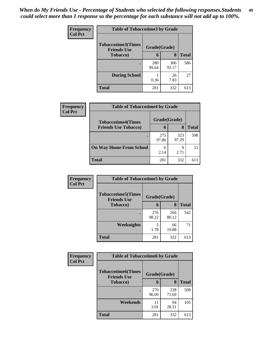| Frequency      | <b>Table of Tobaccotime3 by Grade</b>           |              |              |              |
|----------------|-------------------------------------------------|--------------|--------------|--------------|
| <b>Col Pct</b> | <b>Tobaccotime3(Times</b><br><b>Friends Use</b> | Grade(Grade) |              |              |
|                | <b>Tobacco</b> )                                | 6            | 8            | <b>Total</b> |
|                | ٠                                               | 280<br>99.64 | 306<br>92.17 | 586          |
|                | <b>During School</b>                            | 0.36         | 26<br>7.83   | 27           |
|                | <b>Total</b>                                    | 281          | 332          | 613          |

| Frequency<br><b>Col Pct</b> | <b>Table of Tobaccotime4 by Grade</b> |              |              |              |
|-----------------------------|---------------------------------------|--------------|--------------|--------------|
|                             | <b>Tobaccotime4(Times</b>             | Grade(Grade) |              |              |
|                             | <b>Friends Use Tobacco)</b>           | 6            | 8            | <b>Total</b> |
|                             |                                       | 275<br>97.86 | 323<br>97.29 | 598          |
|                             | <b>On Way Home From School</b>        | 6<br>2.14    | Q<br>2.71    | 15           |
|                             | <b>Total</b>                          | 281          | 332          | 613          |

| Frequency      | <b>Table of Tobaccotime5 by Grade</b>           |              |              |              |
|----------------|-------------------------------------------------|--------------|--------------|--------------|
| <b>Col Pct</b> | <b>Tobaccotime5(Times</b><br><b>Friends Use</b> | Grade(Grade) |              |              |
|                | <b>Tobacco</b> )                                | 6            | 8            | <b>Total</b> |
|                |                                                 | 276<br>98.22 | 266<br>80.12 | 542          |
|                | Weeknights                                      | 5<br>1.78    | 66<br>19.88  | 71           |
|                | <b>Total</b>                                    | 281          | 332          | 613          |

| Frequency      | <b>Table of Tobaccotime6 by Grade</b>           |              |              |              |
|----------------|-------------------------------------------------|--------------|--------------|--------------|
| <b>Col Pct</b> | <b>Tobaccotime6(Times</b><br><b>Friends Use</b> | Grade(Grade) |              |              |
|                | <b>Tobacco</b> )                                | 6            | 8            | <b>Total</b> |
|                | ٠                                               | 270<br>96.09 | 238<br>71.69 | 508          |
|                | Weekends                                        | 11<br>3.91   | 94<br>28.31  | 105          |
|                | <b>Total</b>                                    | 281          | 332          | 613          |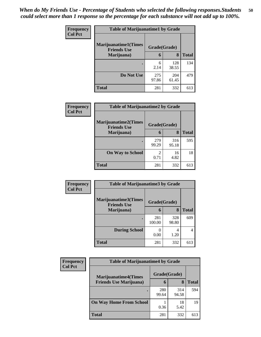| Frequency      | <b>Table of Marijuanatime1 by Grade</b>           |              |              |              |
|----------------|---------------------------------------------------|--------------|--------------|--------------|
| <b>Col Pct</b> | <b>Marijuanatime1(Times</b><br><b>Friends Use</b> | Grade(Grade) |              |              |
|                | Marijuana)                                        | 6            | 8            | <b>Total</b> |
|                |                                                   | 6<br>2.14    | 128<br>38.55 | 134          |
|                | Do Not Use                                        | 275<br>97.86 | 204<br>61.45 | 479          |
|                | <b>Total</b>                                      | 281          | 332          | 613          |

| Frequency      | <b>Table of Marijuanatime2 by Grade</b>           |                        |              |              |
|----------------|---------------------------------------------------|------------------------|--------------|--------------|
| <b>Col Pct</b> | <b>Marijuanatime2(Times</b><br><b>Friends Use</b> | Grade(Grade)           |              |              |
|                | Marijuana)                                        | 6                      | 8            | <b>Total</b> |
|                |                                                   | 279<br>99.29           | 316<br>95.18 | 595          |
|                | <b>On Way to School</b>                           | $\mathfrak{D}$<br>0.71 | 16<br>4.82   | 18           |
|                | <b>Total</b>                                      | 281                    | 332          | 613          |

| Frequency      | <b>Table of Marijuanatime3 by Grade</b>    |               |              |              |
|----------------|--------------------------------------------|---------------|--------------|--------------|
| <b>Col Pct</b> | Marijuanatime3(Times<br><b>Friends Use</b> | Grade(Grade)  |              |              |
|                | Marijuana)                                 | 6             | 8            | <b>Total</b> |
|                |                                            | 281<br>100.00 | 328<br>98.80 | 609          |
|                | <b>During School</b>                       | 0.00          | 4<br>1.20    | 4            |
|                | <b>Total</b>                               | 281           | 332          | 613          |

| <b>Frequency</b> | <b>Table of Marijuanatime4 by Grade</b> |              |              |              |  |
|------------------|-----------------------------------------|--------------|--------------|--------------|--|
| <b>Col Pct</b>   | <b>Marijuanatime4(Times</b>             | Grade(Grade) |              |              |  |
|                  | <b>Friends Use Marijuana</b> )          | 6            | 8            | <b>Total</b> |  |
|                  |                                         | 280<br>99.64 | 314<br>94.58 | 594          |  |
|                  | <b>On Way Home From School</b>          | 0.36         | 18<br>5.42   | 19           |  |
|                  | <b>Total</b>                            | 281          | 332          | 613          |  |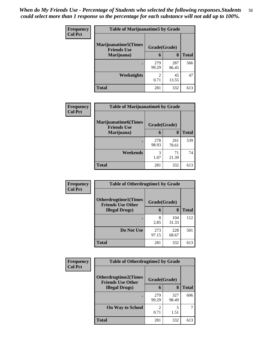| Frequency      | <b>Table of Marijuanatime5 by Grade</b>            |                                  |              |       |
|----------------|----------------------------------------------------|----------------------------------|--------------|-------|
| <b>Col Pct</b> | <b>Marijuanatime5</b> (Times<br><b>Friends Use</b> | Grade(Grade)                     |              |       |
|                | Marijuana)                                         | 6                                | 8            | Total |
|                |                                                    | 279<br>99.29                     | 287<br>86.45 | 566   |
|                | Weeknights                                         | $\overline{\mathcal{L}}$<br>0.71 | 45<br>13.55  | 47    |
|                | <b>Total</b>                                       | 281                              | 332          | 613   |

| <b>Frequency</b> | <b>Table of Marijuanatime6 by Grade</b>           |              |              |              |
|------------------|---------------------------------------------------|--------------|--------------|--------------|
| <b>Col Pct</b>   | <b>Marijuanatime6(Times</b><br><b>Friends Use</b> | Grade(Grade) |              |              |
|                  | Marijuana)                                        | 6            | 8            | <b>Total</b> |
|                  |                                                   | 278<br>98.93 | 261<br>78.61 | 539          |
|                  | Weekends                                          | 3<br>1.07    | 71<br>21.39  | 74           |
|                  | <b>Total</b>                                      | 281          | 332          | 613          |

| Frequency      | <b>Table of Otherdrugtime1 by Grade</b>                 |              |              |              |
|----------------|---------------------------------------------------------|--------------|--------------|--------------|
| <b>Col Pct</b> | <b>Otherdrugtime1(Times</b><br><b>Friends Use Other</b> | Grade(Grade) |              |              |
|                | <b>Illegal Drugs</b> )                                  | 6            | 8            | <b>Total</b> |
|                |                                                         | 8<br>2.85    | 104<br>31.33 | 112          |
|                | Do Not Use                                              | 273<br>97.15 | 228<br>68.67 | 501          |
|                | <b>Total</b>                                            | 281          | 332          | 613          |

| <b>Frequency</b> | <b>Table of Otherdrugtime2 by Grade</b>                 |                                  |              |              |
|------------------|---------------------------------------------------------|----------------------------------|--------------|--------------|
| <b>Col Pct</b>   | <b>Otherdrugtime2(Times</b><br><b>Friends Use Other</b> | Grade(Grade)                     |              |              |
|                  | <b>Illegal Drugs</b> )                                  | 6                                | 8            | <b>Total</b> |
|                  |                                                         | 279<br>99.29                     | 327<br>98.49 | 606          |
|                  | <b>On Way to School</b>                                 | $\overline{\mathcal{L}}$<br>0.71 | 5<br>1.51    | 7            |
|                  | <b>Total</b>                                            | 281                              | 332          | 613          |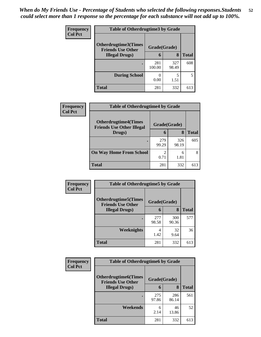| <b>Frequency</b> | <b>Table of Otherdrugtime3 by Grade</b>          |               |              |              |
|------------------|--------------------------------------------------|---------------|--------------|--------------|
| <b>Col Pct</b>   | Otherdrugtime3(Times<br><b>Friends Use Other</b> | Grade(Grade)  |              |              |
|                  | <b>Illegal Drugs</b> )                           | 6             | 8            | <b>Total</b> |
|                  |                                                  | 281<br>100.00 | 327<br>98.49 | 608          |
|                  | <b>During School</b>                             | 0.00          | 5<br>1.51    | 5            |
|                  | Total                                            | 281           | 332          | 613          |

| Frequency      | <b>Table of Otherdrugtime4 by Grade</b>                         |                        |              |       |
|----------------|-----------------------------------------------------------------|------------------------|--------------|-------|
| <b>Col Pct</b> | <b>Otherdrugtime4(Times</b><br><b>Friends Use Other Illegal</b> | Grade(Grade)           |              |       |
|                | Drugs)                                                          | 6                      | 8            | Total |
|                | ٠                                                               | 279<br>99.29           | 326<br>98.19 | 605   |
|                | <b>On Way Home From School</b>                                  | $\mathfrak{D}$<br>0.71 | 6<br>1.81    | 8     |
|                | <b>Total</b>                                                    | 281                    | 332          | 613   |

| Frequency      | <b>Table of Otherdrugtime5 by Grade</b>                  |              |              |              |
|----------------|----------------------------------------------------------|--------------|--------------|--------------|
| <b>Col Pct</b> | <b>Otherdrugtime5</b> (Times<br><b>Friends Use Other</b> | Grade(Grade) |              |              |
|                | <b>Illegal Drugs</b> )                                   | 6            | 8            | <b>Total</b> |
|                |                                                          | 277<br>98.58 | 300<br>90.36 | 577          |
|                | Weeknights                                               | 4<br>1.42    | 32<br>9.64   | 36           |
|                | Total                                                    | 281          | 332          | 613          |

| <b>Frequency</b> | <b>Table of Otherdrugtime6 by Grade</b>                 |              |              |              |
|------------------|---------------------------------------------------------|--------------|--------------|--------------|
| <b>Col Pct</b>   | <b>Otherdrugtime6(Times</b><br><b>Friends Use Other</b> | Grade(Grade) |              |              |
|                  | <b>Illegal Drugs</b> )                                  | 6            | 8            | <b>Total</b> |
|                  | ٠                                                       | 275<br>97.86 | 286<br>86.14 | 561          |
|                  | Weekends                                                | 6<br>2.14    | 46<br>13.86  | 52           |
|                  | <b>Total</b>                                            | 281          | 332          | 613          |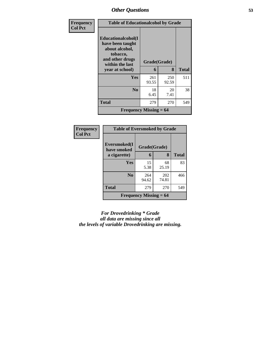| Frequency      | <b>Table of Educationalcohol by Grade</b>                                                                  |              |              |              |
|----------------|------------------------------------------------------------------------------------------------------------|--------------|--------------|--------------|
| <b>Col Pct</b> | Educationalcohol(I<br>have been taught<br>about alcohol,<br>tobacco,<br>and other drugs<br>within the last | Grade(Grade) |              |              |
|                | year at school)                                                                                            | 6            | 8            | <b>Total</b> |
|                | <b>Yes</b>                                                                                                 | 261<br>93.55 | 250<br>92.59 | 511          |
|                | N <sub>0</sub>                                                                                             | 18<br>6.45   | 20<br>7.41   | 38           |
|                | <b>Total</b>                                                                                               | 279          | 270          | 549          |
|                | <b>Frequency Missing = <math>64</math></b>                                                                 |              |              |              |

| Frequency      | <b>Table of Eversmoked by Grade</b> |                          |       |              |
|----------------|-------------------------------------|--------------------------|-------|--------------|
| <b>Col Pct</b> | Eversmoked(I<br>have smoked         | Grade(Grade)             |       |              |
|                | a cigarette)                        | 6                        | 8     | <b>Total</b> |
|                | Yes                                 | 15                       | 68    | 83           |
|                |                                     | 5.38                     | 25.19 |              |
|                | N <sub>0</sub>                      | 264                      | 202   | 466          |
|                |                                     | 94.62                    | 74.81 |              |
|                | <b>Total</b>                        | 279                      | 270   | 549          |
|                |                                     | Frequency Missing $= 64$ |       |              |

*For Drovedrinking \* Grade all data are missing since all the levels of variable Drovedrinking are missing.*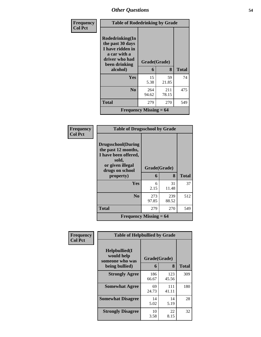| <b>Frequency</b> | <b>Table of Rodedrinking by Grade</b>                                                                      |                               |              |              |
|------------------|------------------------------------------------------------------------------------------------------------|-------------------------------|--------------|--------------|
| <b>Col Pct</b>   | Rodedrinking(In<br>the past 30 days<br>I have ridden in<br>a car with a<br>driver who had<br>been drinking | Grade(Grade)                  |              |              |
|                  | alcohol)                                                                                                   | 6                             | 8            | <b>Total</b> |
|                  | Yes                                                                                                        | 15<br>5.38                    | 59<br>21.85  | 74           |
|                  | N <sub>0</sub>                                                                                             | 264<br>94.62                  | 211<br>78.15 | 475          |
|                  | Total                                                                                                      | 279                           | 270          | 549          |
|                  |                                                                                                            | <b>Frequency Missing = 64</b> |              |              |

| Frequency<br><b>Col Pct</b> |                                                                                                                           | <b>Table of Drugsschool by Grade</b> |              |              |  |  |  |
|-----------------------------|---------------------------------------------------------------------------------------------------------------------------|--------------------------------------|--------------|--------------|--|--|--|
|                             | <b>Drugsschool</b> (During<br>the past 12 months,<br>I have been offered,<br>sold,<br>or given illegal<br>drugs on school | Grade(Grade)                         |              |              |  |  |  |
|                             | property)                                                                                                                 | 6                                    | 8            | <b>Total</b> |  |  |  |
|                             | Yes                                                                                                                       | 6<br>2.15                            | 31<br>11.48  | 37           |  |  |  |
|                             | N <sub>0</sub>                                                                                                            | 273<br>97.85                         | 239<br>88.52 | 512          |  |  |  |
|                             | <b>Total</b>                                                                                                              | 279                                  | 270          | 549          |  |  |  |
|                             | Frequency Missing $= 64$                                                                                                  |                                      |              |              |  |  |  |

| Frequency      | <b>Table of Helpbullied by Grade</b>           |              |              |              |  |  |
|----------------|------------------------------------------------|--------------|--------------|--------------|--|--|
| <b>Col Pct</b> | Helpbullied(I<br>would help<br>someone who was | Grade(Grade) |              |              |  |  |
|                | being bullied)                                 | 6            | 8            | <b>Total</b> |  |  |
|                | <b>Strongly Agree</b>                          | 186<br>66.67 | 123<br>45.56 | 309          |  |  |
|                | <b>Somewhat Agree</b>                          | 69<br>24.73  | 111<br>41.11 | 180          |  |  |
|                | <b>Somewhat Disagree</b>                       | 14<br>5.02   | 14<br>5.19   | 28           |  |  |
|                | <b>Strongly Disagree</b>                       | 10<br>3.58   | 22<br>8.15   | 32           |  |  |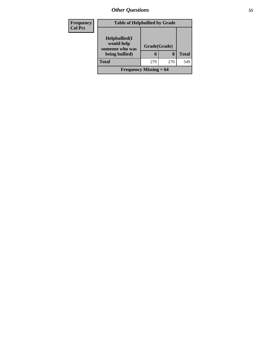| Frequency<br><b>Col Pct</b> | <b>Table of Helpbullied by Grade</b>           |              |     |              |  |  |
|-----------------------------|------------------------------------------------|--------------|-----|--------------|--|--|
|                             | Helpbullied(I<br>would help<br>someone who was | Grade(Grade) |     |              |  |  |
|                             | being bullied)                                 | 6            | 8   | <b>Total</b> |  |  |
|                             | <b>Total</b>                                   | 279          | 270 | 549          |  |  |
|                             | <b>Frequency Missing = 64</b>                  |              |     |              |  |  |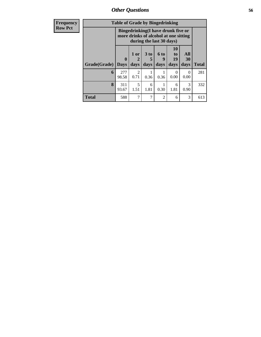*Other Questions* **56**

| <b>Frequency</b> | <b>Table of Grade by Bingedrinking</b> |                            |                       |                                                                                                         |                   |                        |                   |              |
|------------------|----------------------------------------|----------------------------|-----------------------|---------------------------------------------------------------------------------------------------------|-------------------|------------------------|-------------------|--------------|
| <b>Row Pct</b>   |                                        |                            |                       | Bingedrinking(I have drunk five or<br>more drinks of alcohol at one sitting<br>during the last 30 days) |                   |                        |                   |              |
|                  | Grade(Grade)                           | $\mathbf 0$<br><b>Days</b> | $1$ or<br>days        | $3$ to<br>days                                                                                          | 6 to<br>9<br>days | 10<br>to<br>19<br>days | All<br>30<br>days | <b>Total</b> |
|                  | 6                                      | 277<br>98.58               | $\mathcal{D}$<br>0.71 | 0.36                                                                                                    | 0.36              | 0<br>0.00              | $\Omega$<br>0.00  | 281          |
|                  | 8                                      | 311<br>93.67               | 5<br>1.51             | 6<br>1.81                                                                                               | 0.30              | 6<br>1.81              | 3<br>0.90         | 332          |
|                  | <b>Total</b>                           | 588                        | 7                     | 7                                                                                                       | $\overline{2}$    | 6                      | 3                 | 613          |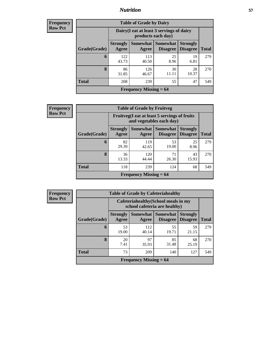### *Nutrition* **57**

| <b>Frequency</b> |
|------------------|
| <b>Row Pct</b>   |

| <b>Table of Grade by Dairy</b> |                          |                                                                 |                                          |                                    |              |  |  |  |
|--------------------------------|--------------------------|-----------------------------------------------------------------|------------------------------------------|------------------------------------|--------------|--|--|--|
|                                |                          | Dairy (I eat at least 3 servings of dairy<br>products each day) |                                          |                                    |              |  |  |  |
| Grade(Grade)                   | <b>Strongly</b><br>Agree | Agree                                                           | Somewhat   Somewhat  <br><b>Disagree</b> | <b>Strongly</b><br><b>Disagree</b> | <b>Total</b> |  |  |  |
| 6                              | 122<br>43.73             | 113<br>40.50                                                    | 25<br>8.96                               | 19<br>6.81                         | 279          |  |  |  |
| 8                              | 86<br>31.85              | 126<br>46.67                                                    | 30<br>11.11                              | 28<br>10.37                        | 270          |  |  |  |
| <b>Total</b>                   | 208                      | 239                                                             | 55                                       | 47                                 | 549          |  |  |  |
| Frequency Missing $= 64$       |                          |                                                                 |                                          |                                    |              |  |  |  |

**Frequency Row Pct**

| <b>Table of Grade by Fruitveg</b>                                        |                          |                          |                                    |                                    |              |  |
|--------------------------------------------------------------------------|--------------------------|--------------------------|------------------------------------|------------------------------------|--------------|--|
| Fruitveg(I eat at least 5 servings of fruits<br>and vegetables each day) |                          |                          |                                    |                                    |              |  |
| Grade(Grade)                                                             | <b>Strongly</b><br>Agree | Somewhat<br>Agree        | <b>Somewhat</b><br><b>Disagree</b> | <b>Strongly</b><br><b>Disagree</b> | <b>Total</b> |  |
| 6                                                                        | 82<br>29.39              | 119<br>42.65             | 53<br>19.00                        | 25<br>8.96                         | 279          |  |
| 8                                                                        | 36<br>13.33              | 120<br>44.44             | 71<br>26.30                        | 43<br>15.93                        | 270          |  |
| <b>Total</b>                                                             | 118                      | 239                      | 124                                | 68                                 | 549          |  |
|                                                                          |                          | Frequency Missing $= 64$ |                                    |                                    |              |  |

**Frequency Row Pct**

| <b>Table of Grade by Cafeteriahealthy</b> |                          |                                                                       |                             |                                    |              |  |  |
|-------------------------------------------|--------------------------|-----------------------------------------------------------------------|-----------------------------|------------------------------------|--------------|--|--|
|                                           |                          | Cafeteriahealthy (School meals in my<br>school cafeteria are healthy) |                             |                                    |              |  |  |
| Grade(Grade)                              | <b>Strongly</b><br>Agree | Somewhat<br>Agree                                                     | Somewhat<br><b>Disagree</b> | <b>Strongly</b><br><b>Disagree</b> | <b>Total</b> |  |  |
| 6                                         | 53<br>19.00              | 112<br>40.14                                                          | 55<br>19.71                 | 59<br>21.15                        | 279          |  |  |
| 8                                         | 20<br>7.41               | 97<br>35.93                                                           | 85<br>31.48                 | 68<br>25.19                        | 270          |  |  |
| <b>Total</b>                              | 73                       | 209                                                                   | 140                         | 127                                | 549          |  |  |
| <b>Frequency Missing = 64</b>             |                          |                                                                       |                             |                                    |              |  |  |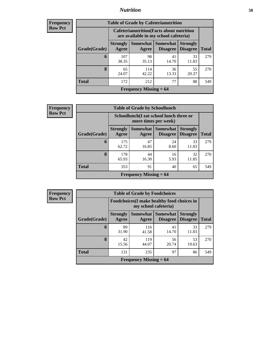### *Nutrition* **58**

| Frequency |
|-----------|
| Row Pct   |

| <b>Table of Grade by Cafeterianutrition</b> |                                                                                           |                          |                                    |                                    |              |  |  |
|---------------------------------------------|-------------------------------------------------------------------------------------------|--------------------------|------------------------------------|------------------------------------|--------------|--|--|
|                                             | <b>Cafeterianutrition</b> (Facts about nutrition<br>are available in my school cafeteria) |                          |                                    |                                    |              |  |  |
| Grade(Grade)                                | <b>Strongly</b><br>Agree                                                                  | <b>Somewhat</b><br>Agree | <b>Somewhat</b><br><b>Disagree</b> | <b>Strongly</b><br><b>Disagree</b> | <b>Total</b> |  |  |
| 6                                           | 107<br>38.35                                                                              | 98<br>35.13              | 41<br>14.70                        | 33<br>11.83                        | 279          |  |  |
| 8                                           | 65<br>24.07                                                                               | 114<br>42.22             | 36<br>13.33                        | 55<br>20.37                        | 270          |  |  |
| <b>Total</b>                                | 172                                                                                       | 212                      | 77                                 | 88                                 | 549          |  |  |
| Frequency Missing $= 64$                    |                                                                                           |                          |                                    |                                    |              |  |  |

**Frequency Row Pct**

| $\mathbf{y}$ | <b>Table of Grade by Schoollunch</b> |                                                                 |                               |                                    |                                    |              |  |
|--------------|--------------------------------------|-----------------------------------------------------------------|-------------------------------|------------------------------------|------------------------------------|--------------|--|
|              |                                      | Schoollunch(I eat school lunch three or<br>more times per week) |                               |                                    |                                    |              |  |
|              | Grade(Grade)                         | <b>Strongly</b><br>Agree                                        | Somewhat<br>Agree             | <b>Somewhat</b><br><b>Disagree</b> | <b>Strongly</b><br><b>Disagree</b> | <b>Total</b> |  |
|              | 6                                    | 175<br>62.72                                                    | 47<br>16.85                   | 24<br>8.60                         | 33<br>11.83                        | 279          |  |
|              | 8                                    | 178<br>65.93                                                    | 44<br>16.30                   | 16<br>5.93                         | 32<br>11.85                        | 270          |  |
|              | <b>Total</b>                         | 353                                                             | 91                            | 40                                 | 65                                 | 549          |  |
|              |                                      |                                                                 | <b>Frequency Missing = 64</b> |                                    |                                    |              |  |

**Frequency Row Pct**

| <b>Table of Grade by Foodchoices</b> |                          |                                                                     |                      |                                    |              |  |  |
|--------------------------------------|--------------------------|---------------------------------------------------------------------|----------------------|------------------------------------|--------------|--|--|
|                                      |                          | Foodchoices (I make healthy food choices in<br>my school cafeteria) |                      |                                    |              |  |  |
| Grade(Grade)                         | <b>Strongly</b><br>Agree | Somewhat  <br>Agree                                                 | Somewhat<br>Disagree | <b>Strongly</b><br><b>Disagree</b> | <b>Total</b> |  |  |
| 6                                    | 89<br>31.90              | 116<br>41.58                                                        | 41<br>14.70          | 33<br>11.83                        | 279          |  |  |
| 8                                    | 42<br>15.56              | 119<br>44.07                                                        | 56<br>20.74          | 53<br>19.63                        | 270          |  |  |
| <b>Total</b>                         | 131                      | 235                                                                 | 97                   | 86                                 | 549          |  |  |
| Frequency Missing $= 64$             |                          |                                                                     |                      |                                    |              |  |  |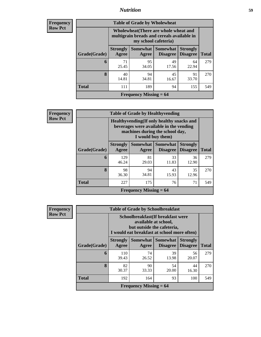### *Nutrition* **59**

| <b>Frequency</b> |  |
|------------------|--|
| Row Pet          |  |

٦

| <b>Table of Grade by Wholewheat</b> |                          |                                                                                                                 |             |             |     |  |  |
|-------------------------------------|--------------------------|-----------------------------------------------------------------------------------------------------------------|-------------|-------------|-----|--|--|
|                                     |                          | Wholewheat (There are whole wheat and<br>multigrain breads and cereals available in<br>my school cafeteria)     |             |             |     |  |  |
| Grade(Grade)                        | <b>Strongly</b><br>Agree | Somewhat I<br><b>Somewhat</b><br><b>Strongly</b><br><b>Disagree</b><br><b>Total</b><br><b>Disagree</b><br>Agree |             |             |     |  |  |
| 6                                   | 71<br>25.45              | 95<br>34.05                                                                                                     | 49<br>17.56 | 64<br>22.94 | 279 |  |  |
| 8                                   | 40<br>14.81              | 94<br>34.81                                                                                                     | 45<br>16.67 | 91<br>33.70 | 270 |  |  |
| <b>Total</b>                        | 111                      | 189                                                                                                             | 94          | 155         | 549 |  |  |
| <b>Frequency Missing = 64</b>       |                          |                                                                                                                 |             |             |     |  |  |

| <b>Frequency</b> |
|------------------|
| <b>Row Pct</b>   |

 $\mathbf{r}$ 

| ncy |                                                                                                                                   |              | <b>Table of Grade by Healthyvending</b><br>Healthyvending (If only healthy snacks and<br>beverages were available in the vending<br>machines during the school day,<br>I would buy them) |             |             |              |  |  |
|-----|-----------------------------------------------------------------------------------------------------------------------------------|--------------|------------------------------------------------------------------------------------------------------------------------------------------------------------------------------------------|-------------|-------------|--------------|--|--|
|     | Somewhat   Somewhat<br><b>Strongly</b><br><b>Strongly</b><br><b>Disagree</b><br>Grade(Grade)<br><b>Disagree</b><br>Agree<br>Agree |              |                                                                                                                                                                                          |             |             | <b>Total</b> |  |  |
|     | 6                                                                                                                                 | 129<br>46.24 | 81<br>29.03                                                                                                                                                                              | 33<br>11.83 | 36<br>12.90 | 279          |  |  |
|     | 8                                                                                                                                 | 98<br>36.30  | 94<br>34.81                                                                                                                                                                              | 43<br>15.93 | 35<br>12.96 | 270          |  |  |
|     | <b>Total</b>                                                                                                                      | 227          | 175                                                                                                                                                                                      | 76          | 71          | 549          |  |  |
|     | <b>Frequency Missing = 64</b>                                                                                                     |              |                                                                                                                                                                                          |             |             |              |  |  |

| <b>Frequency</b><br><b>Row Pct</b> |                          | <b>Table of Grade by Schoolbreakfast</b><br>Schoolbreakfast (If breakfast were<br>available at school,<br>but outside the cafeteria,<br>I would eat breakfast at school more often) |                      |                                    |              |  |
|------------------------------------|--------------------------|-------------------------------------------------------------------------------------------------------------------------------------------------------------------------------------|----------------------|------------------------------------|--------------|--|
| Grade(Grade)                       | <b>Strongly</b><br>Agree | Somewhat  <br>Agree                                                                                                                                                                 | Somewhat<br>Disagree | <b>Strongly</b><br><b>Disagree</b> | <b>Total</b> |  |
| 6                                  | 110<br>39.43             | 74<br>26.52                                                                                                                                                                         | 39<br>13.98          | 56<br>20.07                        | 279          |  |
| 8                                  | 82<br>30.37              | 90<br>33.33                                                                                                                                                                         | 54<br>20.00          | 44<br>16.30                        | 270          |  |
| <b>Total</b>                       | 192                      | 164                                                                                                                                                                                 | 93                   | 100                                | 549          |  |
|                                    |                          | <b>Frequency Missing = 64</b>                                                                                                                                                       |                      |                                    |              |  |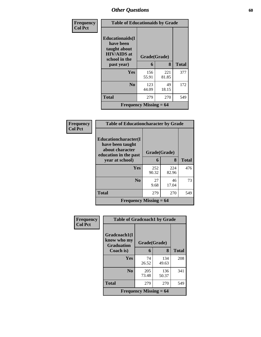| Frequency      | <b>Table of Educationaids by Grade</b>                                                                    |                               |              |              |
|----------------|-----------------------------------------------------------------------------------------------------------|-------------------------------|--------------|--------------|
| <b>Col Pct</b> | <b>Educationaids</b> (I<br>have been<br>taught about<br><b>HIV/AIDS</b> at<br>school in the<br>past year) | Grade(Grade)<br>6             | 8            | <b>Total</b> |
|                | Yes                                                                                                       | 156<br>55.91                  | 221<br>81.85 | 377          |
|                | N <sub>0</sub>                                                                                            | 123<br>44.09                  | 49<br>18.15  | 172          |
|                | <b>Total</b>                                                                                              | 279                           | 270          | 549          |
|                |                                                                                                           | <b>Frequency Missing = 64</b> |              |              |

| Frequency      | <b>Table of Educationcharacter by Grade</b>                                          |              |              |              |
|----------------|--------------------------------------------------------------------------------------|--------------|--------------|--------------|
| <b>Col Pct</b> | Educationcharacter(I<br>have been taught<br>about character<br>education in the past | Grade(Grade) |              |              |
|                | year at school)                                                                      | 6            | 8            | <b>Total</b> |
|                | <b>Yes</b>                                                                           | 252<br>90.32 | 224<br>82.96 | 476          |
|                | N <sub>0</sub>                                                                       | 27<br>9.68   | 46<br>17.04  | 73           |
|                | <b>Total</b>                                                                         | 279          | 270          | 549          |
|                | Frequency Missing $= 64$                                                             |              |              |              |

| Frequency      | <b>Table of Gradcoach1 by Grade</b>              |                                            |              |     |  |
|----------------|--------------------------------------------------|--------------------------------------------|--------------|-----|--|
| <b>Col Pct</b> | Gradcoach1(I<br>know who my<br><b>Graduation</b> | Grade(Grade)                               |              |     |  |
|                | Coach is)                                        | 8<br>6                                     | <b>Total</b> |     |  |
|                | Yes                                              | 74<br>26.52                                | 134<br>49.63 | 208 |  |
|                | N <sub>0</sub>                                   | 205<br>73.48                               | 136<br>50.37 | 341 |  |
|                | <b>Total</b>                                     | 279                                        | 270          | 549 |  |
|                |                                                  | <b>Frequency Missing <math>= 64</math></b> |              |     |  |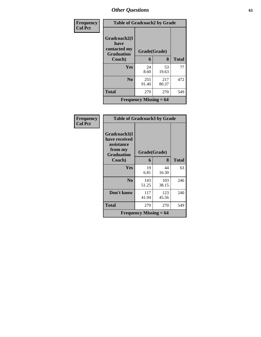| Frequency      | <b>Table of Gradcoach2 by Grade</b>                       |                          |              |              |  |
|----------------|-----------------------------------------------------------|--------------------------|--------------|--------------|--|
| <b>Col Pct</b> | Gradcoach2(I<br>have<br>contacted my<br><b>Graduation</b> | Grade(Grade)             |              |              |  |
|                | Coach)                                                    | 6                        | 8            | <b>Total</b> |  |
|                | <b>Yes</b>                                                | 24<br>8.60               | 53<br>19.63  | 77           |  |
|                | N <sub>0</sub>                                            | 255<br>91.40             | 217<br>80.37 | 472          |  |
|                | <b>Total</b>                                              | 279                      | 270          | 549          |  |
|                |                                                           | Frequency Missing $= 64$ |              |              |  |

### **Frequency Col Pct**

| <b>Table of Gradcoach3 by Grade</b>                                         |              |              |              |  |  |  |
|-----------------------------------------------------------------------------|--------------|--------------|--------------|--|--|--|
| Gradcoach3(I<br>have received<br>assistance<br>from my<br><b>Graduation</b> | Grade(Grade) |              |              |  |  |  |
| Coach)                                                                      | 6            | 8            | <b>Total</b> |  |  |  |
| Yes                                                                         | 19<br>6.81   | 44<br>16.30  | 63           |  |  |  |
| N <sub>0</sub>                                                              | 143<br>51.25 | 103<br>38.15 | 246          |  |  |  |
| Don't know                                                                  | 117<br>41.94 | 123<br>45.56 | 240          |  |  |  |
| <b>Total</b>                                                                | 279          | 270          | 549          |  |  |  |
| <b>Frequency Missing = <math>64</math></b>                                  |              |              |              |  |  |  |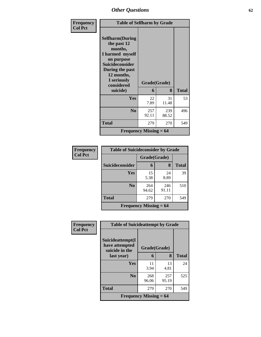| Frequency      | <b>Table of Selfharm by Grade</b>                                                                                                                                               |                          |              |              |  |  |  |
|----------------|---------------------------------------------------------------------------------------------------------------------------------------------------------------------------------|--------------------------|--------------|--------------|--|--|--|
| <b>Col Pct</b> | <b>Selfharm</b> (During<br>the past 12<br>months,<br>I harmed myself<br>on purpose<br>Suicideconsider<br>During the past<br>12 months,<br>I seriously<br>considered<br>suicide) | Grade(Grade)<br>6        | 8            | <b>Total</b> |  |  |  |
|                | Yes                                                                                                                                                                             | 22<br>7.89               | 31<br>11.48  | 53           |  |  |  |
|                | N <sub>0</sub>                                                                                                                                                                  | 257<br>92.11             | 239<br>88.52 | 496          |  |  |  |
|                | <b>Total</b>                                                                                                                                                                    | 279                      | 270          | 549          |  |  |  |
|                |                                                                                                                                                                                 | Frequency Missing $= 64$ |              |              |  |  |  |

| <b>Frequency</b> | <b>Table of Suicideconsider by Grade</b> |                                            |              |              |
|------------------|------------------------------------------|--------------------------------------------|--------------|--------------|
| <b>Col Pct</b>   |                                          | Grade(Grade)                               |              |              |
|                  | <b>Suicideconsider</b>                   | 6                                          | 8            | <b>Total</b> |
|                  | Yes                                      | 15<br>5.38                                 | 24<br>8.89   | 39           |
|                  | N <sub>0</sub>                           | 264<br>94.62                               | 246<br>91.11 | 510          |
|                  | <b>Total</b>                             | 279                                        | 270          | 549          |
|                  |                                          | <b>Frequency Missing <math>= 64</math></b> |              |              |

| Frequency      | <b>Table of Suicideattempt by Grade</b>              |                          |              |              |
|----------------|------------------------------------------------------|--------------------------|--------------|--------------|
| <b>Col Pct</b> | Suicideattempt(I<br>have attempted<br>suicide in the | Grade(Grade)             |              |              |
|                | last year)                                           | 6                        | 8            | <b>Total</b> |
|                | Yes                                                  | 11<br>3.94               | 13<br>4.81   | 24           |
|                | N <sub>0</sub>                                       | 268<br>96.06             | 257<br>95.19 | 525          |
|                | <b>Total</b>                                         | 279                      | 270          | 549          |
|                |                                                      | Frequency Missing $= 64$ |              |              |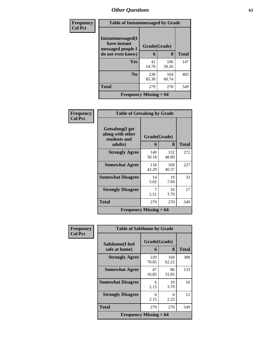| Frequency      | <b>Table of Instantmessaged by Grade</b>               |              |              |              |  |  |
|----------------|--------------------------------------------------------|--------------|--------------|--------------|--|--|
| <b>Col Pct</b> | Instantmessaged(I<br>have instant<br>messaged people I | Grade(Grade) |              |              |  |  |
|                | do not even know)                                      | 6            | 8            | <b>Total</b> |  |  |
|                | Yes                                                    | 41<br>14.70  | 106<br>39.26 | 147          |  |  |
|                | N <sub>0</sub>                                         | 238<br>85.30 | 164<br>60.74 | 402          |  |  |
|                | <b>Total</b>                                           | 279          | 270          | 549          |  |  |
|                | Frequency Missing $= 64$                               |              |              |              |  |  |

| Frequency      | <b>Table of Getsalong by Grade</b>                             |                   |              |              |  |
|----------------|----------------------------------------------------------------|-------------------|--------------|--------------|--|
| <b>Col Pct</b> | Getsalong(I get<br>along with other<br>students and<br>adults) | Grade(Grade)<br>6 | 8            | <b>Total</b> |  |
|                | <b>Strongly Agree</b>                                          | 140<br>50.18      | 132<br>48.89 | 272          |  |
|                | <b>Somewhat Agree</b>                                          | 118<br>42.29      | 109<br>40.37 | 227          |  |
|                | <b>Somewhat Disagree</b>                                       | 14<br>5.02        | 19<br>7.04   | 33           |  |
|                | <b>Strongly Disagree</b>                                       | 7<br>2.51         | 10<br>3.70   | 17           |  |
|                | <b>Total</b>                                                   | 279               | 270          | 549          |  |
|                | Frequency Missing $= 64$                                       |                   |              |              |  |

| Frequency      | <b>Table of Safehome by Grade</b> |                   |              |              |  |
|----------------|-----------------------------------|-------------------|--------------|--------------|--|
| <b>Col Pct</b> | Safehome(I feel<br>safe at home)  | Grade(Grade)<br>6 | 8            | <b>Total</b> |  |
|                | <b>Strongly Agree</b>             | 220<br>78.85      | 168<br>62.22 | 388          |  |
|                | <b>Somewhat Agree</b>             | 47<br>16.85       | 86<br>31.85  | 133          |  |
|                | <b>Somewhat Disagree</b>          | 6<br>2.15         | 10<br>3.70   | 16           |  |
|                | <b>Strongly Disagree</b>          | 6<br>2.15         | 6<br>2.22    | 12           |  |
|                | <b>Total</b>                      | 279               | 270          | 549          |  |
|                | <b>Frequency Missing = 64</b>     |                   |              |              |  |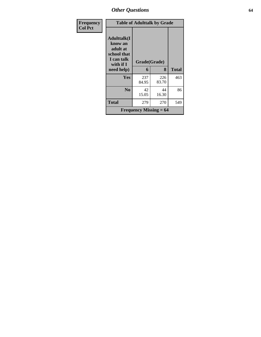| Frequency      |                                                                                     | <b>Table of Adulttalk by Grade</b> |              |       |  |  |
|----------------|-------------------------------------------------------------------------------------|------------------------------------|--------------|-------|--|--|
| <b>Col Pct</b> | <b>Adulttalk(I</b><br>know an<br>adult at<br>school that<br>I can talk<br>with if I | Grade(Grade)                       |              |       |  |  |
|                | need help)                                                                          | 6                                  | 8            | Total |  |  |
|                | Yes                                                                                 | 237<br>84.95                       | 226<br>83.70 | 463   |  |  |
|                | N <sub>0</sub>                                                                      | 42<br>15.05                        | 44<br>16.30  | 86    |  |  |
|                | <b>Total</b>                                                                        | 279                                | 270          | 549   |  |  |
|                |                                                                                     | <b>Frequency Missing = 64</b>      |              |       |  |  |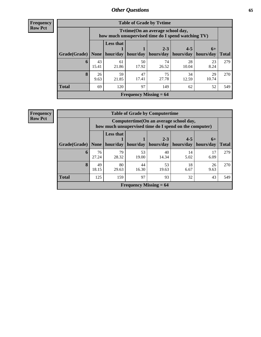**Frequency Row Pct**

| <b>Table of Grade by Tytime</b> |             |                                                                                        |             |                      |                        |                   |              |  |  |
|---------------------------------|-------------|----------------------------------------------------------------------------------------|-------------|----------------------|------------------------|-------------------|--------------|--|--|
|                                 |             | Tytime(On an average school day,<br>how much unsupervised time do I spend watching TV) |             |                      |                        |                   |              |  |  |
| Grade(Grade)                    | None        | <b>Less that</b><br>hour/day                                                           | hour/day    | $2 - 3$<br>hours/day | $4 - 5$<br>  hours/day | $6+$<br>hours/day | <b>Total</b> |  |  |
| 6                               | 43<br>15.41 | 61<br>21.86                                                                            | 50<br>17.92 | 74<br>26.52          | 28<br>10.04            | 23<br>8.24        | 279          |  |  |
| 8                               | 26<br>9.63  | 59<br>21.85                                                                            | 47<br>17.41 | 75<br>27.78          | 34<br>12.59            | 29<br>10.74       | 270          |  |  |
| <b>Total</b>                    | 69          | 120                                                                                    | 97          | 149                  | 62                     | 52                | 549          |  |  |
| Frequency Missing $= 64$        |             |                                                                                        |             |                      |                        |                   |              |  |  |

| <b>Frequency</b> | <b>Table of Grade by Computertime</b> |             |                                                                                                   |             |                               |                                  |            |              |
|------------------|---------------------------------------|-------------|---------------------------------------------------------------------------------------------------|-------------|-------------------------------|----------------------------------|------------|--------------|
| <b>Row Pct</b>   |                                       |             | Computertime (On an average school day,<br>how much unsupervised time do I spend on the computer) |             |                               |                                  |            |              |
|                  | Grade(Grade)   None                   |             | <b>Less that</b><br>hour/day                                                                      | hour/day    | $2 - 3$<br>hours/day          | $4 - 5$<br>hours/day   hours/day | $6+$       | <b>Total</b> |
|                  | 6                                     | 76<br>27.24 | 79<br>28.32                                                                                       | 53<br>19.00 | 40<br>14.34                   | 14<br>5.02                       | 17<br>6.09 | 279          |
|                  | 8                                     | 49<br>18.15 | 80<br>29.63                                                                                       | 44<br>16.30 | 53<br>19.63                   | 18<br>6.67                       | 26<br>9.63 | 270          |
|                  | <b>Total</b>                          | 125         | 159                                                                                               | 97          | 93                            | 32                               | 43         | 549          |
|                  |                                       |             |                                                                                                   |             | <b>Frequency Missing = 64</b> |                                  |            |              |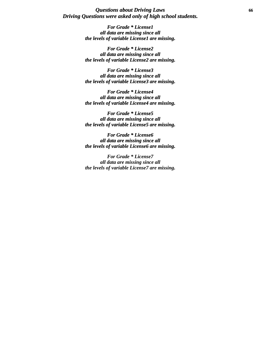### *Questions about Driving Laws* **66** *Driving Questions were asked only of high school students.*

*For Grade \* License1 all data are missing since all the levels of variable License1 are missing.*

*For Grade \* License2 all data are missing since all the levels of variable License2 are missing.*

*For Grade \* License3 all data are missing since all the levels of variable License3 are missing.*

*For Grade \* License4 all data are missing since all the levels of variable License4 are missing.*

*For Grade \* License5 all data are missing since all the levels of variable License5 are missing.*

*For Grade \* License6 all data are missing since all the levels of variable License6 are missing.*

*For Grade \* License7 all data are missing since all the levels of variable License7 are missing.*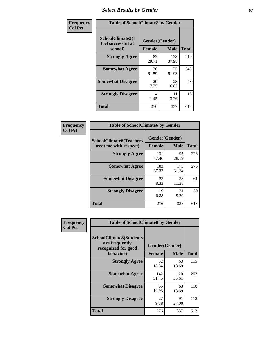# **Select Results by Gender** 67

| Frequency      | <b>Table of SchoolClimate2 by Gender</b>          |                                 |              |              |
|----------------|---------------------------------------------------|---------------------------------|--------------|--------------|
| <b>Col Pct</b> | SchoolClimate2(I<br>feel successful at<br>school) | Gender(Gender)<br><b>Female</b> | <b>Male</b>  | <b>Total</b> |
|                | <b>Strongly Agree</b>                             | 82<br>29.71                     | 128<br>37.98 | 210          |
|                | <b>Somewhat Agree</b>                             | 170<br>61.59                    | 175<br>51.93 | 345          |
|                | <b>Somewhat Disagree</b>                          | 20<br>7.25                      | 23<br>6.82   | 43           |
|                | <b>Strongly Disagree</b>                          | 4<br>1.45                       | 11<br>3.26   | 15           |
|                | <b>Total</b>                                      | 276                             | 337          | 613          |

| <b>Frequency</b> | <b>Table of SchoolClimate6 by Gender</b>                 |               |                               |              |
|------------------|----------------------------------------------------------|---------------|-------------------------------|--------------|
| <b>Col Pct</b>   | <b>SchoolClimate6(Teachers</b><br>treat me with respect) | <b>Female</b> | Gender(Gender)<br><b>Male</b> | <b>Total</b> |
|                  | <b>Strongly Agree</b>                                    | 131<br>47.46  | 95<br>28.19                   | 226          |
|                  | <b>Somewhat Agree</b>                                    | 103<br>37.32  | 173<br>51.34                  | 276          |
|                  | <b>Somewhat Disagree</b>                                 | 23<br>8.33    | 38<br>11.28                   | 61           |
|                  | <b>Strongly Disagree</b>                                 | 19<br>6.88    | 31<br>9.20                    | 50           |
|                  | <b>Total</b>                                             | 276           | 337                           | 613          |

| <b>Frequency</b> | <b>Table of SchoolClimate8 by Gender</b>                                             |                                 |              |     |
|------------------|--------------------------------------------------------------------------------------|---------------------------------|--------------|-----|
| <b>Col Pct</b>   | <b>SchoolClimate8(Students</b><br>are frequently<br>recognized for good<br>behavior) | Gender(Gender)<br><b>Female</b> | <b>Total</b> |     |
|                  | <b>Strongly Agree</b>                                                                | 52<br>18.84                     | 63<br>18.69  | 115 |
|                  | <b>Somewhat Agree</b>                                                                | 142<br>51.45                    | 120<br>35.61 | 262 |
|                  | <b>Somewhat Disagree</b>                                                             | 55<br>19.93                     | 63<br>18.69  | 118 |
|                  | <b>Strongly Disagree</b>                                                             | 27<br>9.78                      | 91<br>27.00  | 118 |
|                  | Total                                                                                | 276                             | 337          | 613 |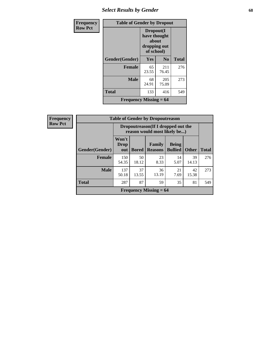# *Select Results by Gender* **68**

| Frequency      | <b>Table of Gender by Dropout</b> |                                                                  |                        |              |  |
|----------------|-----------------------------------|------------------------------------------------------------------|------------------------|--------------|--|
| <b>Row Pct</b> |                                   | Dropout(I<br>have thought<br>about<br>dropping out<br>of school) |                        |              |  |
|                | Gender(Gender)                    | Yes                                                              | $\mathbf{N}\mathbf{0}$ | <b>Total</b> |  |
|                | <b>Female</b>                     | 65<br>23.55                                                      | 211<br>76.45           | 276          |  |
|                | <b>Male</b>                       | 68<br>24.91                                                      | 205<br>75.09           | 273          |  |
|                | <b>Total</b>                      | 133                                                              | 416                    | 549          |  |
|                | Frequency Missing $= 64$          |                                                                  |                        |              |  |

| Frequency      | <b>Table of Gender by Dropoutreason</b>                             |                             |              |                               |                                |              |              |
|----------------|---------------------------------------------------------------------|-----------------------------|--------------|-------------------------------|--------------------------------|--------------|--------------|
| <b>Row Pct</b> | Dropoutreason (If I dropped out the<br>reason would most likely be) |                             |              |                               |                                |              |              |
|                | <b>Gender</b> (Gender)                                              | Won't<br><b>Drop</b><br>out | <b>Bored</b> | Family<br><b>Reasons</b>      | <b>Being</b><br><b>Bullied</b> | <b>Other</b> | <b>Total</b> |
|                | <b>Female</b>                                                       | 150<br>54.35                | 50<br>18.12  | 23<br>8.33                    | 14<br>5.07                     | 39<br>14.13  | 276          |
|                | <b>Male</b>                                                         | 137<br>50.18                | 37<br>13.55  | 36<br>13.19                   | 21<br>7.69                     | 42<br>15.38  | 273          |
|                | <b>Total</b>                                                        | 287                         | 87           | 59                            | 35                             | 81           | 549          |
|                |                                                                     |                             |              | <b>Frequency Missing = 64</b> |                                |              |              |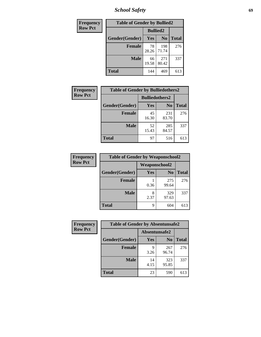*School Safety* **69**

| Frequency      | <b>Table of Gender by Bullied2</b> |                 |                |              |
|----------------|------------------------------------|-----------------|----------------|--------------|
| <b>Row Pct</b> |                                    | <b>Bullied2</b> |                |              |
|                | Gender(Gender)                     | Yes             | N <sub>0</sub> | <b>Total</b> |
|                | Female                             | 78<br>28.26     | 198<br>71.74   | 276          |
|                | <b>Male</b>                        | 66<br>19.58     | 271<br>80.42   | 337          |
|                | <b>Total</b>                       | 144             | 469            | 613          |

| Frequency      | <b>Table of Gender by Bulliedothers2</b> |                       |                |       |
|----------------|------------------------------------------|-----------------------|----------------|-------|
| <b>Row Pct</b> |                                          | <b>Bulliedothers2</b> |                |       |
|                | Gender(Gender)                           | <b>Yes</b>            | N <sub>0</sub> | Total |
|                | <b>Female</b>                            | 45<br>16.30           | 231<br>83.70   | 276   |
|                | <b>Male</b>                              | 52<br>15.43           | 285<br>84.57   | 337   |
|                | <b>Total</b>                             | 97                    | 516            | 613   |

| Frequency      | <b>Table of Gender by Weaponschool2</b> |                      |                |              |
|----------------|-----------------------------------------|----------------------|----------------|--------------|
| <b>Row Pct</b> |                                         | <b>Weaponschool2</b> |                |              |
|                | Gender(Gender)                          | Yes                  | N <sub>0</sub> | <b>Total</b> |
|                | <b>Female</b>                           | 0.36                 | 275<br>99.64   | 276          |
|                | <b>Male</b>                             | 8<br>2.37            | 329<br>97.63   | 337          |
|                | <b>Total</b>                            | 9                    | 604            | 613          |

| Frequency      | <b>Table of Gender by Absentunsafe2</b> |               |                |              |
|----------------|-----------------------------------------|---------------|----------------|--------------|
| <b>Row Pct</b> |                                         | Absentunsafe2 |                |              |
|                | Gender(Gender)                          | Yes           | N <sub>0</sub> | <b>Total</b> |
|                | <b>Female</b>                           | 3.26          | 267<br>96.74   | 276          |
|                | <b>Male</b>                             | 14<br>4.15    | 323<br>95.85   | 337          |
|                | <b>Total</b>                            | 23            | 590            | 613          |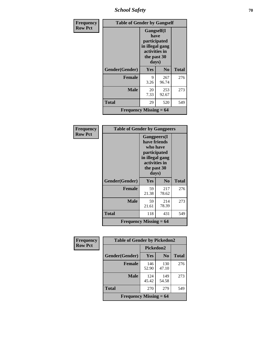*School Safety* **70**

| Frequency      | <b>Table of Gender by Gangself</b>         |                                                                                                |                |              |
|----------------|--------------------------------------------|------------------------------------------------------------------------------------------------|----------------|--------------|
| <b>Row Pct</b> |                                            | Gangself(I<br>have<br>participated<br>in illegal gang<br>activities in<br>the past 30<br>days) |                |              |
|                | Gender(Gender)                             | Yes                                                                                            | N <sub>0</sub> | <b>Total</b> |
|                | <b>Female</b>                              | 9<br>3.26                                                                                      | 267<br>96.74   | 276          |
|                | <b>Male</b>                                | 20<br>7.33                                                                                     | 253<br>92.67   | 273          |
|                | <b>Total</b>                               | 29                                                                                             | 520            | 549          |
|                | <b>Frequency Missing <math>= 64</math></b> |                                                                                                |                |              |

| Frequency      | <b>Table of Gender by Gangpeers</b> |                                                                                                                             |                |              |
|----------------|-------------------------------------|-----------------------------------------------------------------------------------------------------------------------------|----------------|--------------|
| <b>Row Pct</b> |                                     | <b>Gangpeers</b> (I<br>have friends<br>who have<br>participated<br>in illegal gang<br>activities in<br>the past 30<br>days) |                |              |
|                | Gender(Gender)                      | <b>Yes</b>                                                                                                                  | N <sub>0</sub> | <b>Total</b> |
|                | <b>Female</b>                       | 59<br>21.38                                                                                                                 | 217<br>78.62   | 276          |
|                | <b>Male</b>                         | 59<br>21.61                                                                                                                 | 214<br>78.39   | 273          |
|                | <b>Total</b>                        | 118                                                                                                                         | 431            | 549          |
|                | Frequency Missing $= 64$            |                                                                                                                             |                |              |

| <b>Frequency</b> | <b>Table of Gender by Pickedon2</b> |              |                |              |
|------------------|-------------------------------------|--------------|----------------|--------------|
| <b>Row Pct</b>   |                                     | Pickedon2    |                |              |
|                  | Gender(Gender)                      | <b>Yes</b>   | N <sub>0</sub> | <b>Total</b> |
|                  | <b>Female</b>                       | 146<br>52.90 | 130<br>47.10   | 276          |
|                  | <b>Male</b>                         | 124<br>45.42 | 149<br>54.58   | 273          |
|                  | <b>Total</b>                        | 270          | 279            | 549          |
|                  | Frequency Missing $= 64$            |              |                |              |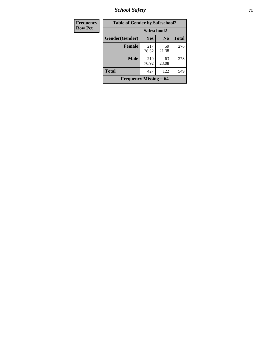*School Safety* **71**

| Frequency      | <b>Table of Gender by Safeschool2</b>      |              |                |              |
|----------------|--------------------------------------------|--------------|----------------|--------------|
| <b>Row Pct</b> |                                            | Safeschool2  |                |              |
|                | Gender(Gender)                             | <b>Yes</b>   | N <sub>0</sub> | <b>Total</b> |
|                | <b>Female</b>                              | 217<br>78.62 | 59<br>21.38    | 276          |
|                | <b>Male</b>                                | 210<br>76.92 | 63<br>23.08    | 273          |
|                | <b>Total</b>                               | 427          | 122            | 549          |
|                | <b>Frequency Missing <math>= 64</math></b> |              |                |              |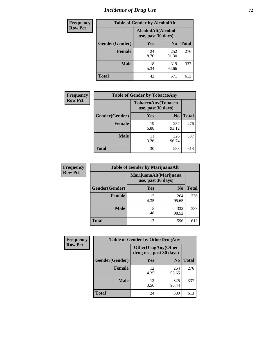# *Incidence of Drug Use* **72**

| <b>Frequency</b> | <b>Table of Gender by AlcoholAlt</b> |                                          |                |              |
|------------------|--------------------------------------|------------------------------------------|----------------|--------------|
| <b>Row Pct</b>   |                                      | AlcoholAlt(Alcohol<br>use, past 30 days) |                |              |
|                  | Gender(Gender)                       | Yes                                      | N <sub>0</sub> | <b>Total</b> |
|                  | <b>Female</b>                        | 24<br>8.70                               | 252<br>91.30   | 276          |
|                  | <b>Male</b>                          | 18<br>5.34                               | 319<br>94.66   | 337          |
|                  | <b>Total</b>                         | 42                                       | 571            | 613          |

| <b>Frequency</b> | <b>Table of Gender by TobaccoAny</b> |                                          |                |              |
|------------------|--------------------------------------|------------------------------------------|----------------|--------------|
| <b>Row Pct</b>   |                                      | TobaccoAny(Tobacco<br>use, past 30 days) |                |              |
|                  | Gender(Gender)                       | <b>Yes</b>                               | N <sub>0</sub> | <b>Total</b> |
|                  | <b>Female</b>                        | 19<br>6.88                               | 257<br>93.12   | 276          |
|                  | <b>Male</b>                          | 11<br>3.26                               | 326<br>96.74   | 337          |
|                  | <b>Total</b>                         | 30                                       | 583            | 613          |

| <b>Frequency</b> |                | <b>Table of Gender by MarijuanaAlt</b> |                                              |              |
|------------------|----------------|----------------------------------------|----------------------------------------------|--------------|
| <b>Row Pct</b>   |                |                                        | MarijuanaAlt(Marijuana<br>use, past 30 days) |              |
|                  | Gender(Gender) | <b>Yes</b>                             | N <sub>0</sub>                               | <b>Total</b> |
|                  | <b>Female</b>  | 12<br>4.35                             | 264<br>95.65                                 | 276          |
|                  | <b>Male</b>    | 5<br>1.48                              | 332<br>98.52                                 | 337          |
|                  | <b>Total</b>   | 17                                     | 596                                          | 613          |

| <b>Frequency</b> | <b>Table of Gender by OtherDrugAny</b> |                                                      |                |              |
|------------------|----------------------------------------|------------------------------------------------------|----------------|--------------|
| <b>Row Pct</b>   |                                        | <b>OtherDrugAny(Other</b><br>drug use, past 30 days) |                |              |
|                  | Gender(Gender)                         | <b>Yes</b>                                           | N <sub>0</sub> | <b>Total</b> |
|                  | <b>Female</b>                          | 12<br>4.35                                           | 264<br>95.65   | 276          |
|                  | <b>Male</b>                            | 12<br>3.56                                           | 325<br>96.44   | 337          |
|                  | <b>Total</b>                           | 24                                                   | 589            | 613          |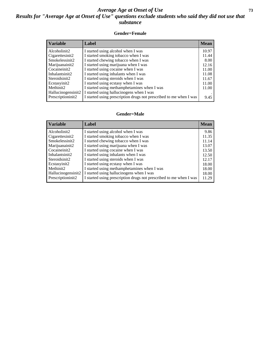## *Average Age at Onset of Use* **73** *Results for "Average Age at Onset of Use" questions exclude students who said they did not use that substance*

### **Gender=Female**

| <b>Variable</b>    | Label                                                              | <b>Mean</b> |
|--------------------|--------------------------------------------------------------------|-------------|
| Alcoholinit2       | I started using alcohol when I was                                 | 10.97       |
| Cigarettesinit2    | I started smoking tobacco when I was                               | 11.44       |
| Smokelessinit2     | I started chewing tobacco when I was                               | 8.00        |
| Marijuanainit2     | I started using marijuana when I was                               | 12.16       |
| Cocaineinit2       | I started using cocaine when I was                                 | 11.00       |
| Inhalantsinit2     | I started using inhalants when I was                               | 11.08       |
| Steroidsinit2      | I started using steroids when I was                                | 11.67       |
| Ecstasyinit2       | I started using ecstasy when I was                                 | 11.00       |
| Methinit2          | I started using methamphetamines when I was                        | 11.00       |
| Hallucinogensinit2 | I started using hallucinogens when I was                           |             |
| Prescriptioninit2  | I started using prescription drugs not prescribed to me when I was | 9.45        |

#### **Gender=Male**

| <b>Variable</b>                 | Label                                                              | <b>Mean</b> |
|---------------------------------|--------------------------------------------------------------------|-------------|
| Alcoholinit2                    | I started using alcohol when I was                                 | 9.86        |
| Cigarettesinit2                 | I started smoking tobacco when I was                               | 11.35       |
| Smokelessinit2                  | I started chewing tobacco when I was                               | 11.14       |
| Marijuanainit2                  | I started using marijuana when I was                               | 13.07       |
| Cocaineinit2                    | I started using cocaine when I was                                 | 13.50       |
| Inhalantsinit2                  | I started using inhalants when I was                               | 12.50       |
| Steroidsinit2                   | I started using steroids when I was                                | 12.17       |
| Ecstasyinit2                    | I started using ecstasy when I was                                 | 18.00       |
| Methinit2                       | I started using methamphetamines when I was                        | 18.00       |
| Hallucinogensinit2              | I started using hallucinogens when I was                           | 18.00       |
| Prescription in it <sub>2</sub> | I started using prescription drugs not prescribed to me when I was | 11.29       |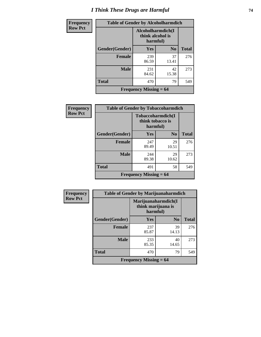# *I Think These Drugs are Harmful* **74**

| <b>Frequency</b> | <b>Table of Gender by Alcoholharmdich</b> |                                                   |                |              |
|------------------|-------------------------------------------|---------------------------------------------------|----------------|--------------|
| <b>Row Pct</b>   |                                           | Alcoholharmdich(I<br>think alcohol is<br>harmful) |                |              |
|                  | Gender(Gender)                            | <b>Yes</b>                                        | N <sub>0</sub> | <b>Total</b> |
|                  | <b>Female</b>                             | 239<br>86.59                                      | 37<br>13.41    | 276          |
|                  | <b>Male</b>                               | 231<br>84.62                                      | 42<br>15.38    | 273          |
|                  | <b>Total</b>                              | 470                                               | 79             | 549          |
|                  | <b>Frequency Missing = 64</b>             |                                                   |                |              |

| Frequency      | <b>Table of Gender by Tobaccoharmdich</b> |                                                   |                |              |
|----------------|-------------------------------------------|---------------------------------------------------|----------------|--------------|
| <b>Row Pct</b> |                                           | Tobaccoharmdich(I<br>think tobacco is<br>harmful) |                |              |
|                | Gender(Gender)                            | <b>Yes</b>                                        | N <sub>0</sub> | <b>Total</b> |
|                | <b>Female</b>                             | 247<br>89.49                                      | 29<br>10.51    | 276          |
|                | <b>Male</b>                               | 244<br>89.38                                      | 29<br>10.62    | 273          |
|                | <b>Total</b>                              | 491                                               | 58             | 549          |
|                |                                           | <b>Frequency Missing = 64</b>                     |                |              |

| Frequency      | <b>Table of Gender by Marijuanaharmdich</b> |                                                       |                |              |
|----------------|---------------------------------------------|-------------------------------------------------------|----------------|--------------|
| <b>Row Pct</b> |                                             | Marijuanaharmdich(I<br>think marijuana is<br>harmful) |                |              |
|                | Gender(Gender)                              | <b>Yes</b>                                            | N <sub>0</sub> | <b>Total</b> |
|                | <b>Female</b>                               | 237<br>85.87                                          | 39<br>14.13    | 276          |
|                | <b>Male</b>                                 | 233<br>85.35                                          | 40<br>14.65    | 273          |
|                | <b>Total</b>                                | 470                                                   | 79             | 549          |
|                |                                             | Frequency Missing $= 64$                              |                |              |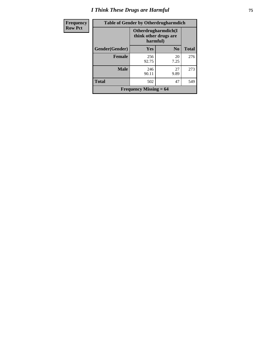# *I Think These Drugs are Harmful* **75**

| <b>Frequency</b> | <b>Table of Gender by Otherdrugharmdich</b> |                                 |                       |              |
|------------------|---------------------------------------------|---------------------------------|-----------------------|--------------|
| <b>Row Pct</b>   |                                             | Otherdrugharmdich(I<br>harmful) | think other drugs are |              |
|                  | Gender(Gender)                              | <b>Yes</b>                      | N <sub>0</sub>        | <b>Total</b> |
|                  | <b>Female</b>                               | 256<br>92.75                    | 20<br>7.25            | 276          |
|                  | <b>Male</b>                                 | 246<br>90.11                    | 27<br>9.89            | 273          |
|                  | <b>Total</b>                                | 502                             | 47                    | 549          |
|                  |                                             | Frequency Missing $= 64$        |                       |              |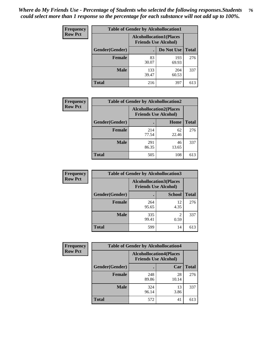| <b>Frequency</b> | <b>Table of Gender by Alcohollocation1</b> |                                                               |              |              |
|------------------|--------------------------------------------|---------------------------------------------------------------|--------------|--------------|
| <b>Row Pct</b>   |                                            | <b>Alcohollocation1(Places</b><br><b>Friends Use Alcohol)</b> |              |              |
|                  | Gender(Gender)                             |                                                               | Do Not Use   | <b>Total</b> |
|                  | <b>Female</b>                              | 83<br>30.07                                                   | 193<br>69.93 | 276          |
|                  | <b>Male</b>                                | 133<br>39.47                                                  | 204<br>60.53 | 337          |
|                  | <b>Total</b>                               | 216                                                           | 397          | 613          |

| <b>Frequency</b> | <b>Table of Gender by Alcohollocation2</b> |                                                               |             |              |
|------------------|--------------------------------------------|---------------------------------------------------------------|-------------|--------------|
| <b>Row Pct</b>   |                                            | <b>Alcohollocation2(Places</b><br><b>Friends Use Alcohol)</b> |             |              |
|                  | Gender(Gender)                             |                                                               | <b>Home</b> | <b>Total</b> |
|                  | <b>Female</b>                              | 214<br>77.54                                                  | 62<br>22.46 | 276          |
|                  | <b>Male</b>                                | 291<br>86.35                                                  | 46<br>13.65 | 337          |
|                  | <b>Total</b>                               | 505                                                           | 108         | 613          |

| Frequency      | <b>Table of Gender by Alcohollocation3</b> |                             |                                 |              |
|----------------|--------------------------------------------|-----------------------------|---------------------------------|--------------|
| <b>Row Pct</b> |                                            | <b>Friends Use Alcohol)</b> | <b>Alcohollocation3</b> (Places |              |
|                | Gender(Gender)                             |                             | <b>School</b>                   | <b>Total</b> |
|                | <b>Female</b>                              | 264<br>95.65                | 12<br>4.35                      | 276          |
|                | <b>Male</b>                                | 335<br>99.41                | 2<br>0.59                       | 337          |
|                | <b>Total</b>                               | 599                         | 14                              | 613          |

| Frequency      | <b>Table of Gender by Alcohollocation4</b> |                                                               |             |              |
|----------------|--------------------------------------------|---------------------------------------------------------------|-------------|--------------|
| <b>Row Pct</b> |                                            | <b>Alcohollocation4(Places</b><br><b>Friends Use Alcohol)</b> |             |              |
|                | Gender(Gender)                             |                                                               | Car         | <b>Total</b> |
|                | <b>Female</b>                              | 248<br>89.86                                                  | 28<br>10.14 | 276          |
|                | <b>Male</b>                                | 324<br>96.14                                                  | 13<br>3.86  | 337          |
|                | <b>Total</b>                               | 572                                                           | 41          | 613          |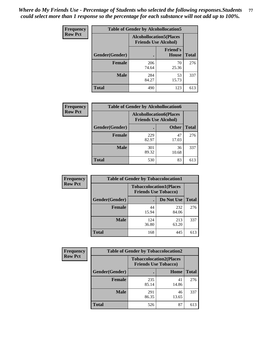| <b>Frequency</b> | <b>Table of Gender by Alcohollocation5</b>                     |              |                                 |              |
|------------------|----------------------------------------------------------------|--------------|---------------------------------|--------------|
| <b>Row Pct</b>   | <b>Alcohollocation5</b> (Places<br><b>Friends Use Alcohol)</b> |              |                                 |              |
|                  | Gender(Gender)                                                 |              | <b>Friend's</b><br><b>House</b> | <b>Total</b> |
|                  | <b>Female</b>                                                  | 206<br>74.64 | 70<br>25.36                     | 276          |
|                  | <b>Male</b>                                                    | 284<br>84.27 | 53<br>15.73                     | 337          |
|                  | <b>Total</b>                                                   | 490          | 123                             | 613          |

| <b>Frequency</b> | <b>Table of Gender by Alcohollocation6</b> |              |                                                               |              |
|------------------|--------------------------------------------|--------------|---------------------------------------------------------------|--------------|
| <b>Row Pct</b>   |                                            |              | <b>Alcohollocation6(Places</b><br><b>Friends Use Alcohol)</b> |              |
|                  | <b>Gender</b> (Gender)                     |              | <b>Other</b>                                                  | <b>Total</b> |
|                  | <b>Female</b>                              | 229<br>82.97 | 47<br>17.03                                                   | 276          |
|                  | <b>Male</b>                                | 301<br>89.32 | 36<br>10.68                                                   | 337          |
|                  | <b>Total</b>                               | 530          | 83                                                            | 613          |

| Frequency      | <b>Table of Gender by Tobaccolocation1</b>                    |              |              |              |  |
|----------------|---------------------------------------------------------------|--------------|--------------|--------------|--|
| <b>Row Pct</b> | <b>Tobaccolocation1(Places</b><br><b>Friends Use Tobacco)</b> |              |              |              |  |
|                | Gender(Gender)                                                |              | Do Not Use   | <b>Total</b> |  |
|                | Female                                                        | 44<br>15.94  | 232<br>84.06 | 276          |  |
|                | <b>Male</b>                                                   | 124<br>36.80 | 213<br>63.20 | 337          |  |
|                | <b>Total</b>                                                  | 168          | 445          | 613          |  |

| <b>Frequency</b> | <b>Table of Gender by Tobaccolocation2</b> |                                                               |             |              |
|------------------|--------------------------------------------|---------------------------------------------------------------|-------------|--------------|
| <b>Row Pct</b>   |                                            | <b>Tobaccolocation2(Places</b><br><b>Friends Use Tobacco)</b> |             |              |
|                  | Gender(Gender)                             |                                                               | Home        | <b>Total</b> |
|                  | Female                                     | 235<br>85.14                                                  | 41<br>14.86 | 276          |
|                  | <b>Male</b>                                | 291<br>86.35                                                  | 46<br>13.65 | 337          |
|                  | <b>Total</b>                               | 526                                                           | 87          | 613          |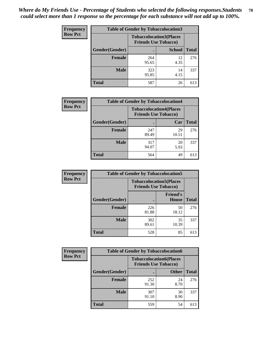| <b>Frequency</b> | <b>Table of Gender by Tobaccolocation3</b> |                             |                                |              |
|------------------|--------------------------------------------|-----------------------------|--------------------------------|--------------|
| <b>Row Pct</b>   |                                            | <b>Friends Use Tobacco)</b> | <b>Tobaccolocation3(Places</b> |              |
|                  | Gender(Gender)                             |                             | <b>School</b>                  | <b>Total</b> |
|                  | <b>Female</b>                              | 264<br>95.65                | 12<br>4.35                     | 276          |
|                  | <b>Male</b>                                | 323<br>95.85                | 14<br>4.15                     | 337          |
|                  | <b>Total</b>                               | 587                         | 26                             | 613          |

| <b>Frequency</b> | <b>Table of Gender by Tobaccolocation4</b> |                                                               |             |              |
|------------------|--------------------------------------------|---------------------------------------------------------------|-------------|--------------|
| <b>Row Pct</b>   |                                            | <b>Tobaccolocation4(Places</b><br><b>Friends Use Tobacco)</b> |             |              |
|                  | Gender(Gender)                             |                                                               | Car         | <b>Total</b> |
|                  | <b>Female</b>                              | 247<br>89.49                                                  | 29<br>10.51 | 276          |
|                  | <b>Male</b>                                | 317<br>94.07                                                  | 20<br>5.93  | 337          |
|                  | <b>Total</b>                               | 564                                                           | 49          | 613          |

| <b>Frequency</b> | <b>Table of Gender by Tobaccolocation5</b> |                                                               |                                 |              |
|------------------|--------------------------------------------|---------------------------------------------------------------|---------------------------------|--------------|
| <b>Row Pct</b>   |                                            | <b>Tobaccolocation5(Places</b><br><b>Friends Use Tobacco)</b> |                                 |              |
|                  | Gender(Gender)                             |                                                               | <b>Friend's</b><br><b>House</b> | <b>Total</b> |
|                  | <b>Female</b>                              | 226<br>81.88                                                  | 50<br>18.12                     | 276          |
|                  | <b>Male</b>                                | 302<br>89.61                                                  | 35<br>10.39                     | 337          |
|                  | <b>Total</b>                               | 528                                                           | 85                              | 613          |

| <b>Frequency</b> | <b>Table of Gender by Tobaccolocation6</b> |              |                                                               |              |
|------------------|--------------------------------------------|--------------|---------------------------------------------------------------|--------------|
| <b>Row Pct</b>   |                                            |              | <b>Tobaccolocation6(Places</b><br><b>Friends Use Tobacco)</b> |              |
|                  | Gender(Gender)                             |              | <b>Other</b>                                                  | <b>Total</b> |
|                  | Female                                     | 252<br>91.30 | 24<br>8.70                                                    | 276          |
|                  | <b>Male</b>                                | 307<br>91.10 | 30<br>8.90                                                    | 337          |
|                  | <b>Total</b>                               | 559          | 54                                                            | 613          |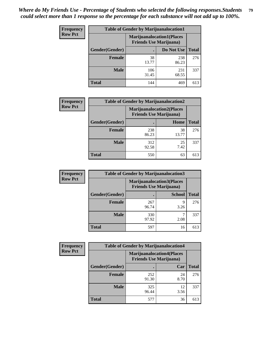| <b>Frequency</b> | <b>Table of Gender by Marijuanalocation1</b> |                                                                    |              |              |
|------------------|----------------------------------------------|--------------------------------------------------------------------|--------------|--------------|
| <b>Row Pct</b>   |                                              | <b>Marijuanalocation1(Places</b><br><b>Friends Use Marijuana</b> ) |              |              |
|                  | Gender(Gender)                               |                                                                    | Do Not Use   | <b>Total</b> |
|                  | <b>Female</b>                                | 38<br>13.77                                                        | 238<br>86.23 | 276          |
|                  | <b>Male</b>                                  | 106<br>31.45                                                       | 231<br>68.55 | 337          |
|                  | <b>Total</b>                                 | 144                                                                | 469          | 613          |

| <b>Frequency</b> | <b>Table of Gender by Marijuanalocation2</b> |              |                                                                    |              |
|------------------|----------------------------------------------|--------------|--------------------------------------------------------------------|--------------|
| <b>Row Pct</b>   |                                              |              | <b>Marijuanalocation2(Places</b><br><b>Friends Use Marijuana</b> ) |              |
|                  | Gender(Gender)                               |              | Home                                                               | <b>Total</b> |
|                  | <b>Female</b>                                | 238<br>86.23 | 38<br>13.77                                                        | 276          |
|                  | <b>Male</b>                                  | 312<br>92.58 | 25<br>7.42                                                         | 337          |
|                  | <b>Total</b>                                 | 550          | 63                                                                 | 613          |

| Frequency      | <b>Table of Gender by Marijuanalocation3</b> |              |                                                                    |              |
|----------------|----------------------------------------------|--------------|--------------------------------------------------------------------|--------------|
| <b>Row Pct</b> |                                              |              | <b>Marijuanalocation3(Places</b><br><b>Friends Use Marijuana</b> ) |              |
|                | Gender(Gender)                               |              | <b>School</b>                                                      | <b>Total</b> |
|                | Female                                       | 267<br>96.74 | q<br>3.26                                                          | 276          |
|                | <b>Male</b>                                  | 330<br>97.92 | 2.08                                                               | 337          |
|                | <b>Total</b>                                 | 597          | 16                                                                 | 613          |

| <b>Frequency</b> | <b>Table of Gender by Marijuanalocation4</b> |                                                                    |            |              |
|------------------|----------------------------------------------|--------------------------------------------------------------------|------------|--------------|
| <b>Row Pct</b>   |                                              | <b>Marijuanalocation4(Places</b><br><b>Friends Use Marijuana</b> ) |            |              |
|                  | Gender(Gender)                               |                                                                    | Car        | <b>Total</b> |
|                  | <b>Female</b>                                | 252<br>91.30                                                       | 24<br>8.70 | 276          |
|                  | <b>Male</b>                                  | 325<br>96.44                                                       | 12<br>3.56 | 337          |
|                  | <b>Total</b>                                 | 577                                                                | 36         | 613          |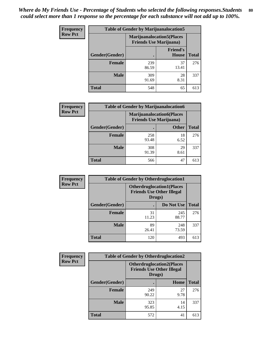| <b>Frequency</b> | <b>Table of Gender by Marijuanalocation5</b> |                                                                     |                                 |              |
|------------------|----------------------------------------------|---------------------------------------------------------------------|---------------------------------|--------------|
| <b>Row Pct</b>   |                                              | <b>Marijuanalocation5</b> (Places<br><b>Friends Use Marijuana</b> ) |                                 |              |
|                  | Gender(Gender)                               |                                                                     | <b>Friend's</b><br><b>House</b> | <b>Total</b> |
|                  | <b>Female</b>                                | 239<br>86.59                                                        | 37<br>13.41                     | 276          |
|                  | <b>Male</b>                                  | 309<br>91.69                                                        | 28<br>8.31                      | 337          |
|                  | <b>Total</b>                                 | 548                                                                 | 65                              | 613          |

| <b>Frequency</b> | <b>Table of Gender by Marijuanalocation6</b> |                                |                                  |              |
|------------------|----------------------------------------------|--------------------------------|----------------------------------|--------------|
| <b>Row Pct</b>   |                                              | <b>Friends Use Marijuana</b> ) | <b>Marijuanalocation6(Places</b> |              |
|                  | <b>Gender</b> (Gender)                       |                                | <b>Other</b>                     | <b>Total</b> |
|                  | <b>Female</b>                                | 258<br>93.48                   | 18<br>6.52                       | 276          |
|                  | <b>Male</b>                                  | 308<br>91.39                   | 29<br>8.61                       | 337          |
|                  | <b>Total</b>                                 | 566                            | 47                               | 613          |

| <b>Frequency</b> | <b>Table of Gender by Otherdruglocation1</b> |                                                                                |              |              |  |
|------------------|----------------------------------------------|--------------------------------------------------------------------------------|--------------|--------------|--|
| <b>Row Pct</b>   |                                              | <b>Otherdruglocation1(Places</b><br><b>Friends Use Other Illegal</b><br>Drugs) |              |              |  |
|                  | Gender(Gender)                               |                                                                                | Do Not Use   | <b>Total</b> |  |
|                  | Female                                       | 31<br>11.23                                                                    | 245<br>88.77 | 276          |  |
|                  | <b>Male</b>                                  | 89<br>26.41                                                                    | 248<br>73.59 | 337          |  |
|                  | <b>Total</b>                                 | 120                                                                            | 493          | 613          |  |

| <b>Frequency</b> | <b>Table of Gender by Otherdruglocation2</b> |                                                                                |            |              |
|------------------|----------------------------------------------|--------------------------------------------------------------------------------|------------|--------------|
| <b>Row Pct</b>   |                                              | <b>Otherdruglocation2(Places</b><br><b>Friends Use Other Illegal</b><br>Drugs) |            |              |
|                  | Gender(Gender)                               |                                                                                | Home       | <b>Total</b> |
|                  | Female                                       | 249<br>90.22                                                                   | 27<br>9.78 | 276          |
|                  | <b>Male</b>                                  | 323<br>95.85                                                                   | 14<br>4.15 | 337          |
|                  | <b>Total</b>                                 | 572                                                                            | 41         | 613          |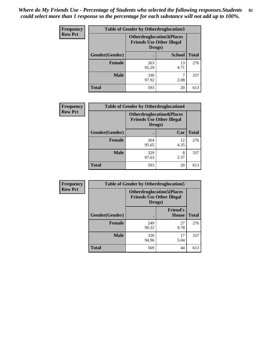| <b>Frequency</b> | <b>Table of Gender by Otherdruglocation3</b> |                                                                                |               |              |
|------------------|----------------------------------------------|--------------------------------------------------------------------------------|---------------|--------------|
| <b>Row Pct</b>   |                                              | <b>Otherdruglocation3(Places</b><br><b>Friends Use Other Illegal</b><br>Drugs) |               |              |
|                  | Gender(Gender)                               |                                                                                | <b>School</b> | <b>Total</b> |
|                  | <b>Female</b>                                | 263<br>95.29                                                                   | 13<br>4.71    | 276          |
|                  | <b>Male</b>                                  | 330<br>97.92                                                                   | 2.08          | 337          |
|                  | <b>Total</b>                                 | 593                                                                            | 20            | 613          |

| <b>Frequency</b> | <b>Table of Gender by Otherdruglocation4</b> |                                                                                |            |              |
|------------------|----------------------------------------------|--------------------------------------------------------------------------------|------------|--------------|
| <b>Row Pct</b>   |                                              | <b>Otherdruglocation4(Places</b><br><b>Friends Use Other Illegal</b><br>Drugs) |            |              |
|                  | Gender(Gender)                               |                                                                                | Car        | <b>Total</b> |
|                  | Female                                       | 264<br>95.65                                                                   | 12<br>4.35 | 276          |
|                  | <b>Male</b>                                  | 329<br>97.63                                                                   | 8<br>2.37  | 337          |
|                  | <b>Total</b>                                 | 593                                                                            | 20         | 613          |

| Frequency      | <b>Table of Gender by Otherdruglocation5</b> |                                                                                |                                 |              |
|----------------|----------------------------------------------|--------------------------------------------------------------------------------|---------------------------------|--------------|
| <b>Row Pct</b> |                                              | <b>Otherdruglocation5(Places</b><br><b>Friends Use Other Illegal</b><br>Drugs) |                                 |              |
|                | Gender(Gender)                               |                                                                                | <b>Friend's</b><br><b>House</b> | <b>Total</b> |
|                | <b>Female</b>                                | 249<br>90.22                                                                   | 27<br>9.78                      | 276          |
|                | <b>Male</b>                                  | 320<br>94.96                                                                   | 17<br>5.04                      | 337          |
|                | <b>Total</b>                                 | 569                                                                            | 44                              | 613          |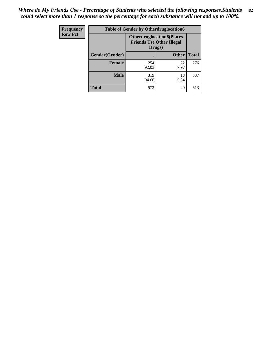| Frequency      | <b>Table of Gender by Otherdruglocation6</b> |                                                                                |              |              |
|----------------|----------------------------------------------|--------------------------------------------------------------------------------|--------------|--------------|
| <b>Row Pct</b> |                                              | <b>Otherdruglocation6(Places</b><br><b>Friends Use Other Illegal</b><br>Drugs) |              |              |
|                | Gender(Gender)                               |                                                                                | <b>Other</b> | <b>Total</b> |
|                | <b>Female</b>                                | 254<br>92.03                                                                   | 22<br>7.97   | 276          |
|                | <b>Male</b>                                  | 319<br>94.66                                                                   | 18<br>5.34   | 337          |
|                | <b>Total</b>                                 | 573                                                                            | 40           | 613          |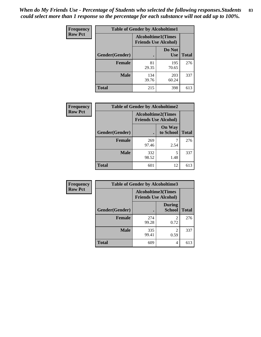*When do My Friends Use - Percentage of Students who selected the following responses.Students could select more than 1 response so the percentage for each substance will not add up to 100%.* **83**

| <b>Frequency</b> | <b>Table of Gender by Alcoholtime1</b> |                             |                      |              |
|------------------|----------------------------------------|-----------------------------|----------------------|--------------|
| <b>Row Pct</b>   |                                        | <b>Friends Use Alcohol)</b> | Alcoholtime1(Times   |              |
|                  | Gender(Gender)                         |                             | Do Not<br><b>Use</b> | <b>Total</b> |
|                  | <b>Female</b>                          | 81<br>29.35                 | 195<br>70.65         | 276          |
|                  | <b>Male</b>                            | 134<br>39.76                | 203<br>60.24         | 337          |
|                  | <b>Total</b>                           | 215                         | 398                  | 613          |

| <b>Frequency</b> | <b>Table of Gender by Alcoholtime2</b> |                                                          |                            |              |
|------------------|----------------------------------------|----------------------------------------------------------|----------------------------|--------------|
| <b>Row Pct</b>   |                                        | <b>Alcoholtime2(Times</b><br><b>Friends Use Alcohol)</b> |                            |              |
|                  | Gender(Gender)                         |                                                          | <b>On Way</b><br>to School | <b>Total</b> |
|                  | <b>Female</b>                          | 269<br>97.46                                             | 2.54                       | 276          |
|                  | <b>Male</b>                            | 332<br>98.52                                             | 5<br>1.48                  | 337          |
|                  | <b>Total</b>                           | 601                                                      | 12                         | 613          |

| Frequency      | <b>Table of Gender by Alcoholtime3</b> |                                                          |                                  |              |
|----------------|----------------------------------------|----------------------------------------------------------|----------------------------------|--------------|
| <b>Row Pct</b> |                                        | <b>Alcoholtime3(Times</b><br><b>Friends Use Alcohol)</b> |                                  |              |
|                | Gender(Gender)                         |                                                          | <b>During</b><br>School          | <b>Total</b> |
|                | Female                                 | 274<br>99.28                                             | 2<br>0.72                        | 276          |
|                | <b>Male</b>                            | 335<br>99.41                                             | $\overline{\mathcal{L}}$<br>0.59 | 337          |
|                | <b>Total</b>                           | 609                                                      | 4                                | 613          |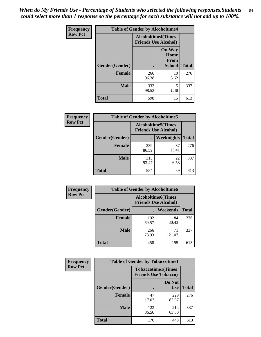*When do My Friends Use - Percentage of Students who selected the following responses.Students could select more than 1 response so the percentage for each substance will not add up to 100%.* **84**

| Frequency      | <b>Table of Gender by Alcoholtime4</b> |                                                          |                                                |              |
|----------------|----------------------------------------|----------------------------------------------------------|------------------------------------------------|--------------|
| <b>Row Pct</b> |                                        | <b>Alcoholtime4(Times</b><br><b>Friends Use Alcohol)</b> |                                                |              |
|                | Gender(Gender)                         | $\bullet$                                                | <b>On Way</b><br>Home<br>From<br><b>School</b> | <b>Total</b> |
|                | <b>Female</b>                          | 266<br>96.38                                             | 10<br>3.62                                     | 276          |
|                | <b>Male</b>                            | 332<br>98.52                                             | 5<br>1.48                                      | 337          |
|                | <b>Total</b>                           | 598                                                      | 15                                             | 613          |

| <b>Frequency</b> | <b>Table of Gender by Alcoholtime5</b> |              |                                                           |              |
|------------------|----------------------------------------|--------------|-----------------------------------------------------------|--------------|
| <b>Row Pct</b>   |                                        |              | <b>Alcoholtime5</b> (Times<br><b>Friends Use Alcohol)</b> |              |
|                  | Gender(Gender)                         |              | Weeknights                                                | <b>Total</b> |
|                  | <b>Female</b>                          | 239<br>86.59 | 37<br>13.41                                               | 276          |
|                  | <b>Male</b>                            | 315<br>93.47 | 22<br>6.53                                                | 337          |
|                  | <b>Total</b>                           | 554          | 59                                                        | 613          |

| <b>Frequency</b> | <b>Table of Gender by Alcoholtime6</b> |                                                           |             |              |
|------------------|----------------------------------------|-----------------------------------------------------------|-------------|--------------|
| <b>Row Pct</b>   |                                        | <b>Alcoholtime6</b> (Times<br><b>Friends Use Alcohol)</b> |             |              |
|                  | Gender(Gender)                         |                                                           | Weekends    | <b>Total</b> |
|                  | <b>Female</b>                          | 192<br>69.57                                              | 84<br>30.43 | 276          |
|                  | <b>Male</b>                            | 266<br>78.93                                              | 71<br>21.07 | 337          |
|                  | <b>Total</b>                           | 458                                                       | 155         | 613          |

| Frequency      | <b>Table of Gender by Tobaccotime1</b> |                                                          |                      |              |
|----------------|----------------------------------------|----------------------------------------------------------|----------------------|--------------|
| <b>Row Pct</b> |                                        | <b>Tobaccotime1(Times</b><br><b>Friends Use Tobacco)</b> |                      |              |
|                | Gender(Gender)                         |                                                          | Do Not<br><b>Use</b> | <b>Total</b> |
|                | Female                                 | 47<br>17.03                                              | 229<br>82.97         | 276          |
|                | <b>Male</b>                            | 123<br>36.50                                             | 214<br>63.50         | 337          |
|                | <b>Total</b>                           | 170                                                      | 443                  | 613          |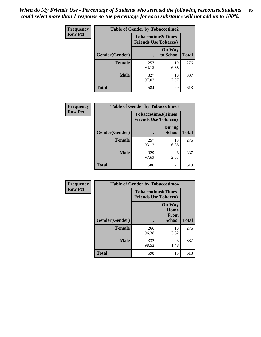*When do My Friends Use - Percentage of Students who selected the following responses.Students could select more than 1 response so the percentage for each substance will not add up to 100%.* **85**

| Frequency      | <b>Table of Gender by Tobaccotime2</b> |                                                          |                            |              |
|----------------|----------------------------------------|----------------------------------------------------------|----------------------------|--------------|
| <b>Row Pct</b> |                                        | <b>Tobaccotime2(Times</b><br><b>Friends Use Tobacco)</b> |                            |              |
|                | Gender(Gender)                         | $\bullet$                                                | <b>On Way</b><br>to School | <b>Total</b> |
|                | Female                                 | 257<br>93.12                                             | 19<br>6.88                 | 276          |
|                | <b>Male</b>                            | 327<br>97.03                                             | 10<br>2.97                 | 337          |
|                | <b>Total</b>                           | 584                                                      | 29                         | 613          |

| Frequency      | <b>Table of Gender by Tobaccotime3</b> |                                                          |                                |              |
|----------------|----------------------------------------|----------------------------------------------------------|--------------------------------|--------------|
| <b>Row Pct</b> |                                        | <b>Tobaccotime3(Times</b><br><b>Friends Use Tobacco)</b> |                                |              |
|                | Gender(Gender)                         |                                                          | <b>During</b><br><b>School</b> | <b>Total</b> |
|                | <b>Female</b>                          | 257<br>93.12                                             | 19<br>6.88                     | 276          |
|                | <b>Male</b>                            | 329<br>97.63                                             | 8<br>2.37                      | 337          |
|                | <b>Total</b>                           | 586                                                      | 27                             | 613          |

| <b>Frequency</b> | <b>Table of Gender by Tobaccotime4</b> |                                                          |                                                       |              |
|------------------|----------------------------------------|----------------------------------------------------------|-------------------------------------------------------|--------------|
| <b>Row Pct</b>   |                                        | <b>Tobaccotime4(Times</b><br><b>Friends Use Tobacco)</b> |                                                       |              |
|                  | Gender(Gender)                         |                                                          | <b>On Way</b><br>Home<br><b>From</b><br><b>School</b> | <b>Total</b> |
|                  | <b>Female</b>                          | 266<br>96.38                                             | 10<br>3.62                                            | 276          |
|                  | <b>Male</b>                            | 332<br>98.52                                             | 5<br>1.48                                             | 337          |
|                  | <b>Total</b>                           | 598                                                      | 15                                                    | 613          |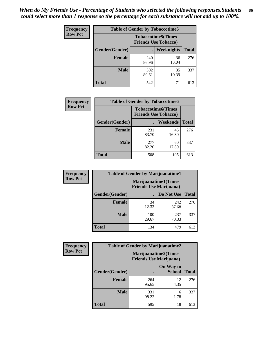| <b>Frequency</b> | <b>Table of Gender by Tobaccotime5</b> |              |                                                           |              |  |
|------------------|----------------------------------------|--------------|-----------------------------------------------------------|--------------|--|
| <b>Row Pct</b>   |                                        |              | <b>Tobaccotime5</b> (Times<br><b>Friends Use Tobacco)</b> |              |  |
|                  | Gender(Gender)                         |              | Weeknights                                                | <b>Total</b> |  |
|                  | <b>Female</b>                          | 240<br>86.96 | 36<br>13.04                                               | 276          |  |
|                  | <b>Male</b>                            | 302<br>89.61 | 35<br>10.39                                               | 337          |  |
|                  | <b>Total</b>                           | 542          | 71                                                        | 613          |  |

| Frequency      | <b>Table of Gender by Tobaccotime6</b> |                                                          |             |              |
|----------------|----------------------------------------|----------------------------------------------------------|-------------|--------------|
| <b>Row Pct</b> |                                        | <b>Tobaccotime6(Times</b><br><b>Friends Use Tobacco)</b> |             |              |
|                | Gender(Gender)                         |                                                          | Weekends    | <b>Total</b> |
|                | Female                                 | 231<br>83.70                                             | 45<br>16.30 | 276          |
|                | <b>Male</b>                            | 277<br>82.20                                             | 60<br>17.80 | 337          |
|                | <b>Total</b>                           | 508                                                      | 105         | 613          |

| Frequency      | <b>Table of Gender by Marijuanatime1</b> |                                                               |              |              |  |
|----------------|------------------------------------------|---------------------------------------------------------------|--------------|--------------|--|
| <b>Row Pct</b> |                                          | <b>Marijuanatime1(Times</b><br><b>Friends Use Marijuana</b> ) |              |              |  |
|                | Gender(Gender)                           |                                                               | Do Not Use   | <b>Total</b> |  |
|                | <b>Female</b>                            | 34<br>12.32                                                   | 242<br>87.68 | 276          |  |
|                | <b>Male</b>                              | 100<br>29.67                                                  | 237<br>70.33 | 337          |  |
|                | <b>Total</b>                             | 134                                                           | 479          | 613          |  |

| <b>Frequency</b> | <b>Table of Gender by Marijuanatime2</b> |                                                               |                            |              |
|------------------|------------------------------------------|---------------------------------------------------------------|----------------------------|--------------|
| <b>Row Pct</b>   |                                          | <b>Marijuanatime2(Times</b><br><b>Friends Use Marijuana</b> ) |                            |              |
|                  | Gender(Gender)                           |                                                               | On Way to<br><b>School</b> | <b>Total</b> |
|                  | Female                                   | 264<br>95.65                                                  | 12<br>4.35                 | 276          |
|                  | <b>Male</b>                              | 331<br>98.22                                                  | 6<br>1.78                  | 337          |
|                  | <b>Total</b>                             | 595                                                           | 18                         | 613          |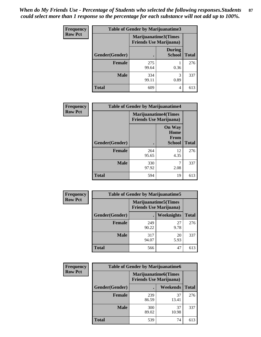*When do My Friends Use - Percentage of Students who selected the following responses.Students could select more than 1 response so the percentage for each substance will not add up to 100%.* **87**

| <b>Frequency</b> | Table of Gender by Marijuanatime3 |                                                        |                                |              |
|------------------|-----------------------------------|--------------------------------------------------------|--------------------------------|--------------|
| <b>Row Pct</b>   |                                   | Marijuanatime3(Times<br><b>Friends Use Marijuana</b> ) |                                |              |
|                  | Gender(Gender)                    |                                                        | <b>During</b><br><b>School</b> | <b>Total</b> |
|                  | <b>Female</b>                     | 275<br>99.64                                           | 0.36                           | 276          |
|                  | <b>Male</b>                       | 334<br>99.11                                           | 3<br>0.89                      | 337          |
|                  | <b>Total</b>                      | 609                                                    | 4                              | 613          |

| Frequency      | <b>Table of Gender by Marijuanatime4</b> |                                |                                                       |              |
|----------------|------------------------------------------|--------------------------------|-------------------------------------------------------|--------------|
| <b>Row Pct</b> |                                          | <b>Friends Use Marijuana</b> ) | <b>Marijuanatime4</b> (Times                          |              |
|                | Gender(Gender)                           |                                | <b>On Way</b><br>Home<br><b>From</b><br><b>School</b> | <b>Total</b> |
|                | <b>Female</b>                            | 264<br>95.65                   | 12<br>4.35                                            | 276          |
|                | <b>Male</b>                              | 330<br>97.92                   | 7<br>2.08                                             | 337          |
|                | <b>Total</b>                             | 594                            | 19                                                    | 613          |

| <b>Frequency</b> | <b>Table of Gender by Marijuanatime5</b> |              |                                                                |              |
|------------------|------------------------------------------|--------------|----------------------------------------------------------------|--------------|
| <b>Row Pct</b>   |                                          |              | <b>Marijuanatime5</b> (Times<br><b>Friends Use Marijuana</b> ) |              |
|                  | Gender(Gender)                           | ٠            | Weeknights                                                     | <b>Total</b> |
|                  | <b>Female</b>                            | 249<br>90.22 | 27<br>9.78                                                     | 276          |
|                  | <b>Male</b>                              | 317<br>94.07 | 20<br>5.93                                                     | 337          |
|                  | <b>Total</b>                             | 566          | 47                                                             | 613          |

| <b>Frequency</b> | <b>Table of Gender by Marijuanatime6</b> |                                                               |             |              |  |
|------------------|------------------------------------------|---------------------------------------------------------------|-------------|--------------|--|
| <b>Row Pct</b>   |                                          | <b>Marijuanatime6(Times</b><br><b>Friends Use Marijuana</b> ) |             |              |  |
|                  | Gender(Gender)                           |                                                               | Weekends    | <b>Total</b> |  |
|                  | <b>Female</b>                            | 239<br>86.59                                                  | 37<br>13.41 | 276          |  |
|                  | <b>Male</b>                              | 300<br>89.02                                                  | 37<br>10.98 | 337          |  |
|                  | <b>Total</b>                             | 539                                                           | 74          | 613          |  |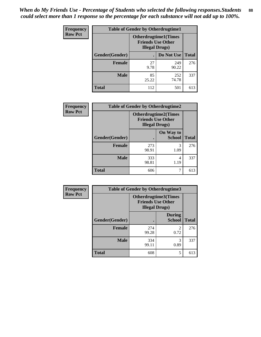| <b>Frequency</b> | <b>Table of Gender by Otherdrugtime1</b> |                                                                                    |              |              |  |
|------------------|------------------------------------------|------------------------------------------------------------------------------------|--------------|--------------|--|
| <b>Row Pct</b>   |                                          | <b>Otherdrugtime1</b> (Times<br><b>Friends Use Other</b><br><b>Illegal Drugs</b> ) |              |              |  |
|                  | <b>Gender</b> (Gender)                   |                                                                                    | Do Not Use   | <b>Total</b> |  |
|                  | <b>Female</b>                            | 27<br>9.78                                                                         | 249<br>90.22 | 276          |  |
|                  | <b>Male</b>                              | 85<br>25.22                                                                        | 252<br>74.78 | 337          |  |
|                  | <b>Total</b>                             | 112                                                                                | 501          | 613          |  |

| <b>Frequency</b> | <b>Table of Gender by Otherdrugtime2</b> |                                                                                   |                            |              |  |
|------------------|------------------------------------------|-----------------------------------------------------------------------------------|----------------------------|--------------|--|
| <b>Row Pct</b>   |                                          | <b>Otherdrugtime2(Times</b><br><b>Friends Use Other</b><br><b>Illegal Drugs</b> ) |                            |              |  |
|                  | Gender(Gender)                           |                                                                                   | On Way to<br><b>School</b> | <b>Total</b> |  |
|                  | <b>Female</b>                            | 273<br>98.91                                                                      | 3<br>1.09                  | 276          |  |
|                  | <b>Male</b>                              | 333<br>98.81                                                                      | 4<br>1.19                  | 337          |  |
|                  | <b>Total</b>                             | 606                                                                               | 7                          | 613          |  |

| Frequency      | <b>Table of Gender by Otherdrugtime3</b> |                                                                                   |                                |              |  |
|----------------|------------------------------------------|-----------------------------------------------------------------------------------|--------------------------------|--------------|--|
| <b>Row Pct</b> |                                          | <b>Otherdrugtime3</b> (Times<br><b>Friends Use Other</b><br><b>Illegal Drugs)</b> |                                |              |  |
|                | Gender(Gender)                           |                                                                                   | <b>During</b><br><b>School</b> | <b>Total</b> |  |
|                | <b>Female</b>                            | 274<br>99.28                                                                      | 2<br>0.72                      | 276          |  |
|                | <b>Male</b>                              | 334<br>99.11                                                                      | 3<br>0.89                      | 337          |  |
|                | <b>Total</b>                             | 608                                                                               | 5                              | 613          |  |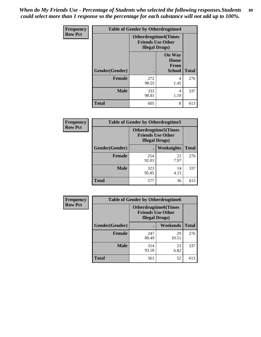*When do My Friends Use - Percentage of Students who selected the following responses.Students could select more than 1 response so the percentage for each substance will not add up to 100%.* **89**

| Frequency      | <b>Table of Gender by Otherdrugtime4</b> |                        |                                                         |              |
|----------------|------------------------------------------|------------------------|---------------------------------------------------------|--------------|
| <b>Row Pct</b> |                                          | <b>Illegal Drugs</b> ) | <b>Otherdrugtime4(Times</b><br><b>Friends Use Other</b> |              |
|                | <b>Gender</b> (Gender)                   |                        | <b>On Way</b><br>Home<br>From<br><b>School</b>          | <b>Total</b> |
|                | <b>Female</b>                            | 272<br>98.55           | 4<br>1.45                                               | 276          |
|                | <b>Male</b>                              | 333<br>98.81           | 4<br>1.19                                               | 337          |
|                | <b>Total</b>                             | 605                    | 8                                                       | 613          |

| <b>Frequency</b> | <b>Table of Gender by Otherdrugtime5</b> |                                                                                    |            |              |  |
|------------------|------------------------------------------|------------------------------------------------------------------------------------|------------|--------------|--|
| <b>Row Pct</b>   |                                          | <b>Otherdrugtime5</b> (Times<br><b>Friends Use Other</b><br><b>Illegal Drugs</b> ) |            |              |  |
|                  | Gender(Gender)                           |                                                                                    | Weeknights | <b>Total</b> |  |
|                  | <b>Female</b>                            | 254<br>92.03                                                                       | 22<br>7.97 | 276          |  |
|                  | <b>Male</b>                              | 323<br>95.85                                                                       | 14<br>4.15 | 337          |  |
|                  | Total                                    | 577                                                                                | 36         | 613          |  |

| <b>Frequency</b> | <b>Table of Gender by Otherdrugtime6</b> |                                                                                  |                 |              |  |
|------------------|------------------------------------------|----------------------------------------------------------------------------------|-----------------|--------------|--|
| <b>Row Pct</b>   |                                          | <b>Otherdrugtime6(Times</b><br><b>Friends Use Other</b><br><b>Illegal Drugs)</b> |                 |              |  |
|                  | Gender(Gender)                           |                                                                                  | <b>Weekends</b> | <b>Total</b> |  |
|                  | <b>Female</b>                            | 247<br>89.49                                                                     | 29<br>10.51     | 276          |  |
|                  | <b>Male</b>                              | 314<br>93.18                                                                     | 23<br>6.82      | 337          |  |
|                  | <b>Total</b>                             | 561                                                                              | 52              | 613          |  |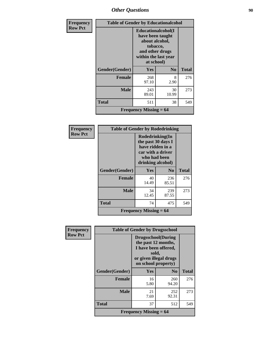## *Other Questions* **90**

| <b>Frequency</b> | <b>Table of Gender by Educationalcohol</b> |                                                                                                                                       |                |              |
|------------------|--------------------------------------------|---------------------------------------------------------------------------------------------------------------------------------------|----------------|--------------|
| <b>Row Pct</b>   |                                            | <b>Educationalcohol</b> (I<br>have been taught<br>about alcohol,<br>tobacco,<br>and other drugs<br>within the last year<br>at school) |                |              |
|                  | Gender(Gender)                             | <b>Yes</b>                                                                                                                            | N <sub>0</sub> | <b>Total</b> |
|                  | <b>Female</b>                              | 268<br>97.10                                                                                                                          | 8<br>2.90      | 276          |
|                  | <b>Male</b>                                | 243<br>89.01                                                                                                                          | 30<br>10.99    | 273          |
|                  | <b>Total</b>                               | 511                                                                                                                                   | 38             | 549          |
|                  |                                            | <b>Frequency Missing = 64</b>                                                                                                         |                |              |

| Frequency      | <b>Table of Gender by Rodedrinking</b> |                                                                                                                     |                |              |  |
|----------------|----------------------------------------|---------------------------------------------------------------------------------------------------------------------|----------------|--------------|--|
| <b>Row Pct</b> |                                        | Rodedrinking(In<br>the past 30 days I<br>have ridden in a<br>car with a driver<br>who had been<br>drinking alcohol) |                |              |  |
|                | Gender(Gender)                         | <b>Yes</b>                                                                                                          | N <sub>0</sub> | <b>Total</b> |  |
|                | <b>Female</b>                          | 40<br>14.49                                                                                                         | 236<br>85.51   | 276          |  |
|                | <b>Male</b>                            | 34<br>12.45                                                                                                         | 239<br>87.55   | 273          |  |
|                | <b>Total</b>                           | 74                                                                                                                  | 475            | 549          |  |
|                | <b>Frequency Missing = 64</b>          |                                                                                                                     |                |              |  |

| Frequency      | <b>Table of Gender by Drugsschool</b> |                                                                                                                                     |                |              |  |
|----------------|---------------------------------------|-------------------------------------------------------------------------------------------------------------------------------------|----------------|--------------|--|
| <b>Row Pct</b> |                                       | <b>Drugsschool</b> (During<br>the past 12 months,<br>I have been offered,<br>sold,<br>or given illegal drugs<br>on school property) |                |              |  |
|                | Gender(Gender)                        | <b>Yes</b>                                                                                                                          | N <sub>0</sub> | <b>Total</b> |  |
|                | <b>Female</b>                         | 16<br>5.80                                                                                                                          | 260<br>94.20   | 276          |  |
|                | <b>Male</b>                           | 21<br>7.69                                                                                                                          | 252<br>92.31   | 273          |  |
|                | <b>Total</b>                          | 37                                                                                                                                  | 512            | 549          |  |
|                |                                       | <b>Frequency Missing <math>= 64</math></b>                                                                                          |                |              |  |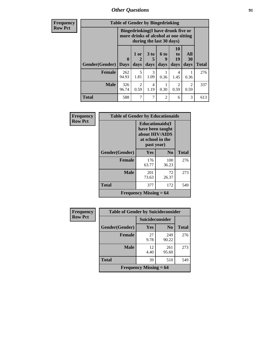*Other Questions* **91**

**Frequency Row Pct**

| <b>Table of Gender by Bingedrinking</b> |                             |                                                                                                         |                   |                   |                        |                        |              |
|-----------------------------------------|-----------------------------|---------------------------------------------------------------------------------------------------------|-------------------|-------------------|------------------------|------------------------|--------------|
|                                         |                             | Bingedrinking(I have drunk five or<br>more drinks of alcohol at one sitting<br>during the last 30 days) |                   |                   |                        |                        |              |
| Gender(Gender)                          | $\mathbf{0}$<br><b>Days</b> | 1 or<br>days                                                                                            | 3 to<br>5<br>days | 6 to<br>9<br>days | 10<br>to<br>19<br>days | All<br>30<br>days      | <b>Total</b> |
|                                         |                             |                                                                                                         |                   |                   |                        |                        |              |
| <b>Female</b>                           | 262<br>94.93                | 5<br>1.81                                                                                               | 3<br>1.09         | 0.36              | 4<br>1.45              | 0.36                   | 276          |
| <b>Male</b>                             | 326<br>96.74                | $\mathfrak{D}$<br>0.59                                                                                  | 4<br>1.19         | 0.30              | $\mathfrak{D}$<br>0.59 | $\overline{2}$<br>0.59 | 337          |

| Frequency      | <b>Table of Gender by Educationaids</b> |                                                                                                 |                |              |
|----------------|-----------------------------------------|-------------------------------------------------------------------------------------------------|----------------|--------------|
| <b>Row Pct</b> |                                         | <b>Educationaids</b> (I<br>have been taught<br>about HIV/AIDS<br>at school in the<br>past year) |                |              |
|                | Gender(Gender)                          | <b>Yes</b>                                                                                      | N <sub>0</sub> | <b>Total</b> |
|                | <b>Female</b>                           | 176<br>63.77                                                                                    | 100<br>36.23   | 276          |
|                | <b>Male</b>                             | 201<br>73.63                                                                                    | 72<br>26.37    | 273          |
|                | <b>Total</b>                            | 377                                                                                             | 172            | 549          |
|                |                                         | Frequency Missing $= 64$                                                                        |                |              |

| <b>Frequency</b> | <b>Table of Gender by Suicideconsider</b>  |                        |                |              |
|------------------|--------------------------------------------|------------------------|----------------|--------------|
| <b>Row Pct</b>   |                                            | <b>Suicideconsider</b> |                |              |
|                  | Gender(Gender)                             | <b>Yes</b>             | N <sub>0</sub> | <b>Total</b> |
|                  | <b>Female</b>                              | 27<br>9.78             | 249<br>90.22   | 276          |
|                  | <b>Male</b>                                | 12<br>4.40             | 261<br>95.60   | 273          |
|                  | <b>Total</b>                               | 39                     | 510            | 549          |
|                  | <b>Frequency Missing <math>= 64</math></b> |                        |                |              |